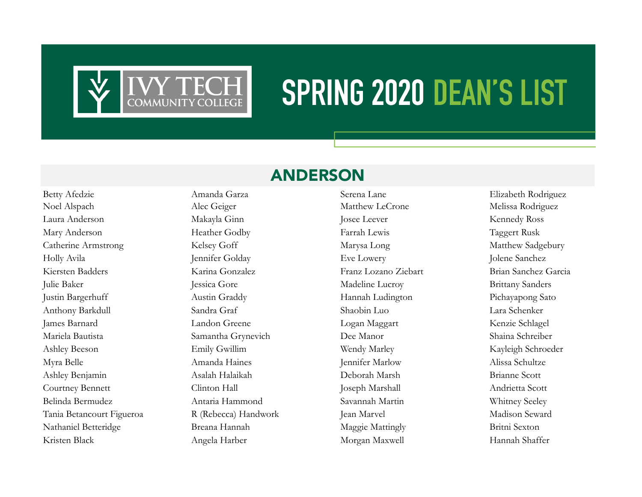

# **SPRING 2020 DEAN'S LIST**

# ANDERSON

Noel Alspach Alec Geiger Matthew LeCrone Melissa Rodriguez Laura Anderson Makayla Ginn Josee Leever Kennedy Ross Mary Anderson Heather Godby Farrah Lewis Taggert Rusk Catherine Armstrong Kelsey Goff Marysa Long Marysa Long Matthew Sadgebury Holly Avila Jennifer Golday Eve Lowery Jolene Sanchez Kiersten Badders Karina Gonzalez Franz Lozano Ziebart Brian Sanchez Garcia Julie Baker Jessica Gore Madeline Lucroy Brittany Sanders Justin Bargerhuff Austin Graddy Hannah Ludington Pichayapong Sato Anthony Barkdull Sandra Graf Shaobin Luo Lara Schenker James Barnard Landon Greene Logan Maggart Kenzie Schlagel Mariela Bautista Samantha Grynevich Dee Manor Shaina Schreiber Ashley Beeson **Emily Gwillim Wendy Marley Kayleigh Schroeder** Kayleigh Schroeder Myra Belle Amanda Haines Jennifer Marlow Alissa Schultze Ashley Benjamin Asalah Halaikah Deborah Marsh Brianne Scott Courtney Bennett Clinton Hall Joseph Marshall Andrietta Scott Belinda Bermudez Antaria Hammond Savannah Martin Whitney Seeley Tania Betancourt Figueroa R (Rebecca) Handwork Jean Marvel Madison Seward Nathaniel Betteridge Breana Hannah Maggie Mattingly Britni Sexton Kristen Black Angela Harber Morgan Maxwell Hannah Shaffer

Betty Afedzie **Amanda Garza** Serena Lane Elizabeth Rodriguez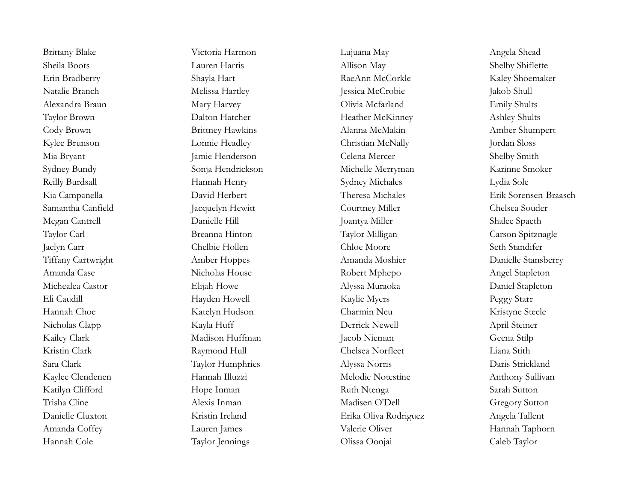Brittany Blake Victoria Harmon Lujuana May Angela Shead Sheila Boots Lauren Harris Allison May Shelby Shiflette Erin Bradberry Shayla Hart RaeAnn McCorkle Kaley Shoemaker Natalie Branch Melissa Hartley Jessica McCrobie Jakob Shull Alexandra Braun Mary Harvey Olivia Mcfarland Emily Shults Taylor Brown Dalton Hatcher Heather Heather McKinney Ashley Shults Cody Brown Brittney Hawkins Alanna McMakin Amber Shumpert Kylee Brunson Lonnie Headley Christian McNally Jordan Sloss Mia Bryant Jamie Henderson Celena Mercer Shelby Smith Sydney Bundy Sonja Hendrickson Michelle Merryman Karinne Smoker Reilly Burdsall Hannah Henry Sydney Michales Lydia Sole Samantha Canfield Jacquelyn Hewitt Courtney Miller Chelsea Souder Megan Cantrell **Danielle Hill** Danielle Hill Joantya Miller Shalee Spaeth Taylor Carl Breanna Hinton Taylor Milligan Carson Spitznagle Jaclyn Carr Chelbie Hollen Chloe Moore Seth Standifer Tiffany Cartwright Amber Hoppes Amanda Moshier Danielle Stansberry Amanda Case Nicholas House Robert Mphepo Angel Stapleton Michealea Castor **Elijah Howe** Alyssa Muraoka Daniel Stapleton Eli Caudill Mayden Howell Kaylie Myers Peggy Starr Peggy Starr Hannah Choe Katelyn Hudson Charmin Neu Kristyne Steele Nicholas Clapp Kayla Huff Derrick Newell April Steiner Kailey Clark Madison Huffman Jacob Nieman Geena Stilp Kristin Clark Raymond Hull Chelsea Norfleet Liana Stith Sara Clark Taylor Humphries Alyssa Norris Daris Strickland Kaylee Clendenen Hannah Illuzzi Melodie Notestine Anthony Sullivan Katilyn Clifford Hope Inman Ruth Ntenga Sarah Sutton Trisha Cline Alexis Inman Madisen O'Dell Gregory Sutton Danielle Cluxton Kristin Ireland Erika Oliva Rodriguez Angela Tallent Amanda Coffey Lauren James Lauren James Valerie Oliver Hannah Taphorn Hannah Cole Taylor Jennings Olissa Oonjai Caleb Taylor

Kia Campanella David Herbert Theresa Michales Erik Sorensen-Braasch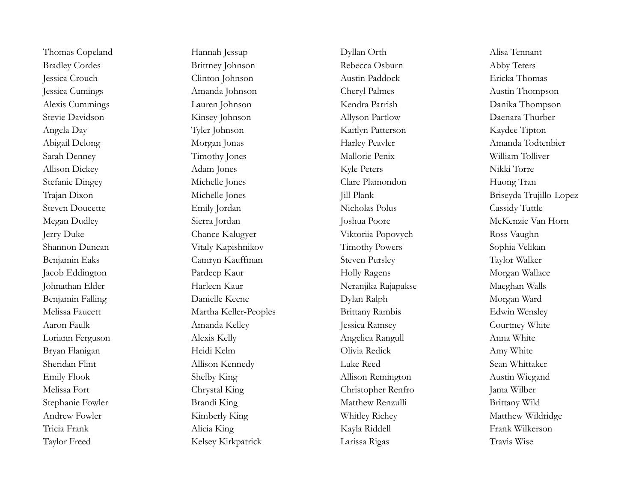Taylor Freed Kelsey Kirkpatrick Larissa Rigas Travis Wise

Thomas Copeland Hannah Jessup Dyllan Orth Dyllan Orth Alisa Tennant Bradley Cordes Brittney Johnson Rebecca Osburn Abby Teters Jessica Crouch Clinton Johnson Austin Paddock Ericka Thomas Jessica Cumings Amanda Johnson Cheryl Palmes Austin Thompson Alexis Cummings Lauren Johnson Kendra Parrish Danika Thompson Stevie Davidson Kinsey Johnson Allyson Partlow Daenara Thurber Angela Day Tyler Johnson Kaitlyn Patterson Kaydee Tipton Abigail Delong Morgan Jonas Harley Peavler Amanda Todtenbier Sarah Denney Timothy Jones Mallorie Penix William Tolliver Allison Dickey Adam Jones Kyle Peters Nikki Torre Stefanie Dingey Michelle Jones Clare Plamondon Huong Tran Trajan Dixon Michelle Jones Jill Plank Briseyda Trujillo-Lopez Steven Doucette Emily Jordan Nicholas Polus Cassidy Tuttle Megan Dudley Sierra Jordan Joshua Poore McKenzie Van Horn Jerry Duke Chance Kalugyer Viktoriia Popovych Ross Vaughn Shannon Duncan Vitaly Kapishnikov Timothy Powers Sophia Velikan Benjamin Eaks Camryn Kauffman Steven Pursley Taylor Walker Jacob Eddington **Pardeep Kaur** Pardeep Kaur Holly Ragens Morgan Wallace Johnathan Elder Harleen Kaur Neranjika Rajapakse Maeghan Walls Benjamin Falling Danielle Keene Danielle Keene Dylan Ralph Morgan Ward Melissa Faucett Martha Keller-Peoples Brittany Rambis Edwin Wensley Aaron Faulk **Amanda Kelley Amanda Kelley** Jessica Ramsey Courtney White Loriann Ferguson Alexis Kelly Angelica Rangull Anna White Bryan Flanigan Heidi Kelm Olivia Redick Amy White Sheridan Flint Allison Kennedy Luke Reed Sean Whittaker Emily Flook Shelby King Allison Remington Austin Wiegand Melissa Fort Chrystal King Christopher Renfro Jama Wilber Stephanie Fowler **Brandi King Matthew Renzulli** Brittany Wild Andrew Fowler Kimberly King Whitley Richey Matthew Wildridge Tricia Frank Alicia King Kayla Riddell Frank Wilkerson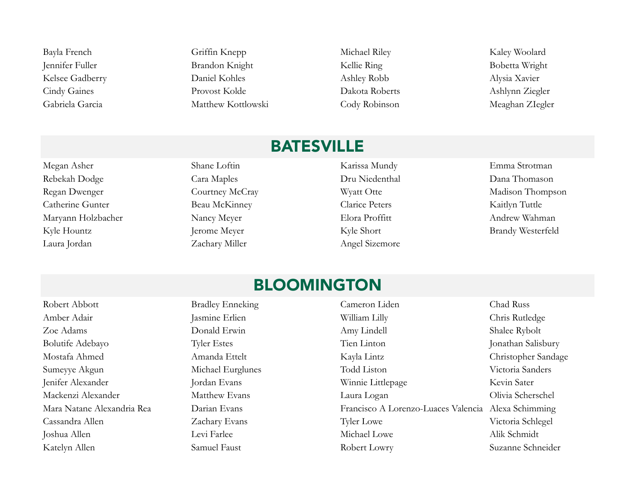Bayla French Griffin Knepp Michael Riley Kaley Woolard Jennifer Fuller **Brandon Knight** Kellie Ring Kellie Ring Bobetta Wright Kelsee Gadberry **Daniel Kohles** Ashley Robb Alysia Xavier Cindy Gaines Provost Kolde Dakota Roberts Ashlynn Ziegler Gabriela Garcia Matthew Kottlowski Cody Robinson Meaghan ZIegler

# **BATESVILLE**

Megan Asher Shane Loftin Karissa Mundy Emma Strotman Rebekah Dodge Cara Maples Cara Maples Dru Niedenthal Dana Thomason Regan Dwenger Courtney McCray Wyatt Otte Madison Thompson Catherine Gunter Beau McKinney Clarice Peters Kaitlyn Tuttle Maryann Holzbacher Nancy Meyer Elora Proffitt Andrew Wahman Kyle Hountz Jerome Meyer Kyle Short Brandy Westerfeld Laura Jordan Zachary Miller Angel Sizemore

#### BLOOMINGTON

Robert Abbott **Bradley Enneking** Cameron Liden Cameron Liden Chad Russ Amber Adair **Amber Adair** Jasmine Erlien **William Lilly** Chris Rutledge Zoe Adams **Donald Erwin** Donald Erwin Amy Lindell Shalee Rybolt Bolutife Adebayo Tyler Estes Tyler Estes Tien Linton Jonathan Salisbury Mostafa Ahmed Amanda Ettelt Kayla Lintz Christopher Sandage Sumeyye Akgun Michael Eurglunes Todd Liston Victoria Sanders Jenifer Alexander Jordan Evans Winnie Littlepage Kevin Sater Mackenzi Alexander Matthew Evans Laura Logan Olivia Scherschel Mara Natane Alexandria Rea Darian Evans Francisco A Lorenzo-Luaces Valencia Alexa Schimming Cassandra Allen Zachary Evans Tyler Lowe Victoria Schlegel Joshua Allen Levi Farlee Michael Lowe Alik Schmidt Katelyn Allen Samuel Faust Samuel Faust Robert Lowry Suzanne Schneider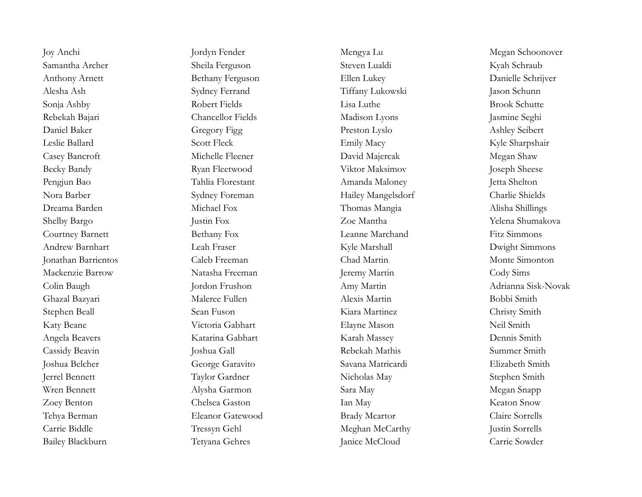Bailey Blackburn Tetyana Gehres Janice McCloud Carrie Sowder

Joy Anchi Jordyn Fender Mengya Lu Megan Schoonover Samantha Archer Sheila Ferguson Steven Lualdi Kyah Schraub Anthony Arnett Bethany Ferguson Ellen Lukey Danielle Schrijver Alesha Ash Sydney Ferrand Tiffany Lukowski Jason Schunn Sonja Ashby Robert Fields Lisa Luthe Brook Schutte Rebekah Bajari Chancellor Fields Madison Lyons Jasmine Seghi Daniel Baker Gregory Figg Preston Lyslo Ashley Seibert Leslie Ballard Scott Fleck Emily Macy Kyle Sharpshair Casey Bancroft Michelle Fleener David Majercak Megan Shaw Becky Bandy **Ryan Fleetwood** Viktor Maksimov **Joseph Sheese** Pengjun Bao Tahlia Florestant Amanda Maloney Jetta Shelton Nora Barber Sydney Foreman Hailey Mangelsdorf Charlie Shields Dreama Barden Michael Fox Thomas Mangia Alisha Shillings Shelby Bargo Justin Fox Zoe Mantha Yelena Shumakova Courtney Barnett Bethany Fox Leanne Marchand Fitz Simmons Andrew Barnhart Leah Fraser Kyle Marshall Dwight Simmons Jonathan Barrientos Caleb Freeman Chad Martin Monte Simonton Mackenzie Barrow Natasha Freeman Jeremy Martin Cody Sims Colin Baugh Jordon Frushon Amy Martin Adrianna Sisk-Novak Ghazal Bazyari Maleree Fullen Alexis Martin Bobbi Smith Stephen Beall Sean Fuson Kiara Martinez Christy Smith Katy Beane Victoria Gabhart Elayne Mason Neil Smith Angela Beavers Katarina Gabhart Karah Massey Dennis Smith Cassidy Beavin Joshua Gall Rebekah Mathis Summer Smith Joshua Belcher George Garavito Savana Matricardi Elizabeth Smith Jerrel Bennett Taylor Gardner Nicholas May Stephen Smith Wren Bennett Mysha Garmon Sara May Sara May Megan Snapp Zoey Benton Chelsea Gaston Ian May Keaton Snow Tehya Berman Eleanor Gatewood Brady Mcartor Claire Sorrells Carrie Biddle Tressyn Gehl Meghan McCarthy Justin Sorrells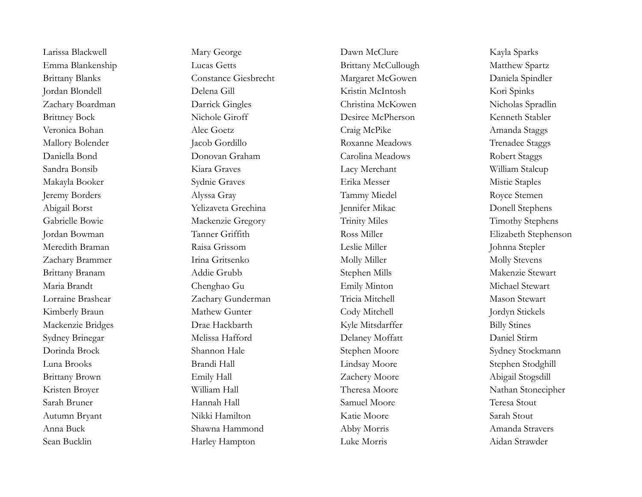Larissa Blackwell Mary George Dawn McClure Kayla Sparks Emma Blankenship Lucas Getts **Emma Blankenship** Lucas Getts **Brittany McCullough** Matthew Spartz Brittany Blanks Constance Giesbrecht Margaret McGowen Daniela Spindler Jordan Blondell Delena Gill Kristin McIntosh Kori Spinks Zachary Boardman Darrick Gingles Christina McKowen Nicholas Spradlin Brittney Bock Nichole Giroff Desiree McPherson Kenneth Stabler Veronica Bohan Alec Goetz Alec Goetz Craig McPike Amanda Staggs Mallory Bolender **Jacob Gordillo** Jacob Gordillo Roxanne Meadows Trenadee Staggs Daniella Bond Donovan Graham Carolina Meadows Robert Staggs Sandra Bonsib Kiara Graves Lacy Merchant William Stalcup Makayla Booker Sydnie Graves Erika Messer Mistie Staples Jeremy Borders Alyssa Gray Tammy Miedel Royce Stemen Abigail Borst Yelizaveta Grechina Jennifer Mikac Donell Stephens Gabrielle Bowie **Mackenzie Gregory** Trinity Miles Trinity Miles Timothy Stephens Jordan Bowman Tanner Griffith Ross Miller Elizabeth Stephenson Meredith Braman Raisa Grissom Leslie Miller Johnna Stepler Zachary Brammer Trina Gritsenko Molly Miller Molly Miller Molly Stevens Brittany Branam Addie Grubb Stephen Mills Stephen Mills Makenzie Stewart Maria Brandt Chenghao Gu Emily Minton Michael Stewart Lorraine Brashear Zachary Gunderman Tricia Mitchell Mason Stewart Kimberly Braun and Mathew Gunter Cody Mitchell Gunter Tordyn Stickels Mackenzie Bridges Drae Hackbarth Kyle Mitsdarffer Billy Stines Sydney Brinegar Melissa Hafford Delaney Moffatt Daniel Stirm Dorinda Brock Shannon Hale Shannon Hale Stephen Moore Sydney Stockmann Luna Brooks Brandi Hall Lindsay Moore Stephen Stodghill Brittany Brown Emily Hall Emily Hall Zachery Moore Abigail Stogsdill Kristen Broyer William Hall Theresa Moore Nathan Stonecipher Sarah Bruner Hannah Hall Samuel Moore Teresa Stout Autumn Bryant Nikki Hamilton Katie Moore Sarah Stout Anna Buck Shawna Hammond Abby Morris Amanda Stravers Sean Bucklin Harley Hampton Luke Morris Aidan Strawder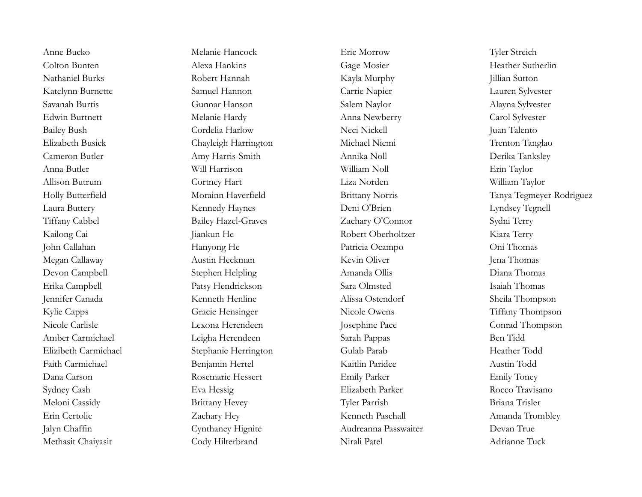Methasit Chaiyasit Cody Hilterbrand Nirali Patel Adrianne Tuck

Anne Bucko Melanie Hancock Eric Morrow Tyler Streich Colton Bunten Alexa Hankins Alexa Hankins Gage Mosier Fleather Sutherlin Nathaniel Burks Robert Hannah Kayla Murphy Jillian Sutton Katelynn Burnette Samuel Hannon Carrie Napier Lauren Sylvester Savanah Burtis Gunnar Hanson Salem Naylor Alayna Sylvester Edwin Burtnett Melanie Hardy Anna Newberry Carol Sylvester Bailey Bush Cordelia Harlow Neci Nickell Juan Talento Elizabeth Busick Chayleigh Harrington Michael Niemi Trenton Tanglao Cameron Butler Amy Harris-Smith Annika Noll Derika Tanksley Anna Butler Will Harrison William Noll Erin Taylor Allison Butrum Cortney Hart Liza Norden William Taylor Laura Buttery Kennedy Haynes Deni O'Brien Lyndsey Tegnell Tiffany Cabbel Bailey Hazel-Graves Zachary O'Connor Sydni Terry Kailong Cai Jiankun He Jiankun He Robert Oberholtzer Kiara Terry John Callahan Hanyong He Patricia Ocampo Oni Thomas Megan Callaway Austin Heckman Kevin Oliver Jena Thomas Devon Campbell Stephen Helpling Amanda Ollis Diana Thomas Erika Campbell Patsy Hendrickson Sara Olmsted Isaiah Thomas Jennifer Canada Kenneth Henline Alissa Ostendorf Sheila Thompson Kylie Capps Gracie Hensinger Nicole Owens Tiffany Thompson Nicole Carlisle Lexona Herendeen Josephine Pace Conrad Thompson Amber Carmichael Leigha Herendeen Sarah Pappas Ben Tidd Elizibeth Carmichael Stephanie Herrington Gulab Parab Heather Todd Faith Carmichael Benjamin Hertel Kaitlin Paridee Austin Todd Dana Carson Rosemarie Hessert Emily Parker Emily Toney Sydney Cash Eva Hessig Elizabeth Parker Rocco Travisano Meloni Cassidy Brittany Hevey Tyler Parrish Briana Trisler Erin Certolic Zachary Hey Kenneth Paschall Amanda Trombley Jalyn Chaffin Cynthaney Hignite Audreanna Passwaiter Devan True

Holly Butterfield Morainn Haverfield Brittany Norris Tanya Tegmeyer-Rodriguez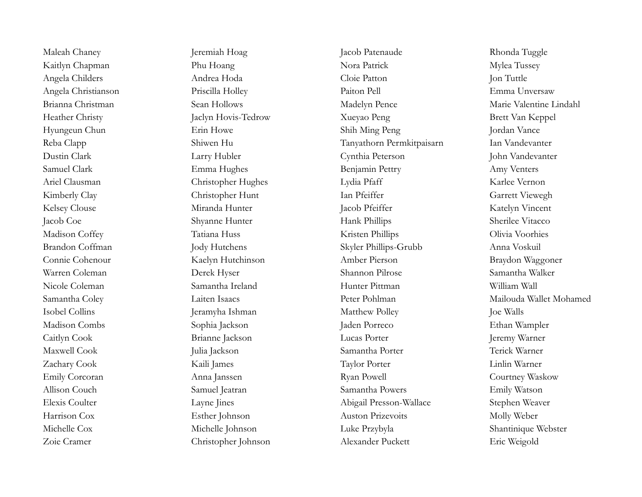Maleah Chaney **Jeremiah Hoag Jacob Patenaude** Rhonda Tuggle

Kaitlyn Chapman Phu Hoang Phu Hoang Nora Patrick Mylea Tussey Angela Childers **Andrea Hoda** Cloie Patton Jon Tuttle Angela Christianson Priscilla Holley Paiton Pell Emma Unversaw Brianna Christman Sean Hollows Sean Hollows Madelyn Pence Marie Valentine Lindahl Heather Christy Jaclyn Hovis-Tedrow Xueyao Peng Brett Van Keppel Hyungeun Chun Erin Howe Shih Ming Peng Jordan Vance Reba Clapp Shiwen Hu Shiwen Hu Tanyathorn Permkitpaisarn Ian Vandevanter Dustin Clark Larry Hubler Cynthia Peterson John Vandevanter Samuel Clark Emma Hughes Benjamin Pettry Amy Venters Ariel Clausman Christopher Hughes Lydia Pfaff Karlee Vernon Kimberly Clay Christopher Hunt Ian Pfeiffer Sarrett Viewegh Kelsey Clouse Miranda Hunter Jacob Pfeiffer Katelyn Vincent Jacob Coe Shyanne Hunter Hank Phillips Sherilee Vitacco Madison Coffey Tatiana Huss Tatiana Huss Kristen Phillips Olivia Voorhies Brandon Coffman Jody Hutchens Skyler Phillips-Grubb Anna Voskuil Connie Cohenour Kaelyn Hutchinson Amber Pierson Braydon Waggoner Warren Coleman Derek Hyser Shannon Pilrose Samantha Walker Nicole Coleman Samantha Ireland Hunter Pittman William Wall Isobel Collins **Islamic Ishman** Jeramyha Ishman Matthew Polley Joe Walls Madison Combs Sophia Jackson Jaden Porreco Ethan Wampler Caitlyn Cook Brianne Jackson Lucas Porter Jeremy Warner Maxwell Cook Julia Jackson Samantha Porter Terick Warner Zachary Cook Kaili James Taylor Porter Linlin Warner Emily Corcoran Anna Janssen Ryan Powell Courtney Waskow Allison Couch Samuel Jeatran Samantha Powers Emily Watson Elexis Coulter **Layne Jines** Layne Stephen Weaver **Abigail Presson-Wallace** Stephen Weaver Harrison Cox Esther Johnson Auston Prizevoits Molly Weber Michelle Cox Michelle Johnson Luke Przybyla Shantinique Webster Zoie Cramer Christopher Johnson Alexander Puckett Eric Weigold

Samantha Coley Laiten Isaacs Peter Pohlman Mailouda Wallet Mohamed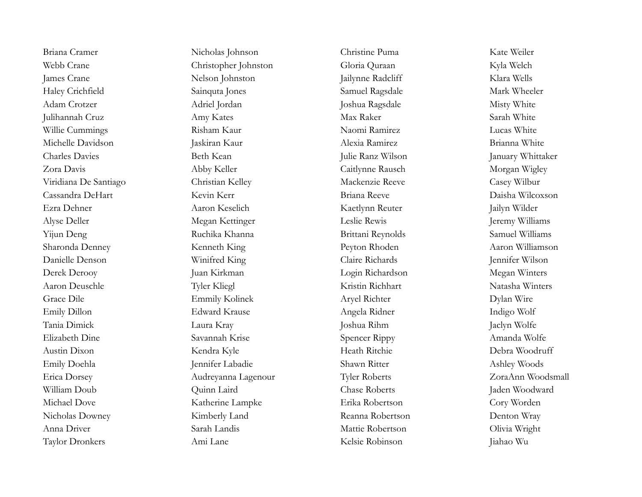Taylor Dronkers Ami Lane Kelsie Robinson Jiahao Wu

Briana Cramer Nicholas Johnson Christine Puma Kate Weiler Webb Crane Christopher Johnston Gloria Quraan Kyla Welch James Crane Nelson Johnston Jailynne Radcliff Klara Wells Haley Crichfield Sainquta Jones Samuel Ragsdale Mark Wheeler Adam Crotzer Adriel Jordan Joshua Ragsdale Misty White Julihannah Cruz Amy Kates Max Raker Sarah White Willie Cummings Risham Kaur Naomi Ramirez Lucas White Michelle Davidson Jaskiran Kaur Alexia Ramirez Brianna White Charles Davies **Beth Kean** Julie Ranz Wilson January Whittaker Zora Davis Abby Keller Caitlynne Rausch Morgan Wigley Viridiana De Santiago Christian Kelley Mackenzie Reeve Casey Wilbur Cassandra DeHart Kevin Kerr Briana Reeve Daisha Wilcoxson Ezra Dehner Aaron Keselich Kaetlynn Reuter Jailyn Wilder Alyse Deller Megan Kettinger Leslie Rewis Jeremy Williams Yijun Deng Samuel Williams Ruchika Khanna Brittani Reynolds Samuel Williams Sharonda Denney Kenneth King Peyton Rhoden Aaron Williamson Danielle Denson Winifred King Claire Richards Jennifer Wilson Derek Derooy Juan Kirkman Login Richardson Megan Winters Aaron Deuschle Tyler Kliegl Kristin Richhart Natasha Winters Grace Dile Emmily Kolinek Aryel Richter Bylan Wire Emily Dillon Edward Krause Angela Ridner and Indigo Wolf Tania Dimick Laura Kray Joshua Rihm Jaclyn Wolfe Elizabeth Dine Savannah Krise Spencer Rippy Amanda Wolfe Austin Dixon Kendra Kyle Heath Ritchie Debra Woodruff Emily Doehla Jennifer Labadie Shawn Ritter Ashley Woods Erica Dorsey Audreyanna Lagenour Tyler Roberts ZoraAnn Woodsmall William Doub Quinn Laird Chase Roberts Jaden Woodward Michael Dove Katherine Lampke Erika Robertson Cory Worden Nicholas Downey Kimberly Land Reanna Robertson Denton Wray Anna Driver Sarah Landis Mattie Robertson Olivia Wright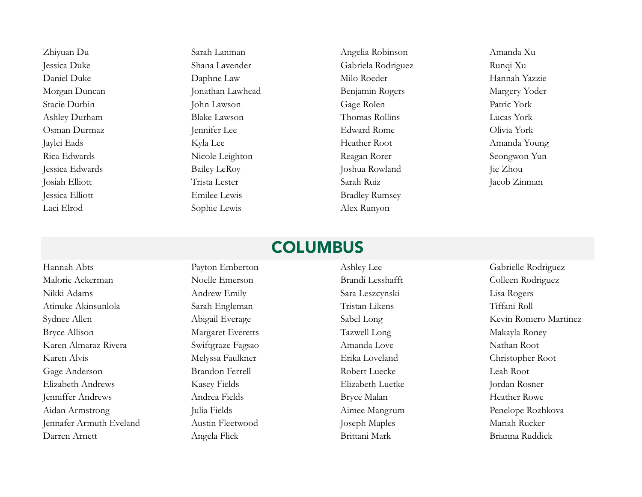Zhiyuan Du Sarah Lanman Angelia Robinson Amanda Xu Jessica Duke Shana Lavender Gabriela Rodriguez Runqi Xu Daniel Duke Daphne Law Milo Roeder Hannah Yazzie Morgan Duncan Jonathan Lawhead Benjamin Rogers Margery Yoder Stacie Durbin John Lawson Gage Rolen Patric York Ashley Durham Blake Lawson Thomas Rollins Lucas York Osman Durmaz Jennifer Lee Edward Rome Olivia York Jaylei Eads Kyla Lee Heather Root Amanda Young Rica Edwards Nicole Leighton Reagan Rorer Seongwon Yun Jessica Edwards Bailey LeRoy Joshua Rowland Jie Zhou Josiah Elliott Trista Lester Sarah Ruiz Jacob Zinman Jessica Elliott Emilee Lewis Bradley Rumsey Laci Elrod Sophie Lewis Alex Runyon

# **COLUMBUS**

Hannah Abts Payton Emberton Ashley Lee Gabrielle Rodriguez Malorie Ackerman Moelle Emerson Brandi Lesshafft Colleen Rodriguez Nikki Adams Andrew Emily Sara Leszcynski Lisa Rogers Atinuke Akinsunlola Sarah Engleman Tristan Likens Tiffani Roll Bryce Allison Margaret Everetts Tazwell Long Makayla Roney Karen Almaraz Rivera Swiftgraze Fagsao Amanda Love Nathan Root Karen Alvis Melyssa Faulkner Erika Loveland Christopher Root Gage Anderson Brandon Ferrell Robert Luecke Leah Root Elizabeth Andrews Kasey Fields Elizabeth Luetke Jordan Rosner Jenniffer Andrews Andrea Fields Bryce Malan Heather Rowe Aidan Armstrong Julia Fields Aimee Mangrum Penelope Rozhkova Jennafer Armuth Eveland Austin Fleetwood Joseph Maples Mariah Rucker Darren Arnett Angela Flick Brittani Mark Brianna Ruddick

Sydnee Allen Martinez Abigail Everage Sabel Long Kevin Romero Martinez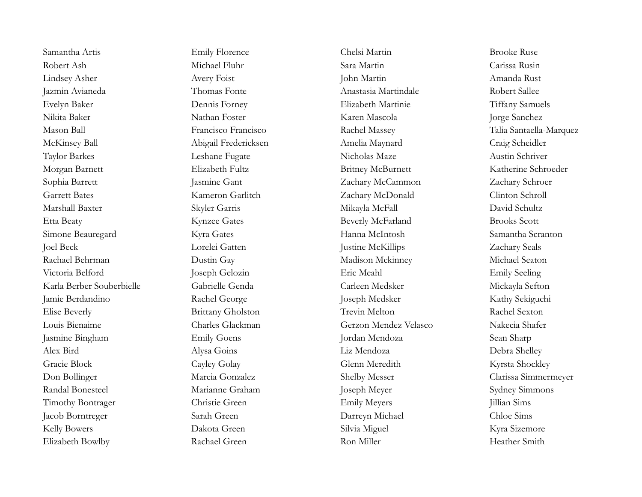Robert Ash Michael Fluhr Sara Martin Carissa Rusin Lindsey Asher Avery Foist John Martin Amanda Rust Jazmin Avianeda Thomas Fonte Anastasia Martindale Robert Sallee Evelyn Baker Dennis Forney Elizabeth Martinie Tiffany Samuels Nikita Baker Nathan Foster Karen Mascola Jorge Sanchez McKinsey Ball Abigail Fredericksen Amelia Maynard Craig Scheidler Taylor Barkes Leshane Fugate Nicholas Maze Austin Schriver Morgan Barnett Elizabeth Fultz Britney McBurnett Katherine Schroeder Sophia Barrett Jasmine Gant Jasmine Gant Zachary McCammon Zachary Schroer Garrett Bates Kameron Garlitch Zachary McDonald Clinton Schroll Marshall Baxter Skyler Garris Skyler Garris Mikayla McFall David Schultz Etta Beaty Kynzee Gates Beverly McFarland Brooks Scott Simone Beauregard Kyra Gates Hanna McIntosh Samantha Scranton Joel Beck Lorelei Gatten Justine McKillips Zachary Seals Rachael Behrman Dustin Gay Madison Mckinney Michael Seaton Victoria Belford Joseph Gelozin Eric Meahl Emily Seeling Karla Berber Souberbielle Gabrielle Genda Carleen Medsker Mickayla Sefton Jamie Berdandino Rachel George Joseph Medsker Kathy Sekiguchi Elise Beverly Brittany Gholston Trevin Melton Rachel Sexton Louis Bienaime Charles Glackman Gerzon Mendez Velasco Nakecia Shafer Jasmine Bingham Emily Goens Jordan Mendoza Sean Sharp Alex Bird Alysa Goins Liz Mendoza Debra Shelley Gracie Block Cayley Golay Cayley Golay Glenn Meredith Kyrsta Shockley Randal Bonesteel Marianne Graham Joseph Meyer Sydney Simmons Timothy Bontrager Christie Green Emily Meyers Jillian Sims Jacob Borntreger Sarah Green Darreyn Michael Chloe Sims Kelly Bowers Dakota Green Silvia Miguel Kyra Sizemore Elizabeth Bowlby Rachael Green Ron Miller Ron Miller Heather Smith

Samantha Artis Emily Florence Chelsi Martin Brooke Ruse

Mason Ball Francisco Francisco Rachel Massey Talia Santaella-Marquez Don Bollinger Marcia Gonzalez Shelby Messer Clarissa Simmermeyer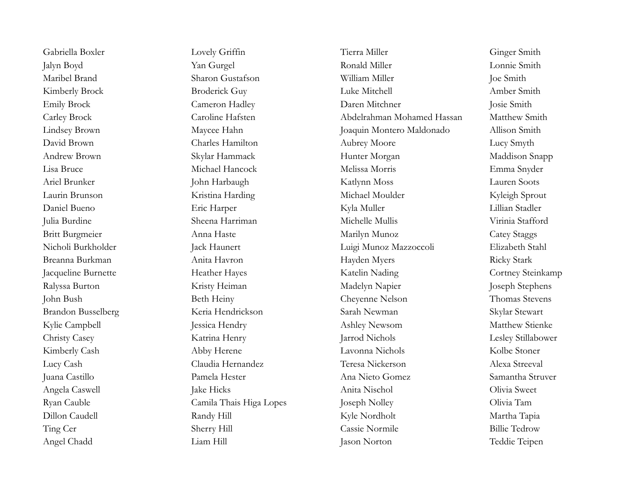Gabriella Boxler Lovely Griffin Tierra Miller Ginger Smith Jalyn Boyd Yan Gurgel Ronald Miller Lonnie Smith Maribel Brand Sharon Gustafson William Miller Joe Smith Kimberly Brock Broderick Guy Luke Mitchell Amber Smith Emily Brock Cameron Hadley Daren Mitchner Josie Smith Carley Brock Caroline Hafsten Abdelrahman Mohamed Hassan Matthew Smith Lindsey Brown Maycee Hahn Joaquin Montero Maldonado Allison Smith David Brown Charles Hamilton Aubrey Moore Lucy Smyth Andrew Brown Skylar Hammack Hunter Morgan Maddison Snapp Lisa Bruce Michael Hancock Melissa Morris Emma Snyder Ariel Brunker John Harbaugh Katlynn Moss Lauren Soots Laurin Brunson Kristina Harding Michael Moulder Kyleigh Sprout Daniel Bueno Eric Harper Kyla Muller Lillian Stadler Julia Burdine Sheena Harriman Michelle Mullis Virinia Stafford Britt Burgmeier **Anna Haste** Anna Haste Marilyn Munoz Catey Staggs Nicholi Burkholder Jack Haunert Luigi Munoz Mazzoccoli Elizabeth Stahl Breanna Burkman Micky Stark Anita Havron Hayden Myers Ricky Stark Jacqueline Burnette **Heather Hayes** Heather Hayes Katelin Nading Cortney Steinkamp Ralyssa Burton Kristy Heiman Madelyn Napier Joseph Stephens John Bush Beth Heiny Cheyenne Nelson Thomas Stevens Brandon Busselberg Keria Hendrickson Sarah Newman Skylar Stewart Kylie Campbell **Ashley Newsom** Jessica Hendry Ashley Newsom Matthew Stienke Christy Casey Katrina Henry Jarrod Nichols Lesley Stillabower Kimberly Cash Abby Herene Lavonna Nichols Kolbe Stoner Lucy Cash Claudia Hernandez Teresa Nickerson Alexa Streeval Juana Castillo Pamela Hester Ana Nieto Gomez Samantha Struver Angela Caswell Jake Hicks Jake Hicks Anita Nischol Olivia Sweet Ryan Cauble Camila Thais Higa Lopes Joseph Nolley Olivia Tam Dillon Caudell Randy Hill Kyle Nordholt Martha Tapia Ting Cer Sherry Hill Cassie Normile Billie Tedrow Angel Chadd Liam Hill Jason Norton Teddie Teipen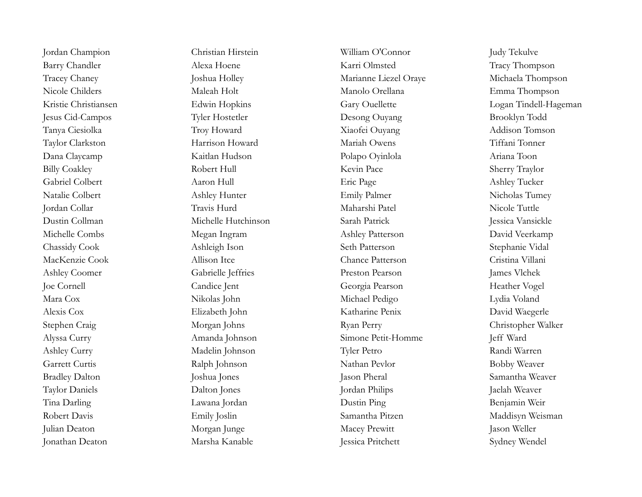Jordan Champion Christian Hirstein William O'Connor Judy Tekulve Barry Chandler Alexa Hoene Karri Olmsted Tracy Thompson Tracey Chaney **Institute Solution** Joshua Holley Marianne Liezel Oraye Michaela Thompson Nicole Childers Maleah Holt Manolo Orellana Emma Thompson Jesus Cid-Campos Tyler Hostetler Desong Ouyang Brooklyn Todd Tanya Ciesiolka Troy Howard Xiaofei Ouyang Addison Tomson Taylor Clarkston Harrison Howard Mariah Owens Tiffani Tonner Dana Claycamp Kaitlan Hudson Polapo Oyinlola Ariana Toon Billy Coakley Robert Hull Kevin Pace Sherry Traylor Gabriel Colbert Aaron Hull Eric Page Ashley Tucker Natalie Colbert Ashley Hunter Emily Palmer Nicholas Tumey Jordan Collar Travis Hurd Maharshi Patel Nicole Tuttle Dustin Collman Michelle Hutchinson Sarah Patrick Jessica Vansickle Michelle Combs Megan Ingram Ashley Patterson David Veerkamp Chassidy Cook Ashleigh Ison Seth Patterson Stephanie Vidal MacKenzie Cook Allison Itce Chance Patterson Cristina Villani Ashley Coomer Gabrielle Jeffries Preston Pearson James Vlchek Joe Cornell Candice Jent Georgia Pearson Heather Vogel Mara Cox Nikolas John Michael Pedigo Lydia Voland Alexis Cox Elizabeth John Katharine Penix David Waegerle Stephen Craig Morgan Johns Ryan Perry Christopher Walker Alyssa Curry Amanda Johnson Simone Petit-Homme Jeff Ward Ashley Curry Madelin Johnson Tyler Petro Randi Warren Garrett Curtis Ralph Johnson Nathan Pevlor Bobby Weaver Bradley Dalton Joshua Jones Jason Pheral Jason Pheral Samantha Weaver Taylor Daniels Dalton Jones Jordan Philips Jaelah Weaver Tina Darling Lawana Jordan Dustin Ping Benjamin Weir Robert Davis **Emily Joslin** Emily Joslin Samantha Pitzen Maddisyn Weisman Julian Deaton Morgan Junge Macey Prewitt Jason Weller

Jonathan Deaton Marsha Kanable Jessica Pritchett Sydney Wendel

Kristie Christiansen Edwin Hopkins Gary Ouellette Logan Tindell-Hageman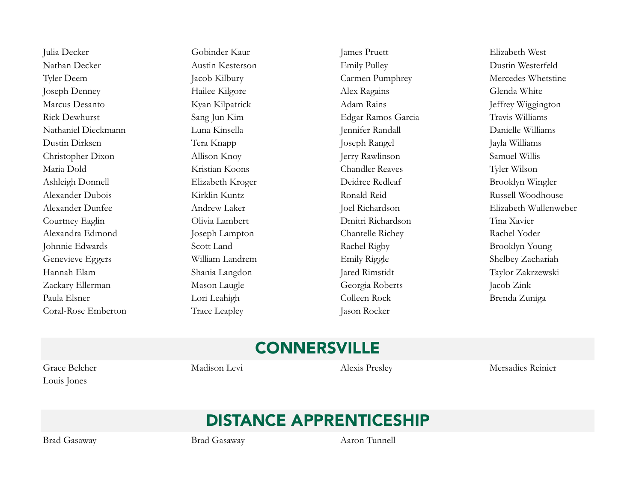Julia Decker Gobinder Kaur James Pruett Elizabeth West Nathan Decker Austin Kesterson Emily Pulley Dustin Westerfeld Tyler Deem Jacob Kilbury **Carmen Pumphrey** Mercedes Whetstine Joseph Denney Hailee Kilgore Hailee Kilgore Alex Ragains Glenda White Marcus Desanto Kyan Kilpatrick Adam Rains Jeffrey Wiggington Rick Dewhurst Sang Jun Kim Edgar Ramos Garcia Travis Williams Nathaniel Dieckmann Luna Kinsella Jennifer Randall Danielle Williams Dustin Dirksen Tera Knapp Joseph Rangel Jayla Williams Christopher Dixon Allison Knoy Jerry Rawlinson Samuel Willis Maria Dold Kristian Koons Chandler Reaves Tyler Wilson Ashleigh Donnell Elizabeth Kroger Deidree Redleaf Brooklyn Wingler Alexander Dubois Kirklin Kuntz Ronald Reid Russell Woodhouse Alexander Dunfee Andrew Laker Joel Richardson Elizabeth Wullenweber Courtney Eaglin Olivia Lambert Dmitri Richardson Tina Xavier Alexandra Edmond Joseph Lampton Chantelle Richey Rachel Yoder Johnnie Edwards Scott Land Scott Land Rachel Rigby Brooklyn Young Genevieve Eggers William Landrem Emily Riggle Shelbey Zachariah Hannah Elam Shania Langdon Jared Rimstidt Taylor Zakrzewski Zackary Ellerman Mason Laugle Georgia Roberts Jacob Zink Paula Elsner Colleen Rock Brenda Zuniga Coral-Rose Emberton Trace Leapley Jason Rocker

# CONNERSVILLE

Louis Jones

Grace Belcher Madison Levi Alexis Presley Mersadies Reinier

# DISTANCE APPRENTICESHIP

Brad Gasaway Brad Gasaway Aaron Tunnell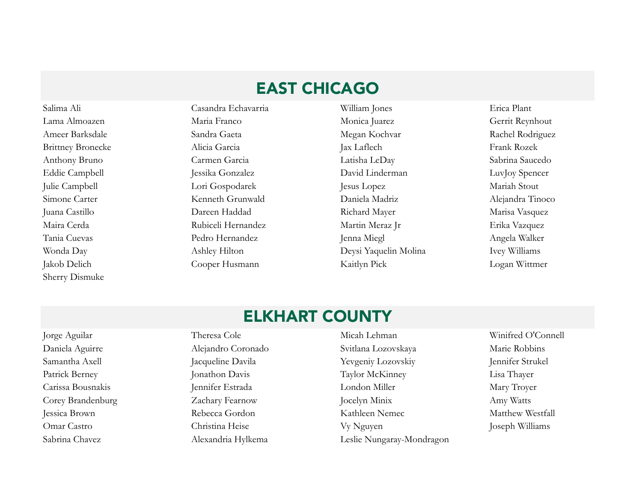# EAST CHICAGO

Sherry Dismuke

Salima Ali Casandra Echavarria William Jones Erica Plant Lama Almoazen Maria Franco Monica Juarez Gerrit Reynhout Ameer Barksdale Sandra Gaeta Sandra Gaeta Megan Kochvar Rachel Rodriguez Brittney Bronecke Alicia Garcia Jax Laflech Jax Laflech Frank Rozek Anthony Bruno Carmen Garcia Latisha LeDay Sabrina Saucedo Eddie Campbell Jessika Gonzalez David Linderman LuvJoy Spencer Julie Campbell Lori Gospodarek Jesus Lopez Mariah Stout Simone Carter Kenneth Grunwald Daniela Madriz Alejandra Tinoco Juana Castillo Dareen Haddad Richard Mayer Marisa Vasquez Maira Cerda Rubiceli Hernandez Martin Meraz Jr Erika Vazquez Tania Cuevas Pedro Hernandez Jenna Miegl Angela Walker Wonda Day Ashley Hilton Deysi Yaquelin Molina Ivey Williams Jakob Delich Cooper Husmann Kaitlyn Pick Logan Wittmer

#### ELKHART COUNTY

Jorge Aguilar Theresa Cole Micah Lehman Winifred O'Connell Daniela Aguirre Alejandro Coronado Svitlana Lozovskaya Marie Robbins Samantha Axell Jacqueline Davila Yevgeniy Lozovskiy Jennifer Strukel Patrick Berney Jonathon Davis Taylor McKinney Lisa Thayer Carissa Bousnakis Jennifer Estrada London Miller Mary Troyer Corey Brandenburg Zachary Fearnow Jocelyn Minix Amy Watts Jessica Brown Rebecca Gordon Kathleen Nemec Matthew Westfall Omar Castro Christina Heise Vy Nguyen Joseph Williams Sabrina Chavez Alexandria Hylkema Leslie Nungaray-Mondragon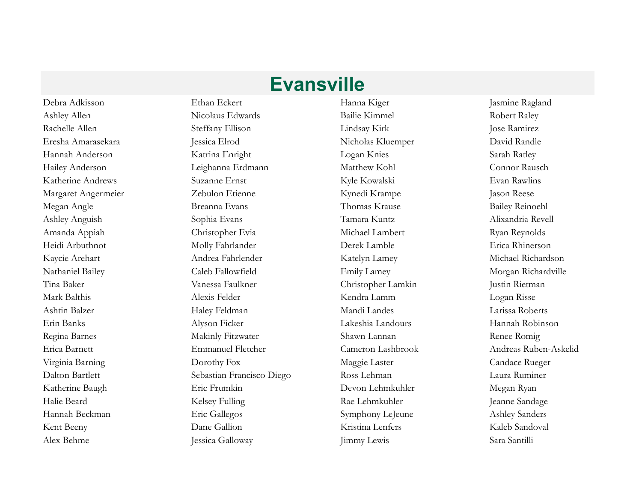Alex Behme Jessica Galloway Jimmy Lewis Sara Santilli

Debra Adkisson Ethan Eckert Hanna Kiger Jasmine Ragland Ashley Allen **Nicolaus Edwards** Bailie Kimmel Robert Raley Robert Raley Rachelle Allen Steffany Ellison Lindsay Kirk Jose Ramirez Eresha Amarasekara *Jessica Elrod* Nicholas Kluemper David Randle Hannah Anderson Katrina Enright Logan Knies Sarah Ratley Hailey Anderson Leighanna Erdmann Matthew Kohl Connor Rausch Katherine Andrews Suzanne Ernst Kyle Kowalski Evan Rawlins Margaret Angermeier **Zebulon Etienne** Kynedi Krampe Jason Reese Megan Angle Breanna Evans Thomas Krause Bailey Reinoehl Ashley Anguish Sophia Evans Tamara Kuntz Alixandria Revell Amanda Appiah Christopher Evia Michael Lambert Ryan Reynolds Heidi Arbuthnot Molly Fahrlander Derek Lamble Erica Rhinerson Kaycie Arehart Andrea Fahrlender Katelyn Lamey Michael Richardson Nathaniel Bailey Caleb Fallowfield Emily Lamey Morgan Richardville Tina Baker Vanessa Faulkner Christopher Lamkin Justin Rietman Mark Balthis Alexis Felder Kendra Lamm Logan Risse Ashtin Balzer Haley Feldman Mandi Landes Larissa Roberts Erin Banks Alyson Ficker Lakeshia Landours Hannah Robinson Regina Barnes **Makinly Fitzwater** Shawn Lannan Shawn Lannan Renee Romig Erica Barnett Emmanuel Fletcher Cameron Lashbrook Andreas Ruben-Askelid Virginia Barning Candace Rueger Candace Rueger Dorothy Fox Maggie Laster Candace Rueger Candace Rueger Dalton Bartlett Sebastian Francisco Diego Ross Lehman Laura Ruminer Katherine Baugh Eric Frumkin Devon Lehmkuhler Megan Ryan Halie Beard Kelsey Fulling Rae Lehmkuhler Jeanne Sandage Hannah Beckman Eric Gallegos Symphony LeJeune Ashley Sanders Kent Beeny Dane Gallion **Dane Gallion** Kristina Lenfers Kaleb Sandoval

**Evansville**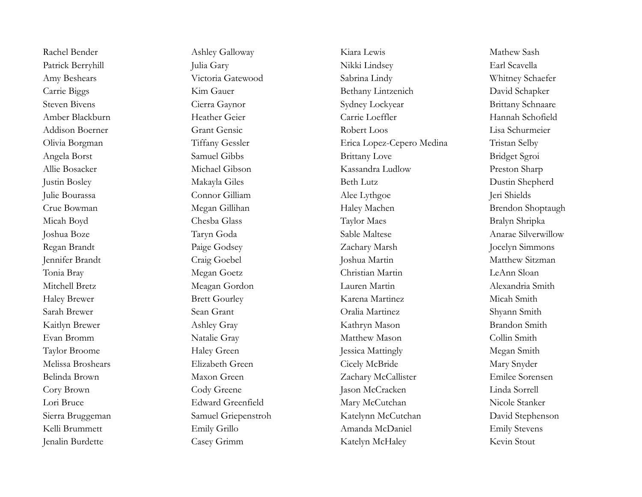Rachel Bender Ashley Galloway Kiara Lewis Kiara Mathew Sash Patrick Berryhill Julia Gary Julia Gary Nikki Lindsey Earl Scavella Amy Beshears Victoria Gatewood Sabrina Lindy Whitney Schaefer Carrie Biggs Kim Gauer Kim Gauer Bethany Lintzenich David Schapker Steven Bivens Cierra Gaynor Sydney Lockyear Brittany Schnaare Amber Blackburn Heather Geier Carrie Loeffler Hannah Schofield Addison Boerner Grant Gensic Robert Loos Lisa Schurmeier Olivia Borgman Tiffany Gessler Erica Lopez-Cepero Medina Tristan Selby Angela Borst Samuel Gibbs Brittany Love Bridget Sgroi Allie Bosacker Michael Gibson Kassandra Ludlow Preston Sharp Justin Bosley Makayla Giles Beth Lutz Dustin Shepherd Julie Bourassa Connor Gilliam Alee Lythgoe Jeri Shields Crue Bowman Megan Gillihan Haley Machen Brendon Shoptaugh Micah Boyd Chesba Glass Taylor Maes Bralyn Shripka Joshua Boze Taryn Goda Sable Maltese Anarae Silverwillow Regan Brandt Paige Godsey Zachary Marsh Jocelyn Simmons Jennifer Brandt Craig Goebel Joshua Martin Matthew Sitzman Tonia Bray Megan Goetz Christian Martin LeAnn Sloan Mitchell Bretz Meagan Gordon Lauren Martin Alexandria Smith Haley Brewer Brett Gourley Karena Martinez Micah Smith Sarah Brewer Sean Grant Oralia Martinez Shyann Smith Kaitlyn Brewer Ashley Gray Kathryn Mason Brandon Smith Evan Bromm Natalie Gray Matthew Mason Collin Smith Taylor Broome Haley Green Jessica Mattingly Megan Smith Melissa Broshears Elizabeth Green Cicely McBride Mary Snyder Belinda Brown Maxon Green Zachary McCallister Emilee Sorensen Cory Brown Cody Greene Jason McCracken Linda Sorrell Lori Bruce Edward Greenfield Mary McCutchan Nicole Stanker Sierra Bruggeman Samuel Griepenstroh Katelynn McCutchan David Stephenson Kelli Brummett Emily Grillo Emily Grillo Amanda McDaniel Emily Stevens Jenalin Burdette Casey Grimm Katelyn McHaley Kevin Stout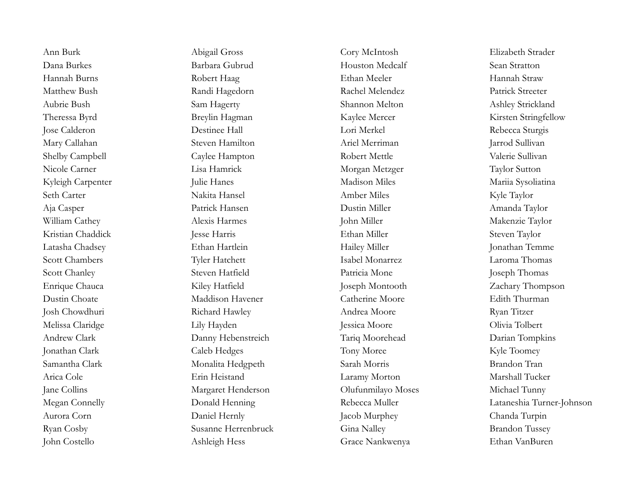Ann Burk Abigail Gross Cory McIntosh Elizabeth Strader Dana Burkes Barbara Gubrud Houston Medcalf Sean Stratton Hannah Burns Robert Haag Ethan Meeler Hannah Straw Matthew Bush Randi Hagedorn Rachel Melendez Patrick Streeter Aubrie Bush Sam Hagerty Shannon Melton Ashley Strickland Theressa Byrd Breylin Hagman Kaylee Mercer Kirsten Stringfellow Jose Calderon Destinee Hall Lori Merkel Rebecca Sturgis Mary Callahan Steven Hamilton Ariel Merriman Jarrod Sullivan Shelby Campbell Caylee Hampton Robert Mettle Valerie Sullivan Nicole Carner Lisa Hamrick Morgan Metzger Taylor Sutton Kyleigh Carpenter Julie Hanes Madison Miles Madison Miles Mariia Sysoliatina Seth Carter Nakita Hansel Amber Miles Kyle Taylor Aja Casper Patrick Hansen Dustin Miller Amanda Taylor William Cathey **Alexis Harmes** Alexis Harmes John Miller **Makenzie Taylor** Makenzie Taylor Kristian Chaddick Jesse Harris Ethan Miller Steven Taylor Latasha Chadsey Ethan Hartlein Hailey Miller Jonathan Temme Scott Chambers Tyler Hatchett Isabel Monarrez Laroma Thomas Scott Chanley Steven Hatfield Patricia Mone Joseph Thomas Enrique Chauca Kiley Hatfield Joseph Montooth Zachary Thompson Dustin Choate Maddison Havener Catherine Moore Edith Thurman Josh Chowdhuri Richard Hawley Andrea Moore Ryan Titzer Melissa Claridge Lily Hayden Jessica Moore Olivia Tolbert Andrew Clark Danny Hebenstreich Tariq Moorehead Darian Tompkins Jonathan Clark Caleb Hedges Tony Moree Kyle Toomey Samantha Clark Monalita Hedgpeth Sarah Morris Brandon Tran Arica Cole Erin Heistand Laramy Morton Marshall Tucker Jane Collins Margaret Henderson Olufunmilayo Moses Michael Tunny Aurora Corn **Daniel Hernly** Daniel Hernly Jacob Murphey Chanda Turpin Ryan Cosby Susanne Herrenbruck Gina Nalley Brandon Tussey John Costello Ashleigh Hess Grace Nankwenya Ethan VanBuren

Megan Connelly Donald Henning Rebecca Muller Lataneshia Turner-Johnson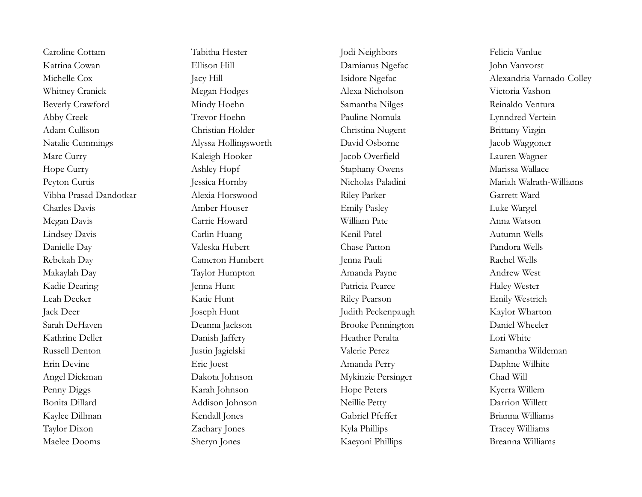Katrina Cowan Ellison Hill Damianus Ngefac John Vanvorst Whitney Cranick Megan Hodges Alexa Nicholson Victoria Vashon Beverly Crawford Mindy Hoehn Samantha Nilges Reinaldo Ventura Abby Creek Trevor Hoehn Pauline Nomula Lynndred Vertein Adam Cullison Christian Holder Christina Nugent Brittany Virgin Natalie Cummings Alyssa Hollingsworth David Osborne Jacob Waggoner Marc Curry Kaleigh Hooker Jacob Overfield Lauren Wagner Hope Curry Ashley Hopf Staphany Owens Marissa Wallace Vibha Prasad Dandotkar Alexia Horswood Riley Parker Garrett Ward Charles Davis Amber Houser Emily Pasley Luke Wargel Megan Davis Carrie Howard William Pate Anna Watson Lindsey Davis Carlin Huang Kenil Patel Autumn Wells Danielle Day Valeska Hubert Chase Patton Pandora Wells Rebekah Day Cameron Humbert Jenna Pauli Rachel Wells Makaylah Day Taylor Humpton Amanda Payne Andrew West Kadie Dearing Jenna Hunt Patricia Pearce Haley Wester Leah Decker Katie Hunt Katie Hunt Riley Pearson Emily Westrich Jack Deer Joseph Hunt Judith Peckenpaugh Kaylor Wharton Sarah DeHaven Deanna Jackson Brooke Pennington Daniel Wheeler Kathrine Deller Danish Jaffery Heather Peralta Lori White Russell Denton Justin Jagielski Valerie Perez Samantha Wildeman Erin Devine Eric Joest Amanda Perry Daphne Wilhite Angel Dickman Dakota Johnson Mykinzie Persinger Chad Will Penny Diggs Karah Johnson Hope Peters Kyerra Willem Bonita Dillard Addison Johnson Neillie Petty Darrion Willett Kaylee Dillman Kendall Jones Gabriel Pfeffer Brianna Williams Taylor Dixon Zachary Jones Kyla Phillips Tracey Williams Maelee Dooms Sheryn Jones Kaeyoni Phillips Breanna Williams

Caroline Cottam Tabitha Hester Jodi Neighbors Felicia Vanlue

Michelle Cox Jacy Hill Jacy Hill Isidore Ngefac Alexandria Varnado-Colley Peyton Curtis **Sancta Peyton Curtis** Jessica Hornby Nicholas Paladini Mariah Walrath-Williams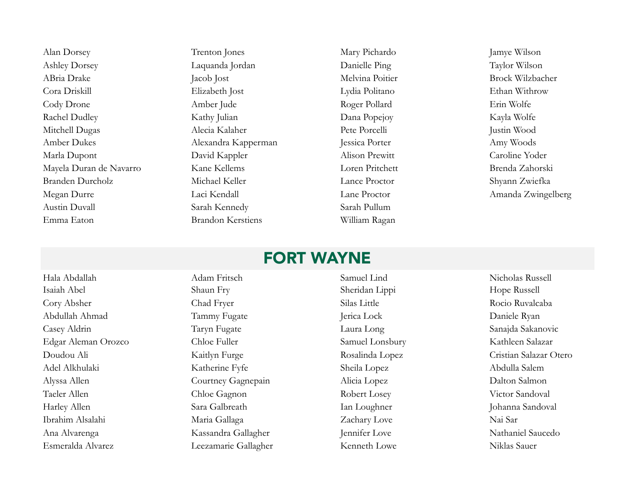Alan Dorsey Trenton Jones Mary Pichardo Jamye Wilson Ashley Dorsey **Laquanda Jordan** Danielle Ping Taylor Wilson ABria Drake Jacob Jost Melvina Poitier Brock Wilzbacher Cora Driskill Elizabeth Jost Lydia Politano Ethan Withrow Cody Drone **Amber Jude** Amber Jude Roger Pollard Erin Wolfe Rachel Dudley Kathy Julian Dana Popejoy Kayla Wolfe Mitchell Dugas Alecia Kalaher Pete Porcelli Justin Wood Amber Dukes Alexandra Kapperman Jessica Porter Amy Woods Marla Dupont David Kappler Alison Prewitt Caroline Yoder Mayela Duran de Navarro Kane Kellems Loren Pritchett Brenda Zahorski Branden Durcholz Michael Keller Lance Proctor Shyann Zwiefka Megan Durre Laci Kendall Lane Proctor Amanda Zwingelberg Austin Duvall Sarah Kennedy Sarah Pullum Emma Eaton Brandon Kerstiens William Ragan

### FORT WAYNE

Hala Abdallah Adam Fritsch Samuel Lind Nicholas Russell Isaiah Abel Shaun Fry Sheridan Lippi Hope Russell Cory Absher Chad Fryer Silas Little Rocio Ruvalcaba Abdullah Ahmad Tammy Fugate Jerica Lock Daniele Ryan Casey Aldrin Taryn Fugate Laura Long Sanajda Sakanovic Edgar Aleman Orozco Chloe Fuller Salazar Samuel Lonsbury Kathleen Salazar Doudou Ali Kaitlyn Furge Rosalinda Lopez Cristian Salazar Otero Adel Alkhulaki Katherine Fyfe Sheila Lopez Abdulla Salem Alyssa Allen Courtney Gagnepain Alicia Lopez Dalton Salmon Taeler Allen Chloe Gagnon Robert Losey Victor Sandoval Harley Allen Sara Galbreath Ian Loughner Johanna Sandoval Ibrahim Alsalahi Maria Gallaga Maria Gallaga Zachary Love Nai Sar Ana Alvarenga Kassandra Gallagher Jennifer Love Nathaniel Saucedo Esmeralda Alvarez Leezamarie Gallagher Kenneth Lowe Niklas Sauer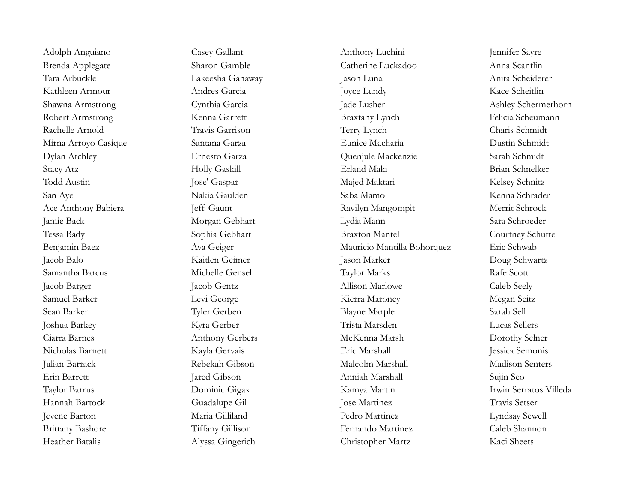Adolph Anguiano Casey Gallant Anthony Luchini Jennifer Sayre Brenda Applegate Sharon Gamble Catherine Luckadoo Anna Scantlin Tara Arbuckle Lakeesha Ganaway Jason Luna Anita Scheiderer Kathleen Armour **Andres Garcia** Andres Garcia Andres Andres Andres Andres Andres Andres Andres Andres Andres Andres Andres Andres Andres Andres Andres Andres Andres Andres Andres Andres Andres Andres Andres Andres Andres A Shawna Armstrong Cynthia Garcia Jade Lusher Jade Lusher Ashley Schermerhorn Robert Armstrong Kenna Garrett Kenna Garrett Braxtany Lynch Felicia Scheumann Rachelle Arnold Travis Garrison Terry Lynch Charis Schmidt Mirna Arroyo Casique Santana Garza Eunice Macharia Dustin Schmidt Dylan Atchley Ernesto Garza Quenjule Mackenzie Sarah Schmidt Stacy Atz Holly Gaskill Erland Maki Brian Schnelker Todd Austin Jose' Gaspar Majed Maktari Kelsey Schnitz San Aye Nakia Gaulden Saba Mamo Kenna Schrader Ace Anthony Babiera Jeff Gaunt Ravilyn Mangompit Merrit Schrock Jamie Back Morgan Gebhart Lydia Mann Sara Schroeder Tessa Bady Sophia Gebhart Sophia Gebhart Braxton Mantel Courtney Schutte Benjamin Baez Ava Geiger Mauricio Mantilla Bohorquez Eric Schwab Jacob Balo Kaitlen Geimer Jason Marker Doug Schwartz Samantha Barcus Michelle Gensel Taylor Marks Rafe Scott Jacob Barger Jacob Gentz Allison Marlowe Caleb Seely Samuel Barker Levi George Kierra Maroney Megan Seitz Sean Barker Tyler Gerben Blayne Marple Sarah Sell Joshua Barkey Kyra Gerber Trista Marsden Lucas Sellers Ciarra Barnes Anthony Gerbers McKenna Marsh Dorothy Selner Nicholas Barnett Kayla Gervais Eric Marshall Jessica Semonis Julian Barrack Rebekah Gibson Malcolm Marshall Madison Senters Erin Barrett Jared Gibson Anniah Marshall Sujin Seo Taylor Barrus Dominic Gigax Kamya Martin Irwin Serratos Villeda Hannah Bartock Guadalupe Gil Jose Martinez Travis Setser Jevene Barton Maria Gilliland Pedro Martinez Lyndsay Sewell Brittany Bashore Tiffany Gillison Fernando Martinez Caleb Shannon Heather Batalis Alyssa Gingerich Christopher Martz Kaci Sheets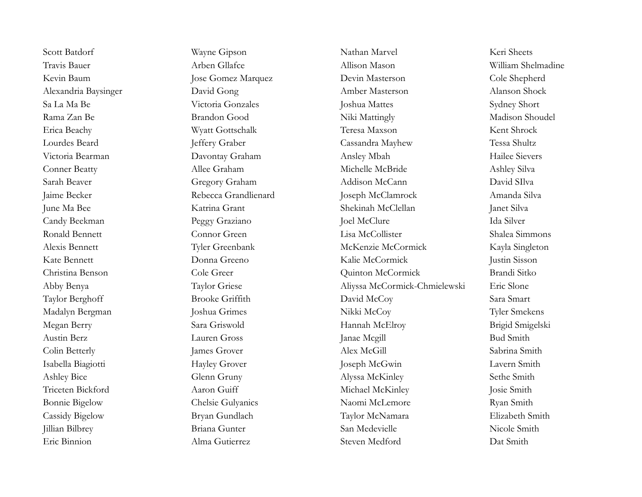Scott Batdorf Wayne Gipson Nathan Marvel Keri Sheets Travis Bauer Arben Gllafce Allison Mason William Shelmadine Kevin Baum Jose Gomez Marquez Devin Masterson Cole Shepherd Alexandria Baysinger David Gong Amber Masterson Alanson Shock Sa La Ma Be Victoria Gonzales Joshua Mattes Sydney Short Rama Zan Be Brandon Good Niki Mattingly Madison Shoudel Erica Beachy Wyatt Gottschalk Teresa Maxson Kent Shrock Lourdes Beard Jeffery Graber Cassandra Mayhew Tessa Shultz Victoria Bearman Davontay Graham Ansley Mbah Hailee Sievers Conner Beatty Allee Graham Allee Graham Michelle McBride Ashley Silva Sarah Beaver Gregory Graham Addison McCann David SIlva Jaime Becker Rebecca Grandlienard Joseph McClamrock Amanda Silva June Ma Bee Katrina Grant Shekinah McClellan Janet Silva Candy Beekman Peggy Graziano Joel McClure Ida Silver Ronald Bennett Connor Green Lisa McCollister Shalea Simmons Alexis Bennett Tyler Greenbank McKenzie McCormick Kayla Singleton Kate Bennett Donna Greeno Kalie McCormick Justin Sisson Christina Benson Cole Greer Quinton McCormick Brandi Sitko Abby Benya Taylor Griese Aliyssa McCormick-Chmielewski Eric Slone Taylor Berghoff Brooke Griffith David McCoy Sara Smart Madalyn Bergman Joshua Grimes Nikki McCoy Tyler Smekens Megan Berry Sara Griswold Hannah McElroy Brigid Smigelski Austin Berz Lauren Gross Janae Mcgill Bud Smith Colin Betterly Sabrina Smith James Grover Alex McGill Sabrina Smith Isabella Biagiotti Hayley Grover Joseph McGwin Lavern Smith Ashley Bice Glenn Gruny Glenn Gruny Alyssa McKinley Sethe Smith Triceten Bickford Aaron Guiff Michael McKinley Josie Smith Bonnie Bigelow Chelsie Gulyanics Naomi McLemore Ryan Smith Cassidy Bigelow Bryan Gundlach Taylor McNamara Elizabeth Smith Jillian Bilbrey Briana Gunter San Medevielle Nicole Smith Eric Binnion **Example 2** Alma Gutierrez Steven Medford Dat Smith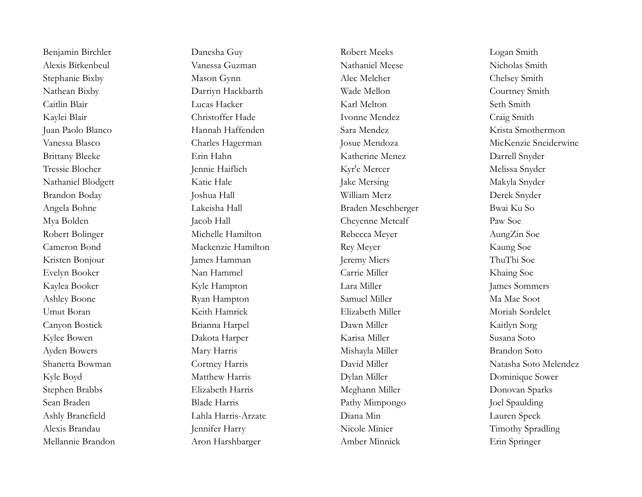Mellannie Brandon Aron Harshbarger Amber Minnick Erin Springer

Benjamin Birchler Danesha Guy Robert Meeks Logan Smith Alexis Birkenbeul Vanessa Guzman Nathaniel Meese Nicholas Smith Stephanie Bixby Mason Gynn Alec Melcher Chelsey Smith Nathean Bixby Darriyn Hackbarth Wade Mellon Courtney Smith Caitlin Blair Lucas Hacker Karl Melton Seth Smith Kaylei Blair Christoffer Hade Ivonne Mendez Craig Smith Juan Paolo Blanco Hannah Haffenden Sara Mendez Krista Smothermon Brittany Bleeke Erin Hahn Katherine Menez Darrell Snyder Tressie Blocher Jennie Haiflich Kyr'e Mercer Melissa Snyder Nathaniel Blodgett Katie Hale Katie Hale Jake Mersing Makyla Snyder Brandon Boday Joshua Hall William Merz Derek Snyder Angela Bohne Lakeisha Hall Braden Meschberger Bwai Ku So Mya Bolden Jacob Hall Cheyenne Metcalf Paw Soe Robert Bolinger Michelle Hamilton Rebecca Meyer AungZin Soe Cameron Bond Mackenzie Hamilton Rey Meyer Kaung Soe Kristen Bonjour James Hamman Jeremy Miers ThuThi Soe Evelyn Booker Nan Hammel Carrie Miller Khaing Soe Kyle Hampton Lara Miller James Sommers James Sommers Ashley Boone Ryan Hampton Samuel Miller Ma Mae Soot Umut Boran Keith Hamrick Elizabeth Miller Moriah Sordelet Canyon Bostick Brianna Harpel Dawn Miller Kaitlyn Sorg Kylee Bowen Dakota Harper Karisa Miller Susana Soto Ayden Bowers Mary Harris Mishayla Miller Brandon Soto Kyle Boyd Matthew Harris Dylan Miller Dylan Miller Dominique Sower Stephen Brabbs Elizabeth Harris Meghann Miller Donovan Sparks Sean Braden Blade Harris Blade Harris Pathy Mimpongo Joel Spaulding Ashly Brancfield Lahla Harris-Arzate Diana Min Lauren Speck Alexis Brandau Jennifer Harry Nicole Minier Timothy Spradling

Vanessa Blasco Charles Hagerman Josue Mendoza MicKenzie Sneiderwine Shanetta Bowman Cortney Harris David Miller Natasha Soto Melendez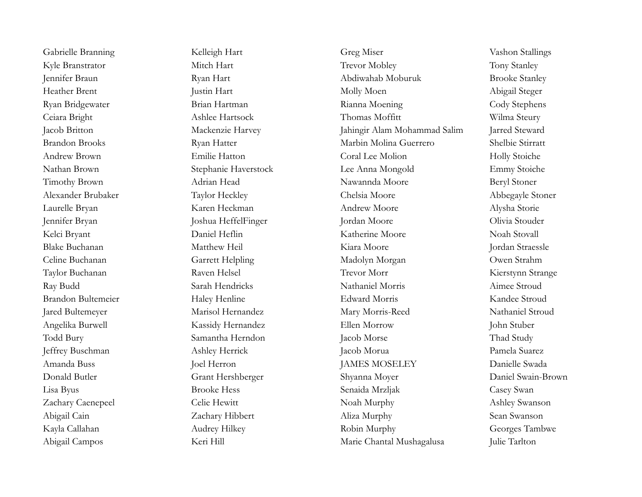Gabrielle Branning Kelleigh Hart Greg Miser Greg Miser Vashon Stallings Kyle Branstrator Mitch Hart Trevor Mobley Tony Stanley Jennifer Braun Ryan Hart Abdiwahab Moburuk Brooke Stanley Heather Brent Justin Hart Molly Moen Abigail Steger Ryan Bridgewater **Brian Hartman** Rianna Moening Cody Stephens Ceiara Bright Ashlee Hartsock Thomas Moffitt Wilma Steury Jacob Britton Mackenzie Harvey Jahingir Alam Mohammad Salim Jarred Steward Brandon Brooks Ryan Hatter Marbin Molina Guerrero Shelbie Stirratt Andrew Brown **Emilie Hatton** Coral Lee Molion Holly Stoiche Nathan Brown Stephanie Haverstock Lee Anna Mongold Emmy Stoiche Timothy Brown Adrian Head Nawannda Moore Beryl Stoner Alexander Brubaker Taylor Heckley Chelsia Moore Abbegayle Stoner Laurelle Bryan Karen Heckman Andrew Moore Alysha Storie Jennifer Bryan Joshua HeffelFinger Jordan Moore Olivia Stouder Kelci Bryant Daniel Heflin Katherine Moore Noah Stovall Blake Buchanan Matthew Heil Kiara Moore Jordan Straessle Celine Buchanan Garrett Helpling Madolyn Morgan Owen Strahm Taylor Buchanan Raven Helsel Trevor Morr Kierstynn Strange Ray Budd Sarah Hendricks Nathaniel Morris Aimee Stroud Brandon Bultemeier **Haley Henline** Edward Morris **Kandee Stroud** Jared Bultemeyer Marisol Hernandez Mary Morris-Reed Nathaniel Stroud Angelika Burwell Kassidy Hernandez Ellen Morrow John Stuber Todd Bury Samantha Herndon Jacob Morse Thad Study Jeffrey Buschman Ashley Herrick Jacob Morua Pamela Suarez Amanda Buss Joel Herron JAMES MOSELEY Danielle Swada Donald Butler Grant Hershberger Shyanna Moyer Daniel Swain-Brown Lisa Byus Brooke Hess Senaida Mrzljak Casey Swan Zachary Caenepeel Celie Hewitt Noah Murphy Ashley Swanson Abigail Cain Zachary Hibbert Aliza Murphy Sean Swanson Kayla Callahan Audrey Hilkey Audrey Hilkey Robin Murphy Georges Tambwe Abigail Campos Keri Hill Keri Hill Marie Chantal Mushagalusa Julie Tarlton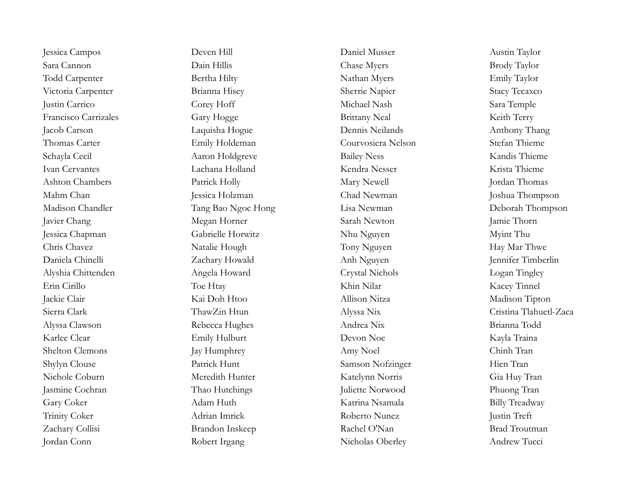Jessica Chapman Gabrielle Horwitz Nhu Nguyen Myint Thu Jordan Conn **Robert Irgang Nicholas Oberley** Andrew Tucci

Jessica Campos Deven Hill Daniel Musser Austin Taylor Sara Cannon Dain Hillis Chase Myers Brody Taylor Todd Carpenter **Bertha Hilty** Bertha Hilty Nathan Myers Emily Taylor Victoria Carpenter **Brianna Hisey** Sherrie Napier Stacy Tecaxco Justin Carrico Corey Hoff Michael Nash Sara Temple Francisco Carrizales Gary Hogge Gary Hogge Brittany Neal Keith Terry Jacob Carson Laquisha Hogue Dennis Neilands Anthony Thang Thomas Carter Emily Holdeman Courvosiera Nelson Stefan Thieme Schayla Cecil Aaron Holdgreve Bailey Ness Kandis Thieme Ivan Cervantes Lachana Holland Kendra Nesser Krista Thieme Ashton Chambers Patrick Holly Mary Newell Jordan Thomas Mahm Chan Jessica Holzman Chad Newman Joshua Thompson Madison Chandler Tang Bao Ngoc Hong Lisa Newman Deborah Thompson Javier Chang Megan Horner Sarah Newton Jamie Thorn Chris Chavez Natalie Hough Tony Nguyen Hay Mar Thwe Daniela Chinelli Zachary Howald Anh Nguyen Jennifer Timberlin Alyshia Chittenden Angela Howard Crystal Nichols Logan Tingley Erin Cirillo Toe Htay Khin Nilar Kacey Tinnel Jackie Clair Kai Doh Htoo Allison Nitza Madison Tipton Sierra Clark ThawZin Htun Alyssa Nix Cristina Tlahuetl-Zaca Alyssa Clawson Rebecca Hughes Andrea Nix Brianna Todd Karlee Clear Emily Hulburt Devon Noe Kayla Traina Shelton Clemons Jay Humphrey Amy Noel Chinh Tran Shylyn Clouse Patrick Hunt Samson Nofzinger Hien Tran Nichole Coburn Meredith Hunter Katelynn Norris Gia Huy Tran Jasmine Cochran Thao Hutchings Juliette Norwood Phuong Tran Gary Coker Adam Huth Katrina Nsamala Billy Treadway Trinity Coker Adrian Imrick Roberto Nunez Justin Treft Zachary Collisi Brandon Inskeep Rachel O'Nan Brad Troutman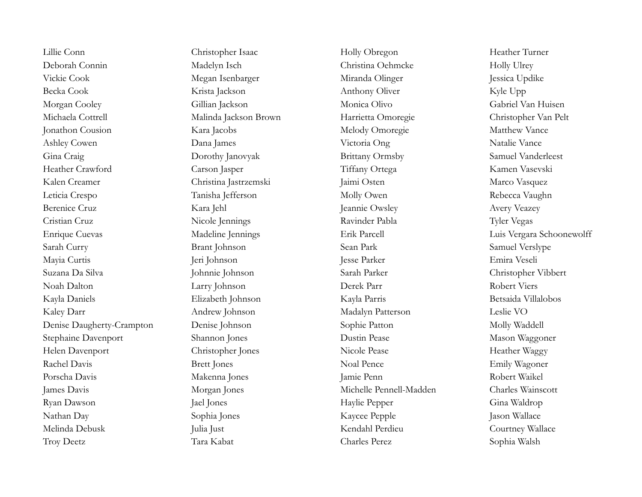Lillie Conn Christopher Isaac Holly Obregon Heather Turner Deborah Connin Madelyn Isch Christina Oehmcke Holly Ulrey Vickie Cook Megan Isenbarger Miranda Olinger Jessica Updike Becka Cook Krista Jackson Anthony Oliver Kyle Upp Morgan Cooley Gillian Jackson Monica Olivo Gabriel Van Huisen Michaela Cottrell Malinda Jackson Brown Harrietta Omoregie Christopher Van Pelt Jonathon Cousion Kara Jacobs Melody Omoregie Matthew Vance Ashley Cowen Dana James Victoria Ong Natalie Vance Gina Craig Dorothy Janovyak Brittany Ormsby Samuel Vanderleest Heather Crawford Carson Jasper Tiffany Ortega Kamen Vasevski Kalen Creamer Christina Jastrzemski Jaimi Osten Marco Vasquez Leticia Crespo Tanisha Jefferson Molly Owen Rebecca Vaughn Berenice Cruz Kara Jehl Jeannie Owsley Avery Veazey Cristian Cruz Nicole Jennings Ravinder Pabla Tyler Vegas Enrique Cuevas Madeline Jennings Erik Parcell Luis Vergara Schoonewolff Sarah Curry Brant Johnson Sean Park Samuel Verslype Mayia Curtis Jeri Johnson Jesse Parker Emira Veseli Suzana Da Silva Johnnie Johnson Sarah Parker Christopher Vibbert Noah Dalton Larry Johnson Derek Parr Robert Viers Kayla Daniels Elizabeth Johnson Kayla Parris Betsaida Villalobos Kaley Darr Andrew Johnson Madalyn Patterson Leslie VO Denise Daugherty-Crampton Denise Johnson Sophie Patton Molly Waddell Stephaine Davenport Shannon Jones Dustin Pease Mason Waggoner Helen Davenport Christopher Jones Nicole Pease Heather Waggy Rachel Davis Brett Jones Noal Pence Emily Wagoner Porscha Davis Makenna Jones Jamie Penn Robert Waikel James Davis Morgan Jones Michelle Pennell-Madden Charles Wainscott Ryan Dawson Jael Jones Haylie Pepper Gina Waldrop Nathan Day Sophia Jones Kaycee Pepple Jason Wallace Melinda Debusk Julia Just Kendahl Perdieu Courtney Wallace Troy Deetz Tara Kabat Charles Perez Sophia Walsh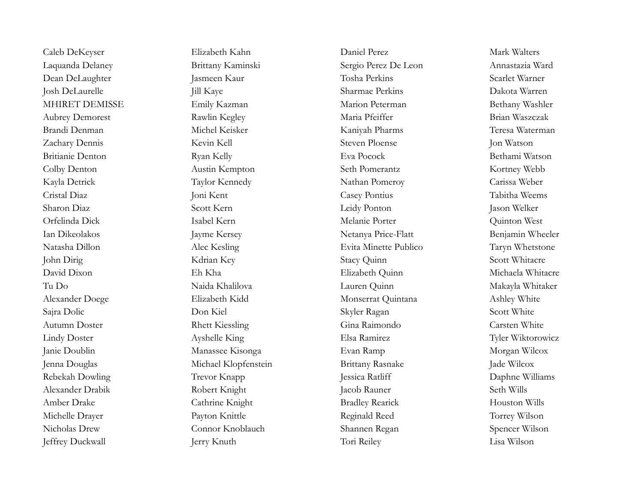Jeffrey Duckwall Jerry Knuth Tori Reiley Lisa Wilson

Laquanda Delaney Brittany Kaminski Sergio Perez De Leon Annastazia Ward Dean DeLaughter Jasmeen Kaur Tosha Perkins Scarlet Warner Josh DeLaurelle Jill Kaye Sharmae Perkins Dakota Warren MHIRET DEMISSE Emily Kazman Marion Peterman Bethany Washler Aubrey Demorest Rawlin Kegley Maria Pfeiffer Brian Waszczak Brandi Denman Michel Keisker Kaniyah Pharms Teresa Waterman Zachary Dennis Kevin Kell Steven Ploense Jon Watson Britianie Denton Ryan Kelly Eva Pocock Bethami Watson Colby Denton Austin Kempton Seth Pomerantz Kortney Webb Kayla Detrick Taylor Kennedy Nathan Pomeroy Carissa Weber Cristal Diaz Joni Kent Casey Pontius Tabitha Weems Sharon Diaz Scott Kern Leidy Ponton Jason Welker Orfelinda Dick Isabel Kern Melanie Porter Quinton West Ian Dikeolakos Jayme Kersey Netanya Price-Flatt Benjamin Wheeler Natasha Dillon Alec Kesling Evita Minette Publico Taryn Whetstone John Dirig Scott Whitacre (Kdrian Key Stacy Quinn Stacy Quinn Scott Whitacre David Dixon Eh Kha Elizabeth Quinn Michaela Whitacre Tu Do Naida Khalilova Lauren Quinn Makayla Whitaker Alexander Doege Elizabeth Kidd Monserrat Quintana Ashley White Sajra Dolic Don Kiel Skyler Ragan Scott White Autumn Doster Rhett Kiessling Gina Raimondo Carsten White Lindy Doster Ayshelle King Elsa Ramirez Tyler Wiktorowicz Janie Doublin Manassee Kisonga Evan Ramp Morgan Wilcox Jenna Douglas Michael Klopfenstein Brittany Rasnake Jade Wilcox Rebekah Dowling Trevor Knapp Jessica Ratliff Daphne Williams Alexander Drabik Robert Knight Jacob Rauner Seth Wills Amber Drake Cathrine Knight Bradley Rearick Houston Wills Michelle Drayer Payton Knittle Reginald Reed Torrey Wilson Nicholas Drew Connor Knoblauch Shannen Regan Spencer Wilson

Caleb DeKeyser Elizabeth Kahn Daniel Perez Mark Walters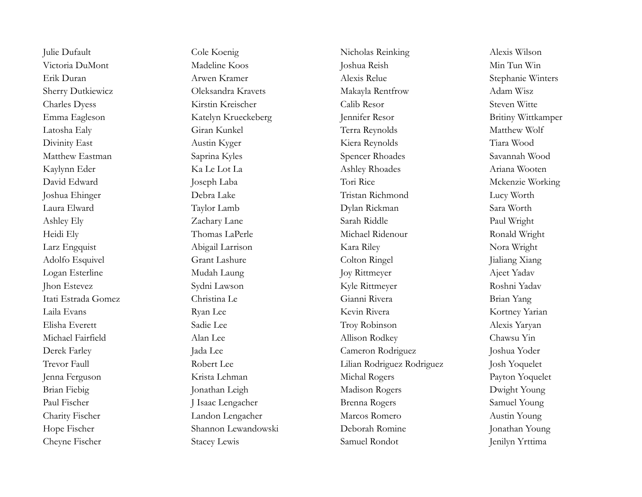Julie Dufault Cole Koenig Nicholas Reinking Alexis Wilson Victoria DuMont Madeline Koos Joshua Reish Min Tun Win Erik Duran Marwen Kramer Alexis Relue Alexis Relue Stephanie Winters Sherry Dutkiewicz Oleksandra Kravets Makayla Rentfrow Adam Wisz Charles Dyess Kirstin Kreischer Calib Resor Steven Witte Emma Eagleson Katelyn Krueckeberg Jennifer Resor Britiny Wittkamper Latosha Ealy Giran Kunkel Terra Reynolds Matthew Wolf Divinity East **Austin Kyger** Austin Kyger Kiera Reynolds Tiara Wood Matthew Eastman Saprina Kyles Saprina Kyles Spencer Rhoades Savannah Wood Kaylynn Eder Ka Le Lot La Ashley Rhoades Ariana Wooten David Edward Joseph Laba Tori Rice Mckenzie Working Joshua Ehinger Debra Lake Tristan Richmond Lucy Worth Laura Elward Taylor Lamb Dylan Rickman Sara Worth Ashley Ely Zachary Lane Sarah Riddle Paul Wright Heidi Ely Thomas LaPerle Michael Ridenour Ronald Wright Larz Engquist Abigail Larrison Kara Riley Nora Wright Adolfo Esquivel **Grant Lashure** Grant Colton Ringel Grant Grant Colton Ringel Grant Colton Ringel Grant Colton Ringel Logan Esterline Mudah Laung Joy Rittmeyer Ajeet Yadav Jhon Estevez Sydni Lawson Kyle Rittmeyer Roshni Yadav Itati Estrada Gomez Christina Le Gianni Rivera Brian Yang Laila Evans Kortney Yarian Ryan Lee Kevin Rivera Kevin Rivera Kortney Yarian Elisha Everett Sadie Lee Troy Robinson Alexis Yaryan Michael Fairfield Alan Lee Allison Rodkey Chawsu Yin Derek Farley Jada Lee Cameron Rodriguez Joshua Yoder Trevor Faull **Robert Lee** Robert Lee Lilian Rodriguez Rodriguez **I**osh Yoquelet Jenna Ferguson Krista Lehman Michal Rogers Payton Yoquelet Brian Fiebig Jonathan Leigh Madison Rogers Dwight Young Paul Fischer J Isaac Lengacher J Isaac Lengacher Brenna Rogers Samuel Young Charity Fischer Landon Lengacher Marcos Romero Austin Young Hope Fischer Shannon Lewandowski Deborah Romine Jonathan Young Cheyne Fischer Stacey Lewis Samuel Rondot Jenilyn Yrttima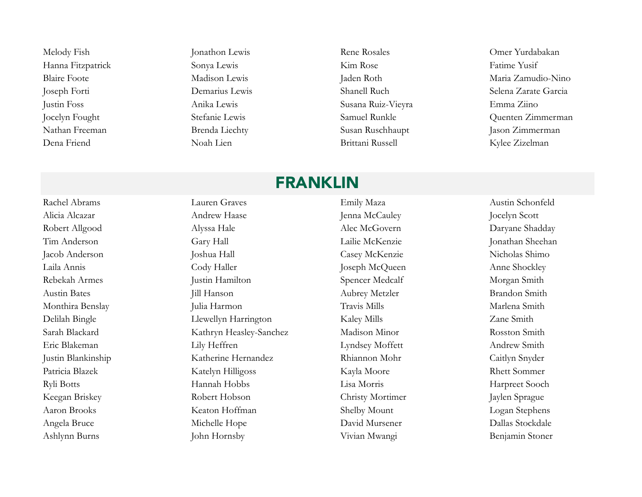Hanna Fitzpatrick Sonya Lewis Sonya Lewis Kim Rose Fatime Yusif Justin Foss Anika Lewis Susana Ruiz-Vieyra Emma Ziino Dena Friend Noah Lien Brittani Russell Kylee Zizelman

Melody Fish Jonathon Lewis Rene Rosales Omer Yurdabakan

Blaire Foote Madison Lewis Jaden Roth Maria Zamudio-Nino Joseph Forti Demarius Lewis Shanell Ruch Selena Zarate Garcia Jocelyn Fought Stefanie Lewis Samuel Runkle Quenten Zimmerman Nathan Freeman Brenda Liechty Susan Ruschhaupt Jason Zimmerman

#### FRANKLIN

Alicia Alcazar **Andrew Haase** Jenna McCauley **Jocelyn Scott** Robert Allgood Alyssa Hale Alyssa Hale Alec McGovern Daryane Shadday Tim Anderson Gary Hall Lailie McKenzie Jonathan Sheehan Jacob Anderson Joshua Hall Casey McKenzie Nicholas Shimo Laila Annis Cody Haller Cody Haller Joseph McQueen Anne Shockley Rebekah Armes Morgan Smith Justin Hamilton Spencer Medcalf Morgan Smith Austin Bates Till Hanson and Aubrey Metzler Brandon Smith Monthira Benslay Julia Harmon Julia Harmon Travis Mills Marlena Smith Delilah Bingle Llewellyn Harrington Kaley Mills Zane Smith Sarah Blackard Kathryn Heasley-Sanchez Madison Minor Rosston Smith Eric Blakeman Lily Heffren Lyndsey Moffett Andrew Smith Justin Blankinship Katherine Hernandez Rhiannon Mohr Caitlyn Snyder Patricia Blazek Katelyn Hilligoss Kayla Moore Rhett Sommer Ryli Botts Hannah Hobbs Lisa Morris Harpreet Sooch Keegan Briskey Robert Hobson Christy Mortimer Jaylen Sprague Aaron Brooks Keaton Hoffman Shelby Mount Logan Stephens Angela Bruce Michelle Hope David Mursener Dallas Stockdale Ashlynn Burns John Hornsby John Hornsby Vivian Mwangi Benjamin Stoner

Rachel Abrams Lauren Graves Emily Maza Austin Schonfeld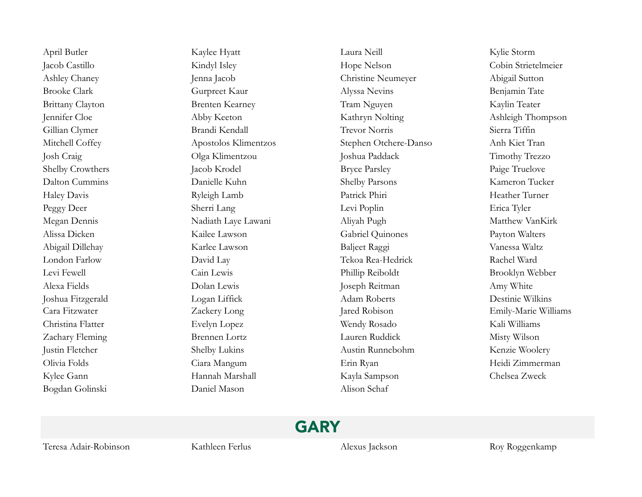Bogdan Golinski Daniel Mason Alison Schaf

April Butler Kaylee Hyatt Laura Neill Kylie Storm Jacob Castillo Kindyl Isley Hope Nelson Cobin Strietelmeier Ashley Chaney Jenna Jacob Jenna Jacob Christine Neumeyer Abigail Sutton Brooke Clark Gurpreet Kaur Alyssa Nevins Benjamin Tate Brittany Clayton **Brenten Kearney** Tram Nguyen Kaylin Teater Jennifer Cloe Abby Keeton Kathryn Nolting Ashleigh Thompson Gillian Clymer Brandi Kendall Trevor Norris Sierra Tiffin Mitchell Coffey Apostolos Klimentzos Stephen Otchere-Danso Anh Kiet Tran Josh Craig Olga Klimentzou Joshua Paddack Timothy Trezzo Shelby Crowthers **Shelby Crowthers** Jacob Krodel Bryce Parsley **Particle Parsley** Paige Truelove Dalton Cummins Danielle Kuhn Shelby Parsons Kameron Tucker Haley Davis Ryleigh Lamb Patrick Phiri Heather Turner Peggy Deer Sherri Lang Levi Poplin Erica Tyler Megan Dennis Nadiath Laye Lawani Aliyah Pugh Matthew VanKirk Alissa Dicken Kailee Lawson Gabriel Quinones Payton Walters Abigail Dillehay Karlee Lawson Baljeet Raggi Vanessa Waltz London Farlow David Lay Tekoa Rea-Hedrick Rachel Ward Levi Fewell Cain Lewis Phillip Reiboldt Brooklyn Webber Alexa Fields Dolan Lewis Joseph Reitman Amy White Joshua Fitzgerald Logan Liffick Adam Roberts Destinie Wilkins Cara Fitzwater **Zackery Long** Jared Robison Emily-Marie Williams Christina Flatter Evelyn Lopez Wendy Rosado Kali Williams Zachary Fleming Brennen Lortz Lauren Ruddick Misty Wilson Justin Fletcher Shelby Lukins Austin Runnebohm Kenzie Woolery Olivia Folds Ciara Mangum Erin Ryan Heidi Zimmerman Kylee Gann Hannah Marshall Kayla Sampson Chelsea Zweck

# GARY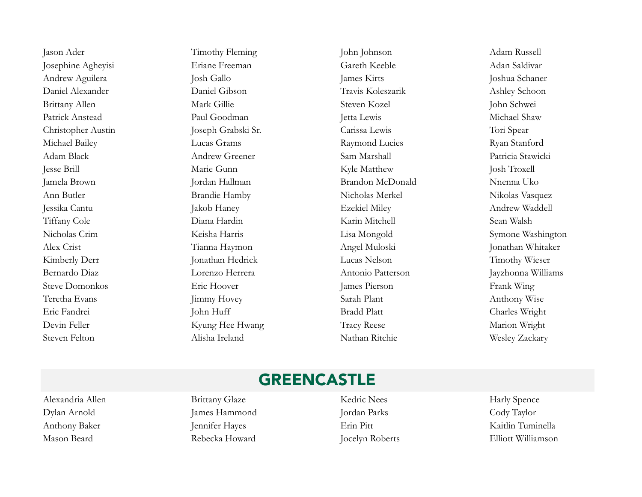Steven Felton Misha Ireland Nathan Ritchie Wesley Zackary

Jason Ader Timothy Fleming John Johnson Adam Russell Josephine Agheyisi Eriane Freeman Gareth Keeble Adan Saldivar Andrew Aguilera Josh Gallo Josh Gallo James Kirts Joshua Schaner Daniel Alexander Daniel Gibson Travis Koleszarik Ashley Schoon Brittany Allen Mark Gillie Steven Kozel John Schwei Patrick Anstead Paul Goodman Jetta Lewis Michael Shaw Christopher Austin Joseph Grabski Sr. Carissa Lewis Tori Spear Michael Bailey **Lucas Grams** Lucas Crams Raymond Lucies Ryan Stanford Adam Black Andrew Greener Sam Marshall Sam Marshall Patricia Stawicki Jesse Brill Marie Gunn Kyle Matthew Josh Troxell Jamela Brown Jordan Hallman Brandon McDonald Nnenna Uko Ann Butler **Brandie Hamby** Nicholas Merkel Nikolas Vasquez Jessika Cantu Jakob Haney Ezekiel Miley Andrew Waddell Tiffany Cole Diana Hardin Karin Mitchell Sean Walsh Nicholas Crim Keisha Harris Lisa Mongold Symone Washington Alex Crist Crist Crist Crist Tianna Haymon Angel Muloski and Jonathan Whitaker Kimberly Derr Jonathan Hedrick Lucas Nelson Timothy Wieser Bernardo Diaz Lorenzo Herrera Antonio Patterson Jayzhonna Williams Steve Domonkos Eric Hoover James Pierson Frank Wing Teretha Evans Jimmy Hovey Sarah Plant Anthony Wise Eric Fandrei **Iohn Huff** John Huff Bradd Platt Charles Wright Devin Feller Kyung Hee Hwang Tracy Reese Marion Wright

#### GREENCASTLE

Alexandria Allen Brittany Glaze Kedric Nees Harly Spence Dylan Arnold James Hammond Jordan Parks Cody Taylor Anthony Baker Jennifer Hayes Erin Pitt Kaitlin Tuminella Mason Beard Rebecka Howard Jocelyn Roberts Elliott Williamson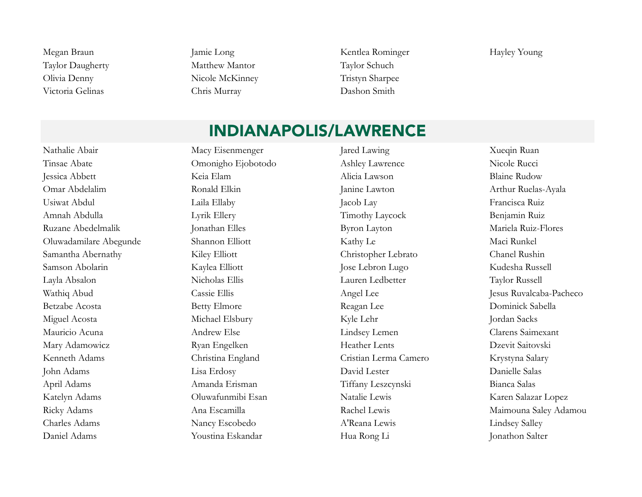Taylor Daugherty Matthew Mantor Taylor Schuch Olivia Denny Nicole McKinney Tristyn Sharpee Victoria Gelinas Chris Murray Dashon Smith

Megan Braun Jamie Long Jamie Long Kentlea Rominger Hayley Young

#### INDIANAPOLIS/LAWRENCE

Tinsae Abate Omonigho Ejobotodo Ashley Lawrence Nicole Rucci Jessica Abbett Keia Elam Alicia Lawson Blaine Rudow Omar Abdelalim Ronald Elkin Janine Lawton Arthur Ruelas-Ayala Usiwat Abdul Laila Ellaby Jacob Lay Francisca Ruiz Amnah Abdulla Lyrik Ellery Timothy Laycock Benjamin Ruiz Ruzane Abedelmalik Jonathan Elles Byron Layton Mariela Ruiz-Flores Oluwadamilare Abegunde Shannon Elliott Kathy Le Maci Runkel Samantha Abernathy Kiley Elliott Christopher Lebrato Chanel Rushin Samson Abolarin Kaylea Elliott Jose Lebron Lugo Kudesha Russell Layla Absalon Nicholas Ellis Lauren Ledbetter Taylor Russell Betzabe Acosta Betty Elmore Reagan Lee Dominick Sabella Miguel Acosta Michael Elsbury Kyle Lehr Jordan Sacks Mauricio Acuna Andrew Else Lindsey Lemen Clarens Saimexant Mary Adamowicz **Ryan Engelken** Heather Lents Dzevit Saitovski Kenneth Adams Christina England Cristian Lerma Camero Krystyna Salary John Adams Lisa Erdosy David Lester Danielle Salas April Adams Amanda Erisman Tiffany Leszcynski Bianca Salas Katelyn Adams Oluwafunmibi Esan Natalie Lewis Karen Salazar Lopez Charles Adams Nancy Escobedo A'Reana Lewis Lindsey Salley Daniel Adams Youstina Eskandar Hua Rong Li Jonathon Salter

Nathalie Abair Macy Eisenmenger Jared Lawing Museum Ruan

Wathiq Abud Cassie Ellis Cassie Ellis Angel Lee Jesus Ruvalcaba-Pacheco Ricky Adams Ana Escamilla Ana Escamilla Rachel Lewis Rachel Lewis Maimouna Saley Adamou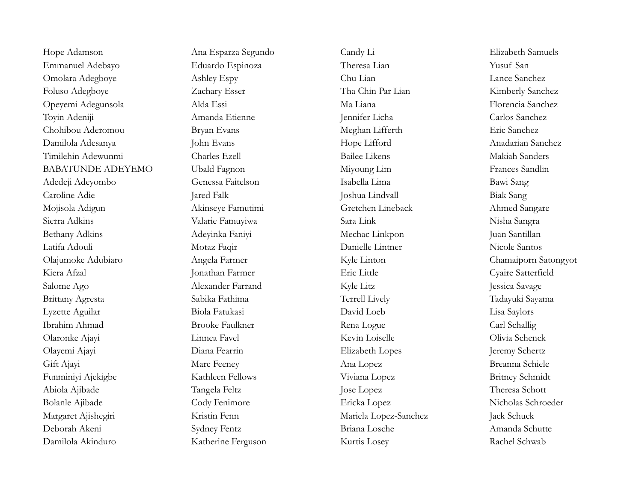Hope Adamson Ana Esparza Segundo Candy Li Elizabeth Samuels Emmanuel Adebayo Eduardo Espinoza Theresa Lian Yusuf San Omolara Adegboye Ashley Espy Chu Lian Lance Sanchez Foluso Adegboye Zachary Esser Tha Chin Par Lian Kimberly Sanchez Opeyemi Adegunsola Alda Essi Ma Liana Florencia Sanchez Toyin Adeniji Amanda Etienne Jennifer Licha Carlos Sanchez Chohibou Aderomou Bryan Evans Meghan Lifferth Eric Sanchez Damilola Adesanya John Evans John Evans Hope Lifford Anadarian Sanchez Timilehin Adewunmi Charles Ezell Bailee Likens Makiah Sanders BABATUNDE ADEYEMO Ubald Fagnon Miyoung Lim Frances Sandlin Adedeji Adeyombo Genessa Faitelson Isabella Lima Bawi Sang Caroline Adie Jared Falk Joshua Lindvall Biak Sang Mojisola Adigun Akinseye Famutimi Gretchen Lineback Ahmed Sangare Sierra Adkins Valarie Famuyiwa Sara Link Nisha Sangra Bethany Adkins Adeyinka Faniyi Mechac Linkpon Juan Santillan Latifa Adouli Motaz Faqir Danielle Lintner Nicole Santos Olajumoke Adubiaro Angela Farmer Kyle Linton Chamaiporn Satongyot Kiera Afzal Jonathan Farmer Eric Little Cyaire Satterfield Salome Ago Alexander Farrand Kyle Litz Jessica Savage Brittany Agresta Sabika Fathima Terrell Lively Tadayuki Sayama Lyzette Aguilar Biola Fatukasi David Loeb Lisa Saylors Ibrahim Ahmad Brooke Faulkner Rena Logue Carl Schallig Olaronke Ajayi Linnea Favel Kevin Loiselle Olivia Schenck Olayemi Ajayi Diana Fearrin Elizabeth Lopes Jeremy Schertz Gift Ajayi Marc Feeney Ana Lopez Breanna Schiele Funminiyi Ajekigbe Kathleen Fellows Viviana Lopez Britney Schmidt Abiola Ajibade Tangela Feltz Jose Lopez Theresa Schott Bolanle Ajibade Cody Fenimore Ericka Lopez Nicholas Schroeder Margaret Ajishegiri Kristin Fenn Mariela Lopez-Sanchez Jack Schuck Deborah Akeni Sydney Fentz Briana Losche Amanda Schutte Damilola Akinduro Katherine Ferguson Kurtis Losey Rachel Schwab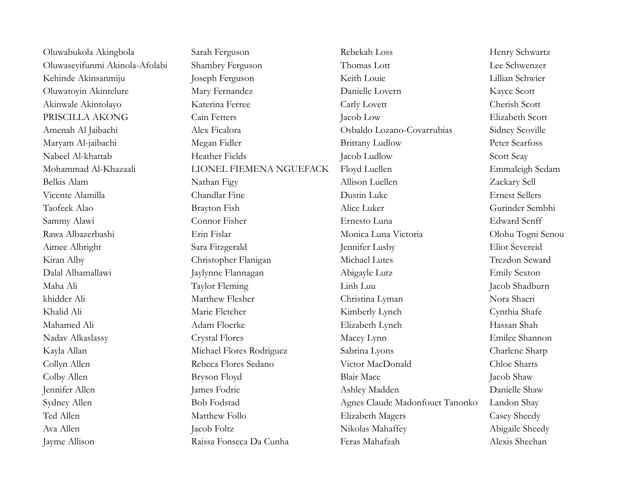| Oluwabukola Akingbola          | Sarah Ferguson           | Rebekah Loss                    | Henry Schwartz        |
|--------------------------------|--------------------------|---------------------------------|-----------------------|
| Oluwaseyifunmi Akinola-Afolabi | Shambry Ferguson         | Thomas Lott                     | Lee Schwenzer         |
| Kehinde Akinsanmiju            | Joseph Ferguson          | Keith Louie                     | Lillian Schwier       |
| Oluwatoyin Akintelure          | Mary Fernandez           | Danielle Lovern                 | Kayce Scott           |
| Akinwale Akintolayo            | Katerina Ferree          | Carly Lovett                    | Cherish Scott         |
| PRISCILLA AKONG                | Cain Fetters             | Jacob Low                       | Elizabeth Scott       |
| Amenah Al Jaibachi             | Alex Ficalora            | Osbaldo Lozano-Covarrubias      | Sidney Scoville       |
| Maryam Al-jaibachi             | Megan Fidler             | <b>Brittany Ludlow</b>          | Peter Searfoss        |
| Nabeel Al-khattab              | Heather Fields           | Jacob Ludlow                    | Scott Seay            |
| Mohammad Al-Khazaali           | LIONEL FIEMENA NGUEFACK  | Floyd Luellen                   | Emmaleigh Sedam       |
| Belkis Alam                    | Nathan Figy              | Allison Luellen                 | Zackary Sell          |
| Vicente Alamilla               | Chandlar Fine            | Dustin Luke                     | <b>Ernest Sellers</b> |
| Taofeek Alao                   | Brayton Fish             | Alice Luker                     | Gurinder Sembhi       |
| Sammy Alawi                    | Connor Fisher            | Ernesto Luna                    | <b>Edward Senff</b>   |
| Rawa Albazerbashi              | Erin Fislar              | Monica Luna Victoria            | Olohu Togni Senou     |
| Aimee Albright                 | Sara Fitzgerald          | Jennifer Lusby                  | <b>Eliot Severeid</b> |
| Kiran Alby                     | Christopher Flanigan     | Michael Lutes                   | Trezdon Seward        |
| Dalal Alhamallawi              | Jaylynne Flannagan       | Abigayle Lutz                   | <b>Emily Sexton</b>   |
| Maha Ali                       | Taylor Fleming           | Linh Luu                        | Jacob Shadburn        |
| khidder Ali                    | Matthew Flesher          | Christina Lyman                 | Nora Shaeri           |
| Khalid Ali                     | Marie Fletcher           | Kimberly Lynch                  | Cynthia Shafe         |
| Mahamed Ali                    | Adam Floerke             | Elizabeth Lynch                 | Hassan Shah           |
| Nadav Alkaslassy               | Crystal Flores           | Macey Lynn                      | Emilee Shannon        |
| Kayla Allan                    | Michael Flores Rodriguez | Sabrina Lyons                   | Charlene Sharp        |
| Collyn Allen                   | Rebeca Flores Sedano     | Victor MacDonald                | Chloe Sharts          |
| Colby Allen                    | Bryson Floyd             | <b>Blair Mace</b>               | Jacob Shaw            |
| Jennifer Allen                 | James Fodrie             | Ashley Madden                   | Danielle Shaw         |
| Sydney Allen                   | <b>Bob Fodstad</b>       | Agnes Claude Madonfouet Tanonko | Landon Shay           |
| Ted Allen                      | Matthew Follo            | Elizabeth Magers                | Casey Sheedy          |
| Ava Allen                      | Jacob Foltz              | Nikolas Mahaffey                | Abigaile Sheedy       |
| Jayme Allison                  | Raissa Fonseca Da Cunha  | Feras Mahafzah                  | Alexis Sheehan        |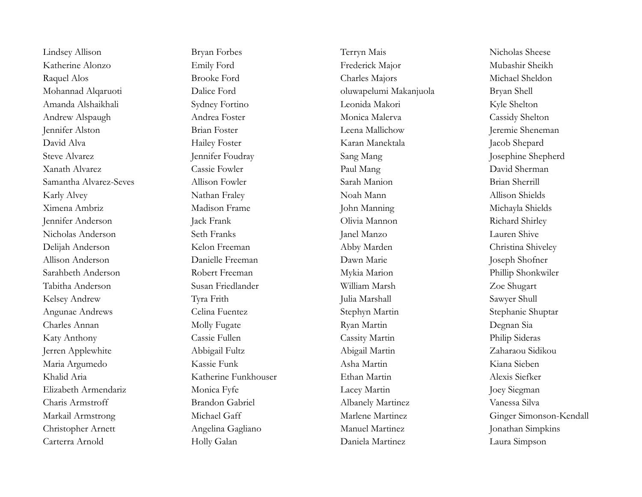Lindsey Allison Bryan Forbes Terryn Mais Nicholas Sheese Katherine Alonzo Emily Ford Frederick Major Mubashir Sheikh Raquel Alos Brooke Ford Charles Majors Michael Sheldon Mohannad Alqaruoti Dalice Ford oluwapelumi Makanjuola Bryan Shell Amanda Alshaikhali Sydney Fortino Leonida Makori Kyle Shelton Andrew Alspaugh Andrea Foster Monica Malerva Cassidy Shelton Jennifer Alston Brian Foster Leena Mallichow Jeremie Sheneman David Alva **Hailey Foster** Hailey Foster Karan Manektala Jacob Shepard Steve Alvarez Jennifer Foudray Jennifer Foudray Sang Mang Josephine Shepherd Xanath Alvarez Cassie Fowler Paul Mang David Sherman Samantha Alvarez-Seves Allison Fowler Sarah Manion Brian Sherrill Karly Alvey Nathan Fraley Noah Mann Allison Shields Ximena Ambriz Madison Frame John Manning Michayla Shields Jennifer Anderson Jack Frank Olivia Mannon Richard Shirley Nicholas Anderson Seth Franks Janel Manzo Lauren Shive Delijah Anderson Kelon Freeman Abby Marden Christina Shiveley Allison Anderson Danielle Freeman Dawn Marie Joseph Shofner Sarahbeth Anderson Robert Freeman Mykia Marion Phillip Shonkwiler Tabitha Anderson Susan Friedlander William Marsh Zoe Shugart Kelsey Andrew Tyra Frith Julia Marshall Sawyer Shull Angunae Andrews Celina Fuentez Stephyn Martin Stephanie Shuptar Charles Annan Molly Fugate Ryan Martin Degnan Sia Katy Anthony Cassie Fullen Cassie Fullen Cassity Martin Philip Sideras Jerren Applewhite Abbigail Fultz Abigail Martin Zaharaou Sidikou Maria Argumedo Kassie Funk Asha Martin Kiana Sieben Khalid Aria Katherine Funkhouser Ethan Martin Alexis Siefker Elizabeth Armendariz Monica Fyfe Lacey Martin Joey Siegman Charis Armstroff Brandon Gabriel Albanely Martinez Vanessa Silva Christopher Arnett Angelina Gagliano Manuel Martinez Jonathan Simpkins Carterra Arnold Holly Galan Daniela Martinez Laura Simpson

Markail Armstrong Michael Gaff Marlene Martinez Ginger Simonson-Kendall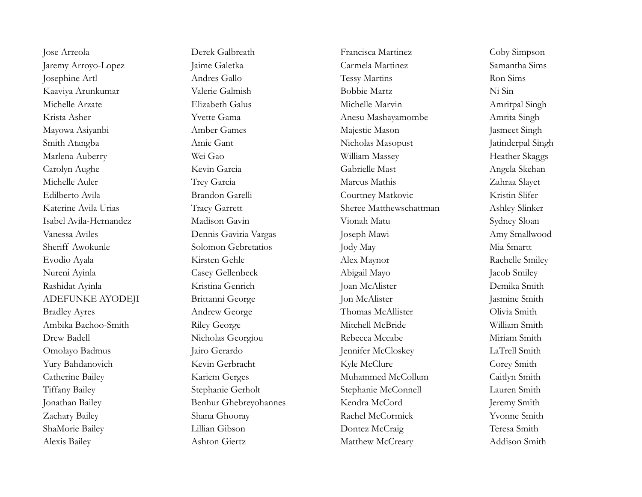Jaremy Arroyo-Lopez Jaime Galetka Carmela Martinez Samantha Sims Josephine Artl Andres Gallo Tessy Martins Ron Sims Kaaviya Arunkumar Valerie Galmish Bobbie Martz Ni Sin Michelle Arzate **Elizabeth Galus** Elizabeth Galus Michelle Marvin Amritpal Singh Krista Asher Yvette Gama Anesu Mashayamombe Amrita Singh Mayowa Asiyanbi Amber Games Amber Games Majestic Mason Jasmeet Singh Smith Atangba **Amie Gant** Amie Gant Nicholas Masopust Jatinderpal Singh Marlena Auberry Wei Gao William Massey Heather Skaggs Carolyn Aughe Kevin Garcia Gabrielle Mast Angela Skehan Michelle Auler Trey Garcia Marcus Mathis Zahraa Slayet Edilberto Avila **Brandon Garelli** Courtney Matkovic Kristin Slifer Katerine Avila Urias Tracy Garrett Sheree Matthewschattman Ashley Slinker Isabel Avila-Hernandez Madison Gavin Vionah Matu Sydney Sloan Vanessa Aviles Dennis Gaviria Vargas Joseph Mawi Amy Smallwood Sheriff Awokunle Solomon Gebretatios Jody May Mia Smartt Evodio Ayala Kirsten Gehle Alex Maynor Rachelle Smiley Nureni Ayinla Casey Gellenbeck Abigail Mayo Jacob Smiley Rashidat Ayinla Kristina Genrich Joan McAlister Demika Smith ADEFUNKE AYODEJI Brittanni George Jon McAlister Jasmine Smith Bradley Ayres **Andrew George** Thomas McAllister Olivia Smith Ambika Bachoo-Smith Riley George Mitchell McBride William Smith Drew Badell Nicholas Georgiou Rebecca Mccabe Miriam Smith Omolayo Badmus Jairo Gerardo Jennifer McCloskey LaTrell Smith Yury Bahdanovich Kevin Gerbracht Kyle McClure Corey Smith Catherine Bailey Kariem Gerges Muhammed McCollum Caitlyn Smith Tiffany Bailey Stephanie Gerholt Stephanie McConnell Lauren Smith Jonathan Bailey Benhur Ghebreyohannes Kendra McCord Jeremy Smith Zachary Bailey Shana Ghooray Rachel McCormick Yvonne Smith ShaMorie Bailey Lillian Gibson Dontez McCraig Teresa Smith Alexis Bailey Ashton Giertz Matthew McCreary Addison Smith

Jose Arreola Derek Galbreath Francisca Martinez Coby Simpson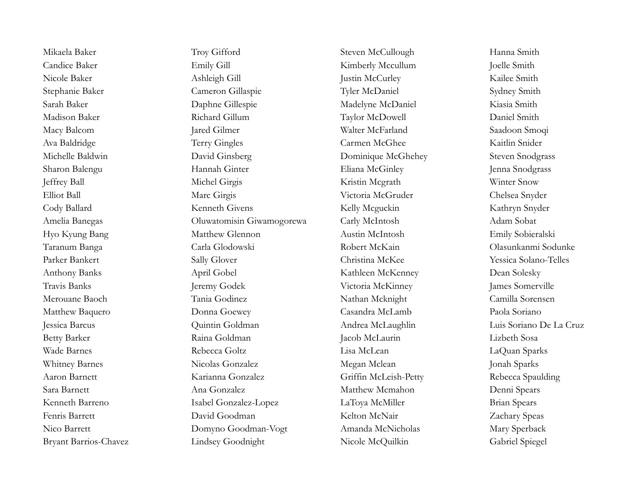Mikaela Baker Troy Gifford Steven McCullough Hanna Smith Candice Baker Emily Gill Emily Gill Kimberly Mccullum Joelle Smith Nicole Baker Ashleigh Gill Justin McCurley Kailee Smith Stephanie Baker Cameron Gillaspie Tyler McDaniel Sydney Smith Sarah Baker Daphne Gillespie Madelyne McDaniel Kiasia Smith Madison Baker Richard Gillum Taylor McDowell Daniel Smith Macy Balcom Jared Gilmer Jared Gilmer Walter McFarland Saadoon Smoqi Ava Baldridge Terry Gingles Carmen McGhee Kaitlin Snider Michelle Baldwin David Ginsberg Dominique McGhehey Steven Snodgrass Sharon Balengu Hannah Ginter Eliana McGinley Jenna Snodgrass Jeffrey Ball Michel Girgis Kristin Mcgrath Winter Snow Elliot Ball Marc Girgis Marc Girgis Victoria McGruder Chelsea Snyder Cody Ballard Kenneth Givens Kelly Mcguckin Kathryn Snyder Amelia Banegas Oluwatomisin Giwamogorewa Carly McIntosh Adam Sobat Hyo Kyung Bang Matthew Glennon Austin McIntosh Emily Sobieralski Taranum Banga Carla Glodowski Robert McKain Olasunkanmi Sodunke Parker Bankert Sally Glover Christina McKee Yessica Solano-Telles Anthony Banks April Gobel Kathleen McKenney Dean Solesky Travis Banks Jeremy Godek Victoria McKinney James Somerville Merouane Baoch Tania Godinez Nathan Mcknight Camilla Sorensen Matthew Baquero Donna Goewey Casandra McLamb Paola Soriano Jessica Barcus Quintin Goldman Andrea McLaughlin Luis Soriano De La Cruz Betty Barker Raina Goldman Jacob McLaurin Lizbeth Sosa Wade Barnes Rebecca Goltz Lisa McLean LaQuan Sparks Whitney Barnes Micolas Gonzalez Megan Mclean Jonah Sparks Aaron Barnett Karianna Gonzalez Griffin McLeish-Petty Rebecca Spaulding Sara Barnett Ana Gonzalez Matthew Mcmahon Denni Spears Kenneth Barreno Isabel Gonzalez-Lopez LaToya McMiller Brian Spears Fenris Barrett David Goodman Kelton McNair Zachary Speas Nico Barrett **Domyno Goodman-Vogt** Amanda McNicholas Mary Sperback Bryant Barrios-Chavez Lindsey Goodnight Nicole McQuilkin Gabriel Spiegel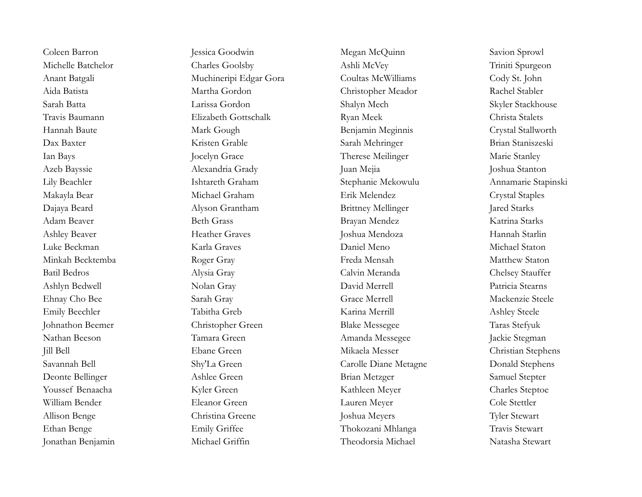Michelle Batchelor Charles Goolsby Ashli McVey Triniti Spurgeon Anant Batgali Muchineripi Edgar Gora Coultas McWilliams Cody St. John Aida Batista Martha Gordon Christopher Meador Rachel Stabler Sarah Batta Larissa Gordon Shalyn Mech Skyler Stackhouse Travis Baumann Elizabeth Gottschalk Ryan Meek Christa Stalets Hannah Baute Mark Gough Mark Gough Benjamin Meginnis Crystal Stallworth Dax Baxter Kristen Grable Sarah Mehringer Brian Staniszeski Ian Bays Jocelyn Grace Therese Meilinger Marie Stanley Azeb Bayssie Alexandria Grady Juan Mejia Joshua Stanton Lily Beachler Ishtareth Graham Stephanie Mekowulu Annamarie Stapinski Makayla Bear Michael Graham Erik Melendez Crystal Staples Dajaya Beard Alyson Grantham Brittney Mellinger Jared Starks Adam Beaver Beth Grass Brayan Mendez Katrina Starks Ashley Beaver Heather Graves Joshua Mendoza Hannah Starlin Luke Beckman Karla Graves Daniel Meno Michael Staton Minkah Becktemba Roger Gray Freda Mensah Matthew Staton Batil Bedros Alysia Gray Calvin Meranda Chelsey Stauffer Ashlyn Bedwell Nolan Gray David Merrell Patricia Stearns Ehnay Cho Bee Sarah Gray Grace Merrell Mackenzie Steele Emily Beechler Tabitha Greb Karina Merrill Ashley Steele Johnathon Beemer Christopher Green Blake Messegee Taras Stefyuk Nathan Beeson Tamara Green Amanda Messegee Jackie Stegman Jill Bell Ebane Green Mikaela Messer Christian Stephens Savannah Bell Shy'La Green Carolle Diane Metagne Donald Stephens Deonte Bellinger Ashlee Green Brian Metzger Samuel Stepter Youssef Benaacha Kyler Green Kathleen Meyer Charles Steptoe William Bender Eleanor Green Lauren Meyer Cole Stettler Allison Benge Christina Greene Joshua Meyers Tyler Stewart Ethan Benge Emily Griffee Thokozani Mhlanga Travis Stewart

Coleen Barron Jessica Goodwin Megan McQuinn Savion Sprowl Jonathan Benjamin Michael Griffin Theodorsia Michael Natasha Stewart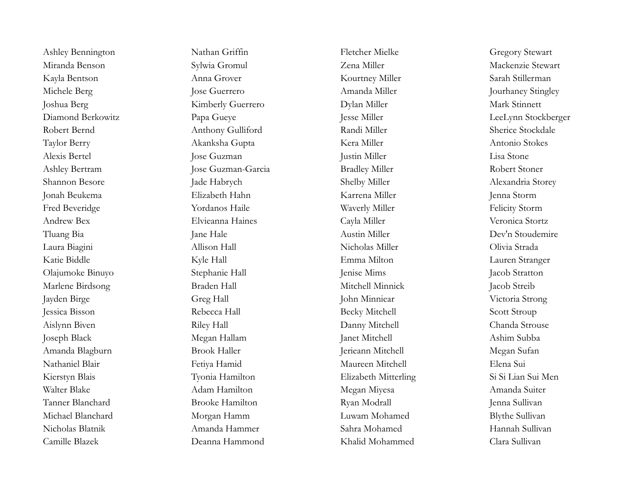Kayla Bentson Anna Grover Anna Grover Kourtney Miller Sarah Stillerman Michele Berg Jose Guerrero Jose Guerrero Amanda Miller Jourhaney Stingley Joshua Berg Kimberly Guerrero Dylan Miller Mark Stinnett Diamond Berkowitz Papa Gueye Jesse Miller Jesse Miller LeeLynn Stockberger Robert Bernd Anthony Gulliford Randi Miller Sherice Stockdale Taylor Berry Akanksha Gupta Kera Miller Antonio Stokes Ashley Bertram Jose Guzman-Garcia Bradley Miller Robert Stoner Shannon Besore Jade Habrych Shelby Miller Shelby Miller Alexandria Storey Fred Beveridge The Yordanos Haile North Waverly Miller Felicity Storm Olajumoke Binuyo Stephanie Hall Jenise Mims Jacob Stratton Marlene Birdsong Braden Hall Mitchell Minnick Jacob Streib Jessica Bisson Rebecca Hall Becky Mitchell Scott Stroup Aislynn Biven Riley Hall Danny Mitchell Chanda Strouse Joseph Black Megan Hallam Janet Mitchell Ashim Subba Amanda Blagburn Brook Haller Jerieann Mitchell Megan Sufan Nathaniel Blair Fetiya Hamid Maureen Mitchell Elena Sui Kierstyn Blais Tyonia Hamilton Elizabeth Mitterling Si Si Lian Sui Men Walter Blake Adam Hamilton Megan Miyesa Amanda Suiter Tanner Blanchard Brooke Hamilton Ryan Modrall Jenna Sullivan Camille Blazek Deanna Hammond Khalid Mohammed Clara Sullivan

Ashley Bennington Nathan Griffin Fletcher Mielke Gregory Stewart Miranda Benson Sylwia Gromul Zena Miller Mackenzie Stewart Alexis Bertel Jose Guzman Justin Miller Lisa Stone Jonah Beukema Elizabeth Hahn Karrena Miller Jenna Storm Andrew Bex Elvieanna Haines Cayla Miller Veronica Stortz Tluang Bia Jane Hale Austin Miller Dev'n Stoudemire Laura Biagini Allison Hall Nicholas Miller Olivia Strada Katie Biddle Kyle Hall Emma Milton Lauren Stranger Jayden Birge Greg Hall John Minniear Victoria Strong Michael Blanchard Morgan Hamm Luwam Mohamed Blythe Sullivan Nicholas Blatnik Amanda Hammer Sahra Mohamed Hannah Sullivan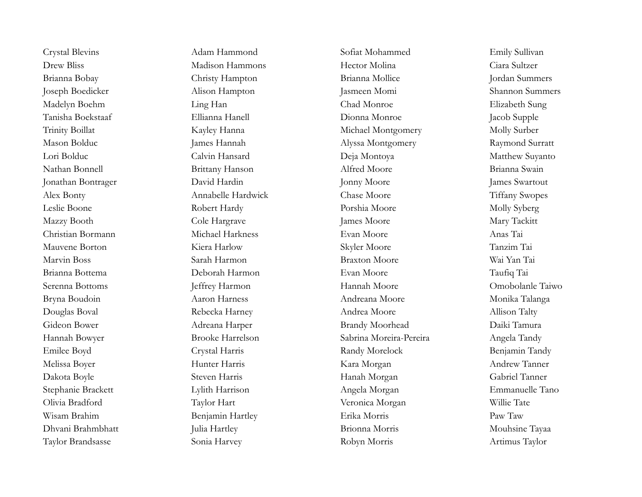Crystal Blevins Adam Hammond Sofiat Mohammed Emily Sullivan

Drew Bliss Madison Hammons Hector Molina Ciara Sultzer Brianna Bobay Christy Hampton Brianna Mollice Jordan Summers Joseph Boedicker Alison Hampton Jasmeen Momi Shannon Summers Madelyn Boehm Ling Han Chad Monroe Elizabeth Sung Tanisha Boekstaaf Ellianna Hanell Dionna Monroe Jacob Supple Trinity Boillat Kayley Hanna Michael Montgomery Molly Surber Mason Bolduc James Hannah James Hannah Alyssa Montgomery Raymond Surratt Lori Bolduc Calvin Hansard Deja Montoya Matthew Suyanto Nathan Bonnell Brittany Hanson Alfred Moore Brianna Swain Jonathan Bontrager David Hardin Jonny Moore James Swartout Alex Bonty Annabelle Hardwick Chase Moore Tiffany Swopes Leslie Boone Robert Hardy Porshia Moore Molly Syberg Mazzy Booth Cole Hargrave James Moore Mary Tackitt Christian Bormann Michael Harkness Evan Moore Anas Tai Mauvene Borton Kiera Harlow Skyler Moore Tanzim Tai Marvin Boss Sarah Harmon Braxton Moore Wai Yan Tai Brianna Bottema Deborah Harmon Evan Moore Taufiq Tai Serenna Bottoms Jeffrey Harmon Hannah Moore Omobolanle Taiwo Bryna Boudoin Aaron Harness Aaron Harness Andreana Moore Monika Talanga Douglas Boval Rebecka Harney Andrea Moore Allison Talty Gideon Bower Adreana Harper Brandy Moorhead Daiki Tamura Hannah Bowyer Brooke Harrelson Sabrina Moreira-Pereira Angela Tandy Emilee Boyd Crystal Harris Randy Morelock Benjamin Tandy Melissa Boyer Hunter Harris Kara Morgan Andrew Tanner Dakota Boyle Steven Harris Steven Harris Hanah Morgan Gabriel Tanner Stephanie Brackett Lylith Harrison Angela Morgan Emmanuelle Tano Olivia Bradford Taylor Hart Veronica Morgan Willie Tate Wisam Brahim Benjamin Hartley Erika Morris Paw Taw Dhvani Brahmbhatt Julia Hartley Brionna Morris Mouhsine Tayaa Taylor Brandsasse Sonia Harvey Robyn Morris Artimus Taylor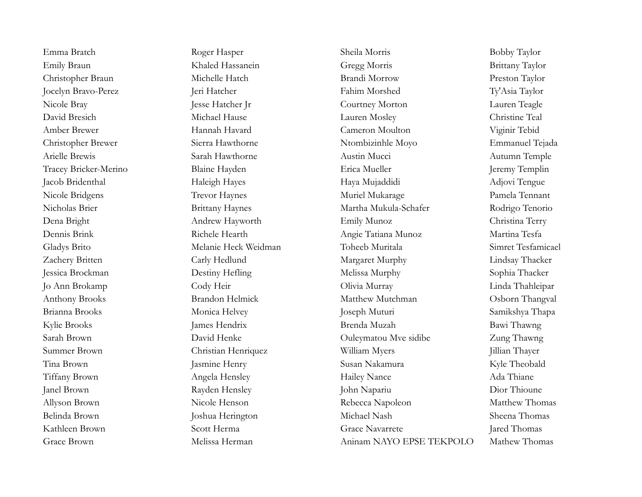Emma Bratch Roger Hasper Sheila Morris Sheila Morris Bobby Taylor Emily Braun Khaled Hassanein Gregg Morris Brittany Taylor Christopher Braun Michelle Hatch Brandi Morrow Preston Taylor Jocelyn Bravo-Perez Jeri Hatcher Fahim Morshed Ty'Asia Taylor Nicole Bray Jesse Hatcher Jr Courtney Morton Lauren Teagle David Bresich Michael Hause Lauren Mosley Christine Teal Amber Brewer Hannah Havard Cameron Moulton Viginir Tebid Christopher Brewer Sierra Hawthorne Ntombizinhle Moyo Emmanuel Tejada Arielle Brewis Sarah Hawthorne Austin Mucci Australian Autumn Temple Tracey Bricker-Merino Blaine Hayden Erica Mueller Jeremy Templin Jacob Bridenthal Haleigh Hayes Haleigh Hayes Haya Mujaddidi Adjovi Tengue Nicole Bridgens Trevor Haynes Muriel Mukarage Pamela Tennant Nicholas Brier Brittany Haynes Martha Mukula-Schafer Rodrigo Tenorio Dena Bright Andrew Hayworth Emily Munoz Christina Terry Dennis Brink Richele Hearth Angie Tatiana Munoz Martina Tesfa Gladys Brito Melanie Heck Weidman Toheeb Muritala Simret Tesfamicael Zachery Britten Carly Hedlund Margaret Murphy Lindsay Thacker Jessica Brockman Destiny Hefling Melissa Murphy Sophia Thacker Jo Ann Brokamp Cody Heir Olivia Murray Linda Thahleipar Anthony Brooks Brandon Helmick Matthew Mutchman Osborn Thangval Brianna Brooks Monica Helvey Joseph Muturi Samikshya Thapa Kylie Brooks James Hendrix Brenda Muzah Bawi Thawng Sarah Brown David Henke Ouleymatou Mve sidibe Zung Thawng Summer Brown Christian Henriquez William Myers Jillian Thayer Tina Brown Jasmine Henry Susan Nakamura Kyle Theobald Tiffany Brown Angela Hensley Hailey Nance Ada Thiane Janel Brown Rayden Hensley John Napariu Dior Thioune Allyson Brown Nicole Henson Rebecca Napoleon Matthew Thomas Belinda Brown Joshua Herington Michael Nash Sheena Thomas Kathleen Brown Scott Herma Grace Navarrete Jared Thomas Grace Brown **Melissa Herman** Aninam NAYO EPSE TEKPOLO Mathew Thomas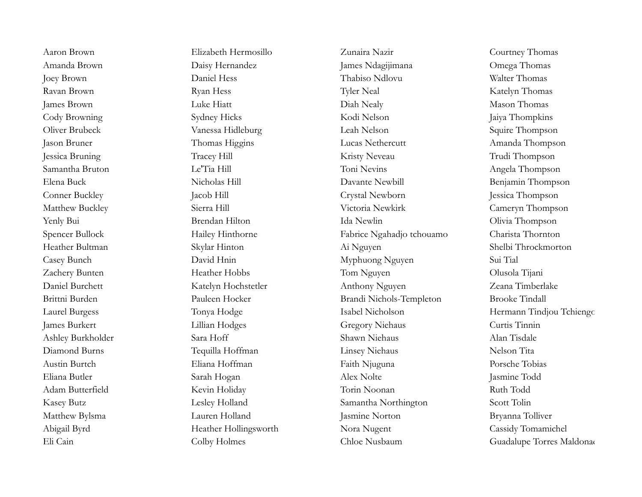Aaron Brown Elizabeth Hermosillo Zunaira Nazir Courtney Thomas Amanda Brown Daisy Hernandez James Ndagijimana Omega Thomas Joey Brown Daniel Hess Thabiso Ndlovu Walter Thomas Ravan Brown **Ryan Hess** Ryan Hess Tyler Neal Katelyn Thomas James Brown Luke Hiatt Diah Nealy Mason Thomas Cody Browning Sydney Hicks Sydney Hicks Kodi Nelson Jaiya Thompkins Oliver Brubeck Vanessa Hidleburg Leah Nelson Squire Thompson Jason Bruner Thomas Higgins Lucas Nethercutt Amanda Thompson Jessica Bruning Tracey Hill Kristy Neveau Trudi Thompson Samantha Bruton Le'Tia Hill Toni Nevins Angela Thompson Elena Buck Nicholas Hill Davante Newbill Benjamin Thompson Conner Buckley Jacob Hill Crystal Newborn Jessica Thompson Matthew Buckley Sierra Hill Victoria Newkirk Cameryn Thompson Yenly Bui Brendan Hilton Ida Newlin Olivia Thompson Spencer Bullock Hailey Hinthorne Fabrice Ngahadjo tchouamo Charista Thornton Heather Bultman Skylar Hinton Ai Nguyen Shelbi Throckmorton Casey Bunch David Hnin Myphuong Nguyen Sui Tial Zachery Bunten Heather Hobbs Tom Nguyen Olusola Tijani Daniel Burchett Katelyn Hochstetler Anthony Nguyen Zeana Timberlake Brittni Burden Nocker Pauleen Hocker Brandi Nichols-Templeton Brooke Tindall James Burkert Lillian Hodges Gregory Niehaus Curtis Tinnin Ashley Burkholder Sara Hoff Shawn Niehaus Alan Tisdale Diamond Burns Tequilla Hoffman Linsey Niehaus Nelson Tita Austin Burtch Eliana Hoffman Faith Njuguna Porsche Tobias Eliana Butler Sarah Hogan Alex Nolte Jasmine Todd Adam Butterfield Kevin Holiday Torin Noonan Ruth Todd Kasey Butz Lesley Holland Samantha Northington Scott Tolin Matthew Bylsma Lauren Holland Jasmine Norton Bryanna Tolliver Abigail Byrd Heather Hollingsworth Nora Nugent Cassidy Tomamichel

Eli Cain Colby Holmes Colby Holmes Chloe Nusbaum Guadalupe Torres Maldonador

Laurel Burgess Tonya Hodge Isabel Nicholson Hermann Tindjou Tchiengoua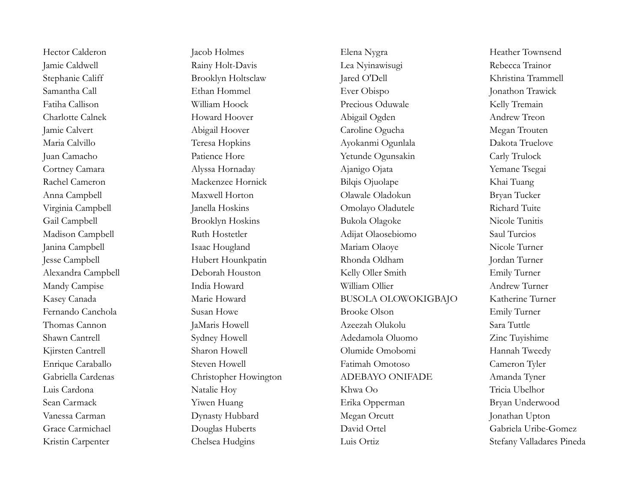Hector Calderon Jacob Holmes Elena Nygra Heather Townsend Jamie Caldwell Rainy Holt-Davis Lea Nyinawisugi Rebecca Trainor Stephanie Califf Brooklyn Holtsclaw Jared O'Dell Khristina Trammell Samantha Call **Ethan Hommel** Ever Obispo **Ever Commediates** Jonathon Trawick Fatiha Callison William Hoock Precious Oduwale Kelly Tremain Charlotte Calnek Howard Hoover Abigail Ogden Andrew Treon Jamie Calvert Abigail Hoover Caroline Ogucha Megan Trouten Maria Calvillo Teresa Hopkins Ayokanmi Ogunlala Dakota Truelove Juan Camacho Patience Hore Yetunde Ogunsakin Carly Trulock Cortney Camara Alyssa Hornaday Ajanigo Ojata Yemane Tsegai Rachel Cameron Mackenzee Hornick Bilqis Ojuolape Khai Tuang Anna Campbell Maxwell Horton Olawale Oladokun Bryan Tucker Virginia Campbell Janella Hoskins Omolayo Oladutele Richard Tuite Gail Campbell Brooklyn Hoskins Bukola Olagoke Nicole Tunitis Madison Campbell Ruth Hostetler Adijat Olaosebiomo Saul Turcios Janina Campbell Isaac Hougland Mariam Olaoye Nicole Turner Jesse Campbell Hubert Hounkpatin Rhonda Oldham Jordan Turner Alexandra Campbell Deborah Houston Kelly Oller Smith Emily Turner Mandy Campise India Howard William Ollier Andrew Turner Kasey Canada Marie Howard BUSOLA OLOWOKIGBAJO Katherine Turner Fernando Canchola Susan Howe Brooke Olson Emily Turner Thomas Cannon JaMaris Howell Azeezah Olukolu Sara Tuttle Shawn Cantrell Sydney Howell Adedamola Oluomo Zinc Tuyishime Kjirsten Cantrell Sharon Howell Sharon Howell Olumide Omobomi Hannah Tweedy Enrique Caraballo Steven Howell Fatimah Omotoso Cameron Tyler Gabriella Cardenas Christopher Howington ADEBAYO ONIFADE Amanda Tyner Luis Cardona Natalie Hoy Khwa Oo Tricia Ubelhor Sean Carmack Tiwen Huang Erika Opperman Bryan Underwood Vanessa Carman Dynasty Hubbard Megan Orcutt Jonathan Upton Grace Carmichael Douglas Huberts David Ortel Gabriela Uribe-Gomez Kristin Carpenter Chelsea Hudgins Luis Ortiz Luis Ortiz Stefany Valladares Pineda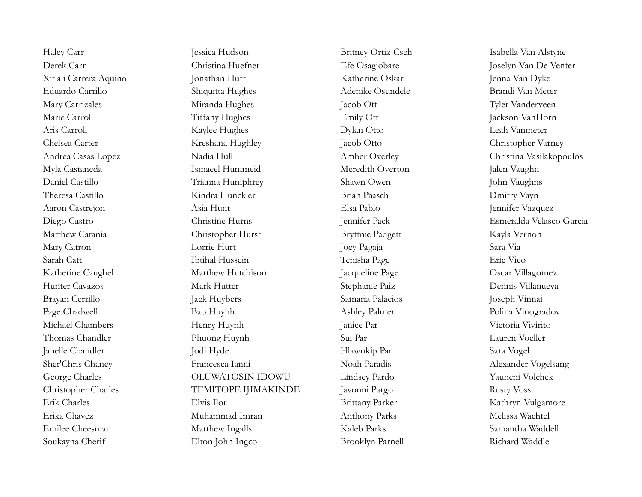Soukayna Cherif Elton John Ingco Brooklyn Parnell Richard Waddle

Haley Carr Jessica Hudson Jessica Hudson Britney Ortiz-Cseh Isabella Van Alstyne Derek Carr Christina Huefner Efe Osagiobare Joselyn Van De Venter Xitlali Carrera Aquino Jonathan Huff Katherine Oskar Jenna Van Dyke Eduardo Carrillo Shiquitta Hughes Adenike Osundele Brandi Van Meter Mary Carrizales Miranda Hughes Jacob Ott Tyler Vanderveen Marie Carroll Tiffany Hughes Emily Ott Jackson VanHorn Aris Carroll Kaylee Hughes Dylan Otto Leah Vanmeter Chelsea Carter **Kreshana Hughley** Jacob Otto Christopher Varney Andrea Casas Lopez Nadia Hull Nadia Hull Amber Overley Christina Vasilakopoulos Myla Castaneda Ismaeel Hummeid Meredith Overton Jalen Vaughn Daniel Castillo Trianna Humphrey Shawn Owen John Vaughns Theresa Castillo Kindra Hunckler Brian Paasch Dmitry Vayn Aaron Castrejon Asia Hunt Elsa Pablo Jennifer Vazquez Diego Castro Christine Hurns Jennifer Pack Esmeralda Velasco Garcia Matthew Catania Christopher Hurst Bryttnie Padgett Kayla Vernon Mary Catron Lorrie Hurt Joey Pagaja Sara Via Sarah Catt Ibtihal Hussein Tenisha Page Eric Vico Katherine Caughel Matthew Hutchison Jacqueline Page Oscar Villagomez Hunter Cavazos Mark Hutter Stephanie Paiz Dennis Villanueva Brayan Cerrillo Jack Huybers Samaria Palacios Joseph Vinnai Page Chadwell **Bao Huynh** Bao Huynh Ashley Palmer **Ashley Palmer** Polina Vinogradov Michael Chambers **Henry Huynh** Janice Par Janice Par Victoria Vivirito Thomas Chandler **Phuong Huynh** Sui Par Sui Par Lauren Voeller Janelle Chandler Jodi Hyde Hlawnkip Par Sara Vogel Sher'Chris Chaney **Francesca Ianni** Noah Paradis Noah Paradis Alexander Vogelsang George Charles OLUWATOSIN IDOWU Lindsey Pardo Yauheni Volchek Christopher Charles TEMITOPE IJIMAKINDE Javonni Pargo Rusty Voss Erik Charles Elvis Ilor Elvis Ilor Brittany Parker Kathryn Vulgamore Erika Chavez Muhammad Imran Anthony Parks Melissa Wachtel Emilee Cheesman Matthew Ingalls Kaleb Parks Samantha Waddell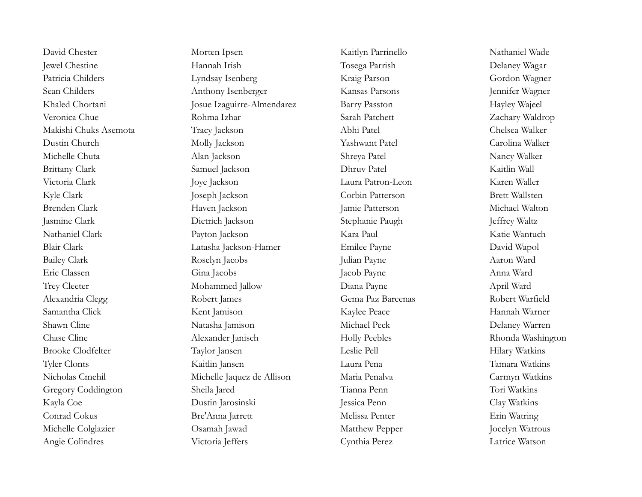Angie Colindres Victoria Jeffers Cynthia Perez Latrice Watson

David Chester Morten Ipsen Morten Ipsen Kaitlyn Parrinello Nathaniel Wade Jewel Chestine Hannah Irish Tosega Parrish Delaney Wagar Patricia Childers Lyndsay Isenberg Kraig Parson Gordon Wagner Sean Childers **Anthony Isenberger** Kansas Parsons Jennifer Wagner Khaled Chortani Josue Izaguirre-Almendarez Barry Passton Hayley Wajeel Veronica Chue Rohma Izhar Sarah Patchett Zachary Waldrop Makishi Chuks Asemota Tracy Jackson Abhi Patel Chelsea Walker Dustin Church Molly Jackson Yashwant Patel Carolina Walker Michelle Chuta Alan Jackson Shreya Patel Nancy Walker Brittany Clark Samuel Jackson Dhruv Patel Saitlin Wall Victoria Clark Joye Jackson Joye Dackson Laura Patron-Leon Karen Waller Kyle Clark Joseph Jackson Corbin Patterson Brett Wallsten Brenden Clark Haven Jackson Jamie Patterson Michael Walton Jasmine Clark Dietrich Jackson Stephanie Paugh Jeffrey Waltz Nathaniel Clark Payton Jackson Research Clark Kara Paul Katie Wantuch Blair Clark Latasha Jackson-Hamer Emilee Payne David Wapol Bailey Clark Roselyn Jacobs Julian Payne Aaron Ward Eric Classen Gina Jacobs Jacob Payne Anna Ward Trey Cleeter **South April Ward** Mohammed Jallow **Diana Payne** Diana Payne April Ward Alexandria Clegg Robert James Gema Paz Barcenas Robert Warfield Samantha Click Kent Jamison Kaylee Peace Hannah Warner Shawn Cline Natasha Jamison Michael Peck Delaney Warren Chase Cline Alexander Janisch Holly Peebles Rhonda Washington Brooke Clodfelter Taylor Jansen Leslie Pell Hilary Watkins Tyler Clonts Kaitlin Jansen Laura Pena Tamara Watkins Nicholas Cmehil Michelle Jaquez de Allison Maria Penalva Carmyn Watkins Gregory Coddington Sheila Jared Tianna Penn Tori Watkins Kayla Coe Dustin Jarosinski Jessica Penn Clay Watkins Conrad Cokus Bre'Anna Jarrett Melissa Penter Erin Watring Michelle Colglazier Osamah Jawad Matthew Pepper Jocelyn Watrous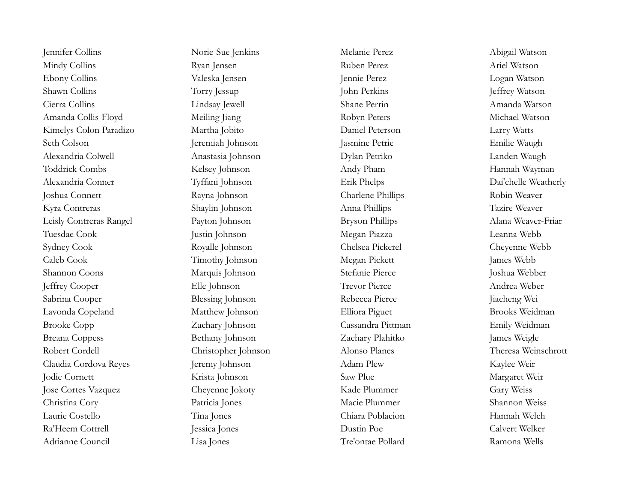Jennifer Collins Norie-Sue Jenkins Melanie Perez Abigail Watson Mindy Collins Ryan Jensen Ruben Perez Ariel Watson Ebony Collins Valeska Jensen Jennie Perez Logan Watson Shawn Collins Torry Jessup Torry Jessup John Perkins John Perkins Jeffrey Watson Cierra Collins Lindsay Jewell Shane Perrin Amanda Watson Amanda Collis-Floyd Meiling Jiang Robyn Peters Michael Watson Kimelys Colon Paradizo Martha Jobito Daniel Peterson Larry Watts Seth Colson Jeremiah Johnson Jasmine Petrie Emilie Waugh Alexandria Colwell Anastasia Johnson Dylan Petriko Landen Waugh Toddrick Combs Kelsey Johnson Andy Pham Hannah Wayman Alexandria Conner Tyffani Johnson Erik Phelps Dai'chelle Weatherly Joshua Connett Rayna Johnson Charlene Phillips Robin Weaver Kyra Contreras Shaylin Johnson Anna Phillips Tazire Weaver Leisly Contreras Rangel Payton Johnson Bryson Phillips Alana Weaver-Friar Tuesdae Cook Justin Johnson Megan Piazza Leanna Webb Sydney Cook Royalle Johnson Chelsea Pickerel Cheyenne Webb Caleb Cook Timothy Johnson Megan Pickett James Webb Shannon Coons Marquis Johnson Stefanie Pierce Joshua Webber Jeffrey Cooper Elle Johnson Trevor Pierce Andrea Weber Sabrina Cooper Blessing Johnson Rebecca Pierce Jiacheng Wei Lavonda Copeland Matthew Johnson Elliora Piguet Brooks Weidman Brooke Copp Zachary Johnson Cassandra Pittman Emily Weidman Breana Coppess Bethany Johnson Zachary Plahitko James Weigle Robert Cordell Christopher Johnson Alonso Planes Theresa Weinschrott Claudia Cordova Reyes Jeremy Johnson Adam Plew Kaylee Weir Jodie Cornett Krista Johnson Saw Plue Margaret Weir Jose Cortes Vazquez Cheyenne Jokoty Kade Plummer Gary Weiss Christina Cory Patricia Jones Macie Plummer Shannon Weiss Laurie Costello Tina Jones Chiara Poblacion Hannah Welch Ra'Heem Cottrell Jessica Jones Dustin Poe Calvert Welker Adrianne Council Lisa Jones Tre'ontae Pollard Ramona Wells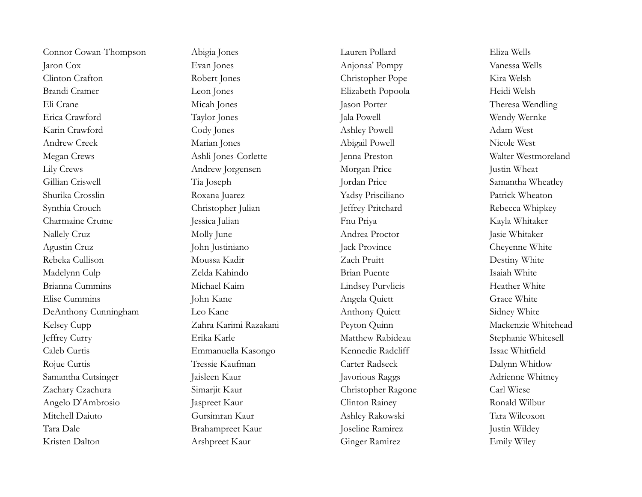Connor Cowan-Thompson Abigia Jones Lauren Pollard Eliza Wells Jaron Cox Evan Jones Anjonaa' Pompy Vanessa Wells Clinton Crafton Robert Jones Christopher Pope Kira Welsh Brandi Cramer Leon Jones Elizabeth Popoola Heidi Welsh Eli Crane Micah Jones Jason Porter Theresa Wendling Erica Crawford Taylor Jones Jala Powell Mendy Wernke Karin Crawford Cody Jones Ashley Powell Adam West Andrew Creek Marian Jones Abigail Powell Nicole West Megan Crews Ashli Jones-Corlette Jenna Preston Walter Westmoreland Lily Crews Andrew Jorgensen Morgan Price Justin Wheat Gillian Criswell Tia Joseph Jordan Price Samantha Wheatley Shurika Crosslin Roxana Juarez Yadsy Prisciliano Patrick Wheaton Synthia Crouch Christopher Julian Jeffrey Pritchard Rebecca Whipkey Charmaine Crume Jessica Julian Fnu Priya Kayla Whitaker Nallely Cruz Molly June Andrea Proctor Jasie Whitaker Agustin Cruz John Justiniano Jack Province Cheyenne White Rebeka Cullison Moussa Kadir Zach Pruitt Destiny White Madelynn Culp Zelda Kahindo Brian Puente Isaiah White Brianna Cummins Michael Kaim Lindsey Purvlicis Heather White Elise Cummins John Kane John Kane Angela Quiett Grace White DeAnthony Cunningham Leo Kane Anthony Quiett Sidney White Kelsey Cupp Zahra Karimi Razakani Peyton Quinn Mackenzie Whitehead Jeffrey Curry Erika Karle Matthew Rabideau Stephanie Whitesell Caleb Curtis Emmanuella Kasongo Kennedie Radcliff Issac Whitfield Rojue Curtis Tressie Kaufman Carter Radseck Dalynn Whitlow Samantha Cutsinger Jaisleen Kaur Javorious Raggs Adrienne Whitney Zachary Czachura Simarjit Kaur Christopher Ragone Carl Wiese Angelo D'Ambrosio Jaspreet Kaur Clinton Rainey Ronald Wilbur Mitchell Daiuto Gursimran Kaur Ashley Rakowski Tara Wilcoxon Tara Dale Brahampreet Kaur Joseline Ramirez Justin Wildey Kristen Dalton Arshpreet Kaur Ginger Ramirez Emily Wiley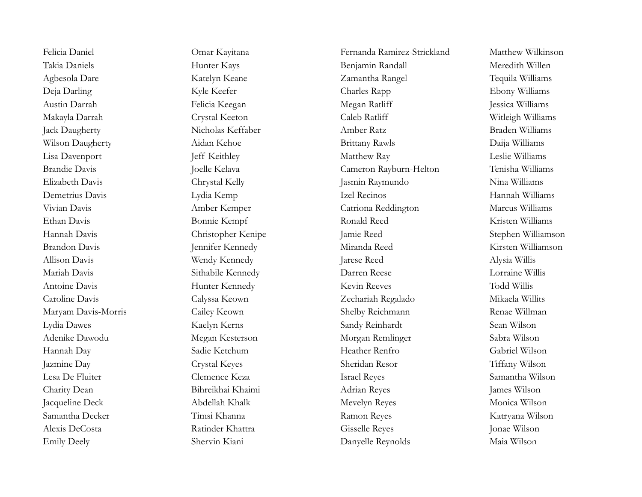Felicia Daniel Omar Kayitana Fernanda Ramirez-Strickland Matthew Wilkinson Takia Daniels **Hunter Kays** Hunter Kays Benjamin Randall Meredith Willen Agbesola Dare Katelyn Keane Zamantha Rangel Tequila Williams Deja Darling Kyle Keefer Charles Rapp Ebony Williams Austin Darrah Felicia Keegan Megan Ratliff Jessica Williams Makayla Darrah Crystal Keeton Caleb Ratliff Witleigh Williams Jack Daugherty Nicholas Keffaber Amber Ratz Braden Williams Wilson Daugherty Aidan Kehoe Brittany Rawls Daija Williams Lisa Davenport Jeff Keithley Matthew Ray Leslie Williams Brandie Davis Joelle Kelava Cameron Rayburn-Helton Tenisha Williams Elizabeth Davis Chrystal Kelly Jasmin Raymundo Nina Williams Demetrius Davis Lydia Kemp Izel Recinos Hannah Williams Vivian Davis Amber Kemper Catriona Reddington Marcus Williams Ethan Davis Bonnie Kempf Ronald Reed Kristen Williams Hannah Davis Christopher Kenipe Jamie Reed Stephen Williamson Brandon Davis Jennifer Kennedy Miranda Reed Kirsten Williamson Allison Davis Wendy Kennedy Jarese Reed Alysia Willis Mariah Davis Sithabile Kennedy Darren Reese Lorraine Willis Antoine Davis Hunter Kennedy Kevin Reeves Todd Willis Caroline Davis Calyssa Keown Zechariah Regalado Mikaela Willits Maryam Davis-Morris Cailey Keown Shelby Reichmann Renae Willman Lydia Dawes Kaelyn Kerns Sandy Reinhardt Sean Wilson Adenike Dawodu Megan Kesterson Morgan Remlinger Sabra Wilson Hannah Day Sadie Ketchum Heather Renfro Gabriel Wilson Jazmine Day Crystal Keyes Sheridan Resor Tiffany Wilson Lesa De Fluiter Clemence Keza Israel Reyes Samantha Wilson Charity Dean Bihreikhai Khaimi Adrian Reyes James Wilson Jacqueline Deck Abdellah Khalk Mevelyn Reyes Monica Wilson Samantha Decker Timsi Khanna Ramon Reyes Katryana Wilson Alexis DeCosta Ratinder Khattra Gisselle Reyes Jonae Wilson Emily Deely Shervin Kiani Danyelle Reynolds Maia Wilson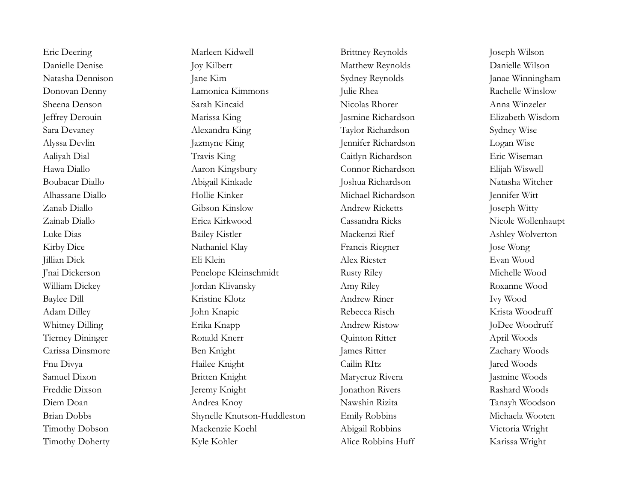Timothy Doherty Kyle Kohler Alice Robbins Huff Karissa Wright

Eric Deering Marleen Kidwell Brittney Reynolds Joseph Wilson Danielle Denise Joy Kilbert Joy Kilbert Matthew Reynolds Danielle Wilson Natasha Dennison Jane Kim Sydney Reynolds Janae Winningham Donovan Denny Lamonica Kimmons Julie Rhea Rachelle Winslow Sheena Denson Sarah Kincaid Nicolas Rhorer Anna Winzeler Jeffrey Derouin Marissa King Jasmine Richardson Elizabeth Wisdom Sara Devaney Alexandra King Taylor Richardson Sydney Wise Alyssa Devlin Jazmyne King Jennifer Richardson Logan Wise Aaliyah Dial Travis King Caitlyn Richardson Eric Wiseman Hawa Diallo Aaron Kingsbury Connor Richardson Elijah Wiswell Boubacar Diallo Abigail Kinkade Joshua Richardson Natasha Witcher Alhassane Diallo Hollie Kinker Michael Richardson Jennifer Witt Zanab Diallo Gibson Kinslow Andrew Ricketts Joseph Witty Zainab Diallo Erica Kirkwood Cassandra Ricks Nicole Wollenhaupt Luke Dias Bailey Kistler Mackenzi Rief Ashley Wolverton Kirby Dice Nathaniel Klay Francis Riegner Jose Wong Jillian Dick Eli Klein Alex Riester Evan Wood J'nai Dickerson Penelope Kleinschmidt Rusty Riley Michelle Wood William Dickey Jordan Klivansky Amy Riley Roxanne Wood Baylee Dill **Example 2018** Kristine Klotz **Andrew Riner** Ivy Wood Adam Dilley John Knapic Rebecca Risch Krista Woodruff Whitney Dilling Erika Knapp Erika Knapp Andrew Ristow JoDee Woodruff Tierney Dininger Ronald Knerr Quinton Ritter April Woods Carissa Dinsmore Ben Knight James Ritter Zachary Woods Fnu Divya Hailee Knight Cailin RItz Jared Woods Samuel Dixon Britten Knight Marycruz Rivera Jasmine Woods Freddie Dixson Jeremy Knight Jonathon Rivers Rashard Woods Diem Doan Andrea Knoy Nawshin Rizita Tanayh Woodson Brian Dobbs Shynelle Knutson-Huddleston Emily Robbins Michaela Wooten Timothy Dobson Mackenzie Koehl Abigail Robbins Victoria Wright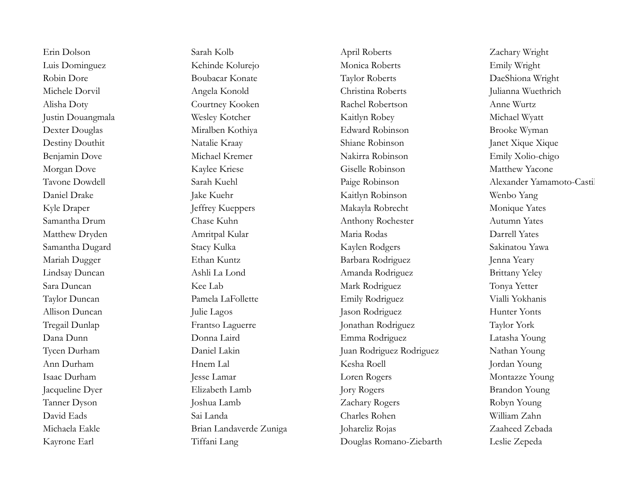Erin Dolson Sarah Kolb April Roberts Zachary Wright Luis Dominguez Kehinde Kolurejo Monica Roberts Emily Wright Robin Dore Boubacar Konate Taylor Roberts DaeShiona Wright Michele Dorvil Angela Konold Christina Roberts Julianna Wuethrich Alisha Doty Courtney Kooken Rachel Robertson Anne Wurtz Justin Douangmala Wesley Kotcher Kaitlyn Robey Kaitlyn Robey Michael Wyatt Dexter Douglas Miralben Kothiya Edward Robinson Brooke Wyman Destiny Douthit Natalie Kraay Shiane Robinson Janet Xique Xique Benjamin Dove Michael Kremer Nakirra Robinson Emily Xolio-chigo Morgan Dove Kaylee Kriese Giselle Robinson Matthew Yacone Daniel Drake Jake Kuehr Jake Kuehr Kaitlyn Robinson Wenbo Yang Kyle Draper The Grapher School and Teffrey Kueppers Makayla Robrecht Monique Yates Samantha Drum Chase Kuhn Anthony Rochester Autumn Yates Matthew Dryden Amritpal Kular Maria Rodas Darrell Yates Samantha Dugard Stacy Kulka Kaylen Rodgers Sakinatou Yawa Mariah Dugger Ethan Kuntz Ethan Kuntz Barbara Rodriguez Jenna Yeary Lindsay Duncan Ashli La Lond Amanda Rodriguez Brittany Yeley Sara Duncan Kee Lab Mark Rodriguez Tonya Yetter Taylor Duncan Pamela LaFollette Emily Rodriguez Vialli Yokhanis Allison Duncan Julie Lagos Jason Rodriguez Hunter Yonts Tregail Dunlap Frantso Laguerre Jonathan Rodriguez Taylor York Dana Dunn Donna Laird Emma Rodriguez Latasha Young Tycen Durham Daniel Lakin Juan Rodriguez Rodriguez Nathan Young Ann Durham Hnem Lal Kesha Roell Jordan Young Isaac Durham Jesse Lamar Loren Rogers Montazze Young Jacqueline Dyer Elizabeth Lamb Jory Rogers Brandon Young Tanner Dyson Joshua Lamb Zachary Rogers Robyn Young David Eads Sai Landa Charles Rohen William Zahn Michaela Eakle Brian Landaverde Zuniga Johareliz Rojas Zaaheed Zebada Kayrone Earl Tiffani Lang Douglas Romano-Ziebarth Leslie Zepeda

Tavone Dowdell Sarah Kuehl Paige Robinson Alexander Yamamoto-Castillo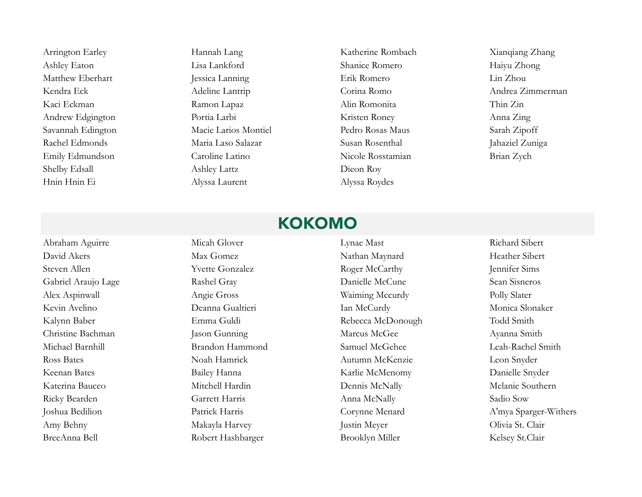Arrington Earley **Hannah Lang Katherine Rombach** Xianqiang Zhang Ashley Eaton Lisa Lankford Shanice Romero Haiyu Zhong Matthew Eberhart Jessica Lanning Erik Romero Lin Zhou Kendra Eck Adeline Lantrip Corina Romo Andrea Zimmerman Kaci Eckman **Ramon Lapaz** Ramon Lapaz Alin Romonita Thin Zin Andrew Edgington Portia Larbi Roney Kristen Roney Anna Zing Savannah Edington Macie Larios Montiel Pedro Rosas Maus Sarah Zipoff Rachel Edmonds Maria Laso Salazar Susan Rosenthal Jahaziel Zuniga Emily Edmundson Caroline Latino Nicole Rosstamian Brian Zych Shelby Edsall Ashley Lattz Dieon Roy Hnin Hnin Ei Alyssa Laurent Alyssa Roydes

### KOKOMO

BreeAnna Bell Robert Hashbarger Brooklyn Miller Kelsey St.Clair

Abraham Aguirre Micah Glover Lynae Mast Richard Sibert David Akers Max Gomez Max Gomez Nathan Maynard Heather Sibert Steven Allen The Yvette Gonzalez Roger McCarthy Jennifer Sims Gabriel Araujo Lage Rashel Gray Rashel Gray Danielle McCune Sean Sisneros Alex Aspinwall Angie Gross Waiming Mccurdy Polly Slater Kevin Avelino Deanna Gualtieri Ian McCurdy Monica Slonaker Kalynn Baber Emma Guldi Rebecca McDonough Todd Smith Christine Bachman Jason Gunning Marcus McGee Ayanna Smith Michael Barnhill Brandon Hammond Samuel McGehee Leah-Rachel Smith Ross Bates Noah Hamrick Autumn McKenzie Leon Snyder Keenan Bates Bailey Hanna Karlie McMenomy Danielle Snyder Katerina Baucco Mitchell Hardin Dennis McNally Melanie Southern Ricky Bearden Garrett Harris Anna McNally Sadio Sow Joshua Bedilion Patrick Harris Corynne Menard A'mya Sparger-Withers Amy Behny Makayla Harvey Justin Meyer Justin Meyer Olivia St. Clair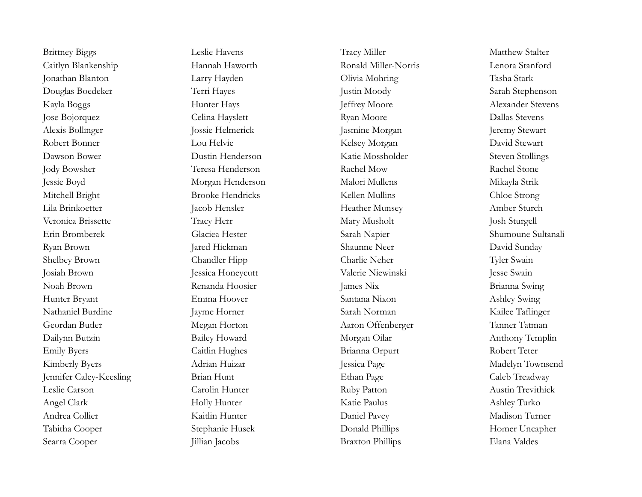Caitlyn Blankenship Hannah Haworth Ronald Miller-Norris Lenora Stanford Jonathan Blanton Larry Hayden Olivia Mohring Tasha Stark Douglas Boedeker Terri Hayes Justin Moody Sarah Stephenson Kayla Boggs Hunter Hays Jeffrey Moore Alexander Stevens Jose Bojorquez Celina Hayslett Ryan Moore Dallas Stevens Alexis Bollinger Jossie Helmerick Jasmine Morgan Jeremy Stewart Robert Bonner Lou Helvie Lou Helvie Kelsey Morgan David Stewart Dawson Bower Dustin Henderson Katie Mossholder Steven Stollings Jody Bowsher Teresa Henderson Rachel Mow Rachel Stone Jessie Boyd Morgan Henderson Malori Mullens Mikayla Strik Mitchell Bright Brooke Hendricks Kellen Mullins Chloe Strong Lila Brinkoetter Jacob Hensler Heather Munsey Amber Sturch Veronica Brissette Tracy Herr Tracy Herr Mary Musholt Josh Sturgell Erin Bromberek Glaciea Hester Sarah Napier Shumoune Sultanali Ryan Brown Jared Hickman Shaunne Neer David Sunday Shelbey Brown Chandler Hipp Chandler Hipp Charlie Neher Tyler Swain Josiah Brown Jessica Honeycutt Valerie Niewinski Jesse Swain Noah Brown Renanda Hoosier James Nix Brianna Swing Hunter Bryant Emma Hoover Santana Nixon Ashley Swing Nathaniel Burdine Jayme Horner Sarah Norman Kailee Taflinger Geordan Butler Megan Horton Aaron Offenberger Tanner Tatman Dailynn Butzin Bailey Howard Morgan Oilar Anthony Templin Emily Byers Caitlin Hughes Brianna Orpurt Robert Teter Kimberly Byers Adrian Huizar Jessica Page Madelyn Townsend Jennifer Caley-Keesling Brian Hunt Ethan Page Caleb Treadway Leslie Carson Carolin Hunter Ruby Patton Austin Trevithick Angel Clark Holly Hunter Katie Paulus Ashley Turko Andrea Collier Kaitlin Hunter Daniel Pavey Madison Turner Tabitha Cooper Stephanie Husek Donald Phillips Homer Uncapher Searra Cooper Jillian Jacobs Braxton Phillips Elana Valdes

Brittney Biggs Leslie Havens Tracy Miller Matthew Stalter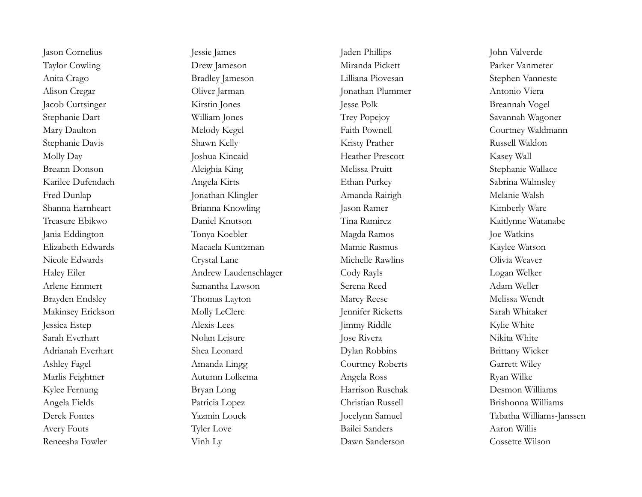Reneesha Fowler Vinh Ly Dawn Sanderson Cossette Wilson

Jason Cornelius Jessie James Jaden Phillips John Valverde Taylor Cowling Drew Jameson Miranda Pickett Parker Vanmeter Anita Crago Bradley Jameson Lilliana Piovesan Stephen Vanneste Alison Cregar Oliver Jarman Jonathan Plummer Antonio Viera Jacob Curtsinger Kirstin Jones Jesse Polk Breannah Vogel Stephanie Dart William Jones Trey Popejoy Savannah Wagoner Mary Daulton Melody Kegel Faith Pownell Courtney Waldmann Stephanie Davis Shawn Kelly Shawn Kelly Kristy Prather Russell Waldon Molly Day Joshua Kincaid Heather Prescott Kasey Wall Breann Donson Aleighia King Melissa Pruitt Stephanie Wallace Karilee Dufendach Angela Kirts Ethan Purkey Sabrina Walmsley Fred Dunlap Jonathan Klingler Amanda Rairigh Melanie Walsh Shanna Earnheart Brianna Knowling Jason Ramer Kimberly Ware Treasure Ebikwo Daniel Knutson Tina Ramirez Kaitlynne Watanabe Jania Eddington Tonya Koebler Magda Ramos Joe Watkins Elizabeth Edwards Macaela Kuntzman Mamie Rasmus Kaylee Watson Nicole Edwards Crystal Lane Michelle Rawlins Olivia Weaver Haley Eiler Andrew Laudenschlager Cody Rayls Logan Welker Arlene Emmert Samantha Lawson Serena Reed Adam Weller Brayden Endsley Thomas Layton Marcy Reese Melissa Wendt Makinsey Erickson Molly LeClerc Jennifer Ricketts Sarah Whitaker Jessica Estep Alexis Lees Jimmy Riddle Kylie White Sarah Everhart Nolan Leisure Jose Rivera Nikita White Adrianah Everhart Shea Leonard Dylan Robbins Brittany Wicker Ashley Fagel **Amanda Lingg Courtney Roberts** Garrett Wiley Marlis Feightner Autumn Lolkema Autumn Lolkema Angela Ross Ryan Wilke Kylee Fernung Bryan Long Harrison Ruschak Desmon Williams Angela Fields Patricia Lopez Christian Russell Brishonna Williams Avery Fouts Tyler Love Bailei Sanders Aaron Willis

Derek Fontes Yazmin Louck Jocelynn Samuel Tabatha Williams-Janssen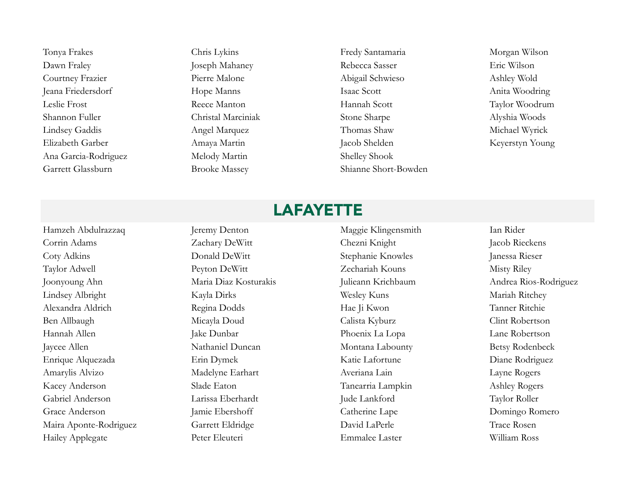Dawn Fraley Joseph Mahaney Rebecca Sasser Eric Wilson Courtney Frazier Pierre Malone Pierre Malone Abigail Schwieso Ashley Wold Jeana Friedersdorf Hope Manns Isaac Scott Anita Woodring Leslie Frost Reece Manton Hannah Scott Taylor Woodrum Shannon Fuller Christal Marciniak Stone Sharpe Alyshia Woods Lindsey Gaddis Angel Marquez Thomas Shaw Michael Wyrick Elizabeth Garber Amaya Martin Jacob Shelden Keyerstyn Young Ana Garcia-Rodriguez Melody Martin Shelley Shook Garrett Glassburn Brooke Massey Shianne Short-Bowden

Tonya Frakes Chris Lykins Chris Lykins Fredy Santamaria Morgan Wilson

### **LAFAYETTE**

Corrin Adams Zachary DeWitt Chezni Knight Jacob Rieckens Coty Adkins Donald DeWitt Stephanie Knowles Janessa Rieser Taylor Adwell Peyton DeWitt Zechariah Kouns Misty Riley Joonyoung Ahn Maria Diaz Kosturakis Julieann Krichbaum Andrea Rios-Rodriguez Lindsey Albright Kayla Dirks Wesley Kuns Mariah Ritchey Alexandra Aldrich Regina Dodds Hae Ji Kwon Tanner Ritchie Ben Allbaugh Micayla Doud Calista Kyburz Clint Robertson Hannah Allen Jake Dunbar Jake Dunbar Phoenix La Lopa Lane Robertson Jaycee Allen Nathaniel Duncan Montana Labounty Betsy Rodenbeck Enrique Alquezada Erin Dymek Katie Lafortune Diane Rodriguez Amarylis Alvizo Madelyne Earhart Averiana Lain Layne Rogers Kacey Anderson Slade Eaton Slade Eaton Tanearria Lampkin Ashley Rogers Gabriel Anderson Larissa Eberhardt Jude Lankford Taylor Roller Grace Anderson Jamie Ebershoff Catherine Lape Domingo Romero Maira Aponte-Rodriguez Garrett Eldridge David LaPerle Trace Rosen Hailey Applegate Peter Eleuteri Emmalee Laster William Ross

Hamzeh Abdulrazzaq Jeremy Denton Maggie Klingensmith Ian Rider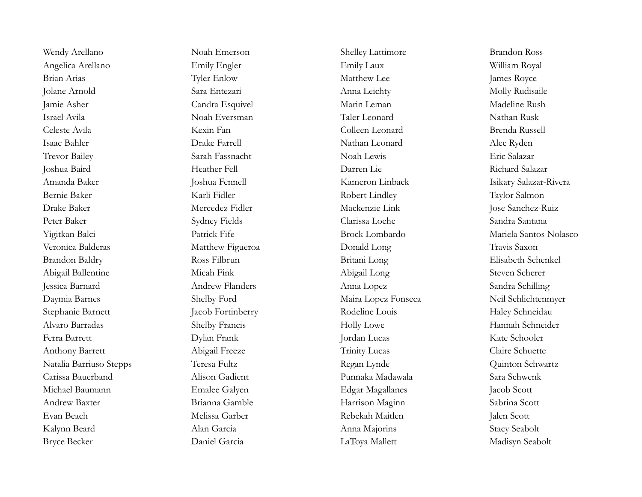Angelica Arellano Emily Engler Emily Engler Emily Laux William Royal Brian Arias Tyler Enlow Matthew Lee James Royce Jolane Arnold Sara Entezari Anna Leichty Molly Rudisaile Jamie Asher Candra Esquivel Marin Leman Madeline Rush Israel Avila Noah Eversman Taler Leonard Nathan Rusk Celeste Avila Kexin Fan Colleen Leonard Brenda Russell Isaac Bahler Drake Farrell Nathan Leonard Alec Ryden Trevor Bailey Sarah Fassnacht Noah Lewis Eric Salazar Joshua Baird Heather Fell Darren Lie Richard Salazar Amanda Baker Joshua Fennell Kameron Linback Isikary Salazar-Rivera Bernie Baker Karli Fidler Robert Lindley Taylor Salmon Drake Baker Mercedez Fidler Mackenzie Link Jose Sanchez-Ruiz Peter Baker Sydney Fields Clarissa Loehe Sandra Santana Yigitkan Balci Patrick Fife Brock Lombardo Mariela Santos Nolasco Veronica Balderas Matthew Figueroa Donald Long Travis Saxon Brandon Baldry Ross Filbrun Britani Long Elisabeth Schenkel Abigail Ballentine Micah Fink Abigail Long Steven Scherer Jessica Barnard Andrew Flanders Anna Lopez Sandra Schilling Daymia Barnes Shelby Ford Maira Lopez Fonseca Neil Schlichtenmyer Stephanie Barnett Jacob Fortinberry Rodeline Louis Haley Schneidau Alvaro Barradas Shelby Francis Holly Lowe Hannah Schneider Ferra Barrett Dylan Frank Jordan Lucas Kate Schooler Anthony Barrett Abigail Freeze Trinity Lucas Claire Schuette Natalia Barriuso Stepps Teresa Fultz Regan Lynde Quinton Schwartz Carissa Bauerband Alison Gadient Punnaka Madawala Sara Schwenk Michael Baumann **Emalee Galyen** Emalee Galyen Edgar Magallanes Jacob Scott Andrew Baxter Brianna Gamble Harrison Maginn Sabrina Scott Evan Beach Melissa Garber Rebekah Maitlen Jalen Scott Kalynn Beard Alan Garcia Anna Majorins Stacy Seabolt Bryce Becker **Daniel Garcia** Daniel Garcia LaToya Mallett Madisyn Seabolt

Wendy Arellano Noah Emerson Shelley Lattimore Brandon Ross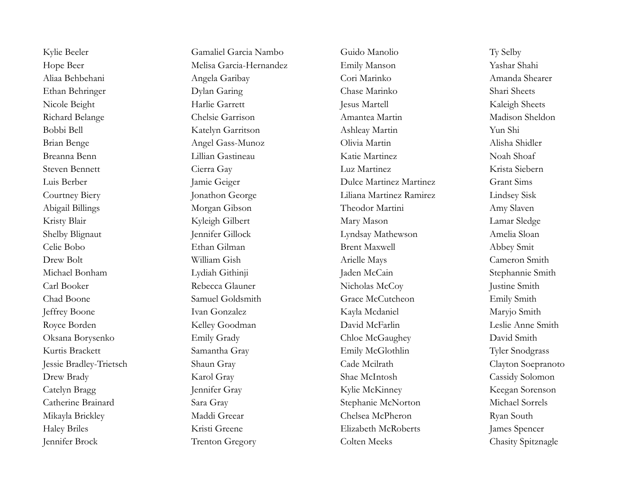Hope Beer Melisa Garcia-Hernandez Emily Manson Yashar Shahi Aliaa Behbehani Angela Garibay Cori Marinko Amanda Shearer Ethan Behringer Dylan Garing Chase Marinko Shari Sheets Nicole Beight Harlie Garrett Jesus Martell Kaleigh Sheets Richard Belange Chelsie Garrison Amantea Martin Madison Sheldon Bobbi Bell Katelyn Garritson Ashleay Martin Yun Shi Brian Benge Angel Gass-Munoz Olivia Martin Alisha Shidler Breanna Benn Lillian Gastineau Katie Martinez Noah Shoaf Steven Bennett Cierra Gay Luz Martinez Krista Siebern Luis Berber Jamie Geiger Dulce Martinez Martinez Grant Sims Courtney Biery Jonathon George Liliana Martinez Ramirez Lindsey Sisk Abigail Billings Morgan Gibson Theodor Martini Amy Slaven Kristy Blair Kyleigh Gilbert Mary Mason Lamar Sledge Shelby Blignaut Jennifer Gillock Lyndsay Mathewson Amelia Sloan Celie Bobo Ethan Gilman Brent Maxwell Abbey Smit Drew Bolt William Gish Arielle Mays Cameron Smith Michael Bonham Lydiah Githinji Jaden McCain Stephannie Smith Carl Booker Rebecca Glauner Nicholas McCoy Justine Smith Chad Boone Samuel Goldsmith Grace McCutcheon Emily Smith Jeffrey Boone Ivan Gonzalez Kayla Mcdaniel Maryjo Smith Royce Borden **Kelley Goodman** David McFarlin Leslie Anne Smith Oksana Borysenko Emily Grady Chloe McGaughey David Smith Kurtis Brackett Samantha Gray Emily McGlothlin Tyler Snodgrass Jessie Bradley-Trietsch Shaun Gray Cade Mcilrath Clayton Soepranoto Drew Brady Karol Gray Karol Gray Shae McIntosh Cassidy Solomon Catelyn Bragg Jennifer Gray Jennifer Gray Kylie McKinney Keegan Sorenson Catherine Brainard Sara Gray Stephanie McNorton Michael Sorrels Mikayla Brickley Maddi Greear Chelsea McPheron Ryan South Haley Briles Kristi Greene Elizabeth McRoberts James Spencer

Kylie Beeler **Gamaliel Garcia Nambo** Guido Manolio Ty Selby Jennifer Brock Trenton Gregory Colten Meeks Chasity Spitznagle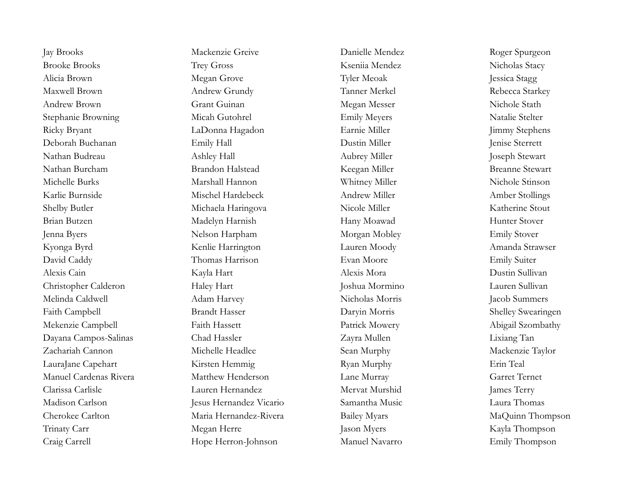Brooke Brooks Trey Gross Kseniia Mendez Nicholas Stacy Alicia Brown Megan Grove Tyler Meoak Jessica Stagg Maxwell Brown **Andrew Grundy Tanner Merkel** Rebecca Starkey Andrew Brown Grant Guinan Megan Messer Nichole Stath Stephanie Browning Micah Gutohrel Emily Meyers Natalie Stelter Ricky Bryant LaDonna Hagadon Earnie Miller Jimmy Stephens Deborah Buchanan Emily Hall Dustin Miller Jenise Sterrett Nathan Budreau Ashley Hall Ashley Hall Aubrey Miller Joseph Stewart Nathan Burcham **Brandon Halstead** Keegan Miller **Breanne Stewart** Michelle Burks Marshall Hannon Whitney Miller Nichole Stinson Karlie Burnside Mischel Hardebeck Andrew Miller Amber Stollings Shelby Butler **Michaela Haringova** Nicole Miller Nicole Miller Katherine Stout Brian Butzen Madelyn Harnish Hany Moawad Hunter Stover Jenna Byers Nelson Harpham Morgan Mobley Emily Stover Kyonga Byrd Kenlie Harrington Lauren Moody Amanda Strawser David Caddy Thomas Harrison Evan Moore Emily Suiter Alexis Cain Kayla Hart Alexis Mora Dustin Sullivan Christopher Calderon Haley Hart Joshua Mormino Lauren Sullivan Melinda Caldwell Adam Harvey Nicholas Morris Jacob Summers Faith Campbell Brandt Hasser Daryin Morris Shelley Swearingen Mekenzie Campbell Faith Hassett Faith Hassett Patrick Mowery Abigail Szombathy Dayana Campos-Salinas Chad Hassler Zayra Mullen Lixiang Tan Zachariah Cannon Michelle Headlee Sean Murphy Mackenzie Taylor LauraJane Capehart Kirsten Hemmig Ryan Murphy Erin Teal Manuel Cardenas Rivera Matthew Henderson Lane Murray Garret Ternet Clarissa Carlisle Lauren Hernandez Mervat Murshid James Terry Madison Carlson Jesus Hernandez Vicario Samantha Music Laura Thomas Cherokee Carlton Maria Hernandez-Rivera Bailey Myars MaQuinn Thompson Trinaty Carr Megan Herre Jason Myers Jason Myers Kayla Thompson Craig Carrell Hope Herron-Johnson Manuel Navarro Emily Thompson

Jay Brooks Mackenzie Greive Danielle Mendez Roger Spurgeon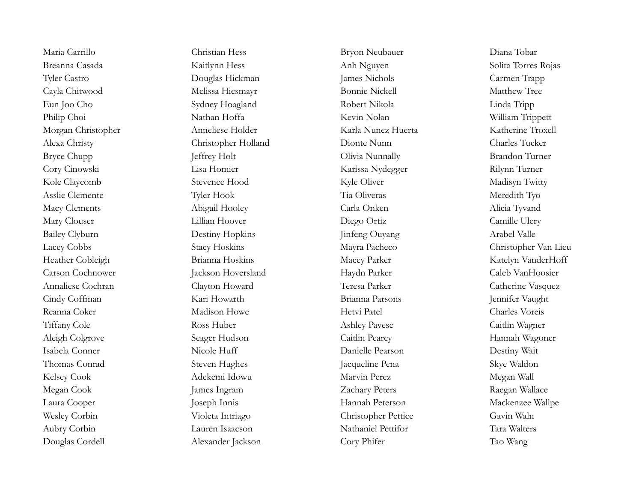Douglas Cordell Alexander Jackson Cory Phifer Tao Wang

Maria Carrillo Christian Hess Bryon Neubauer Diana Tobar Breanna Casada Kaitlynn Hess Anh Nguyen Solita Torres Rojas Tyler Castro Carmen Trapp Cayla Chitwood Melissa Hiesmayr Bonnie Nickell Matthew Tree Eun Joo Cho Sydney Hoagland Robert Nikola Linda Tripp Philip Choi Nathan Hoffa Kevin Nolan Kevin Nolan William Trippett Morgan Christopher Anneliese Holder Karla Nunez Huerta Katherine Troxell Alexa Christy Christopher Holland Dionte Nunn Charles Tucker Bryce Chupp Jeffrey Holt Jeffrey Holt Olivia Nunnally Brandon Turner Cory Cinowski Lisa Homier Karissa Nydegger Rilynn Turner Kole Claycomb Stevenee Hood Kyle Oliver Madisyn Twitty Asslie Clemente Tyler Hook Tia Oliveras Meredith Tyo Macy Clements Abigail Hooley Carla Onken Alicia Tyvand Mary Clouser Lillian Hoover Diego Ortiz Camille Ulery Bailey Clyburn Destiny Hopkins Jinfeng Ouyang Arabel Valle Lacey Cobbs Stacy Hoskins Mayra Pacheco Christopher Van Lieu Heather Cobleigh Brianna Hoskins Macey Parker Katelyn VanderHoff Carson Cochnower Jackson Hoversland Haydn Parker Caleb VanHoosier Annaliese Cochran Clayton Howard Teresa Parker Catherine Vasquez Cindy Coffman Kari Howarth Kari Howarth Brianna Parsons Jennifer Vaught Reanna Coker Madison Howe Hetvi Patel Charles Voreis Tiffany Cole Ross Huber Ashley Pavese Caitlin Wagner Aleigh Colgrove Seager Hudson Caitlin Pearcy Hannah Wagoner Isabela Conner Nicole Huff Danielle Pearson Danielle Pearson Destiny Wait Thomas Conrad Steven Hughes Jacqueline Pena Skye Waldon Kelsey Cook Adekemi Idowu Marvin Perez Megan Wall Megan Cook James Ingram Zachary Peters Raegan Wallace Laura Cooper Joseph Innis Hannah Peterson Mackenzee Wallpe Wesley Corbin Violeta Intriago Christopher Pettice Gavin Waln Aubry Corbin Lauren Isaacson Nathaniel Pettifor Tara Walters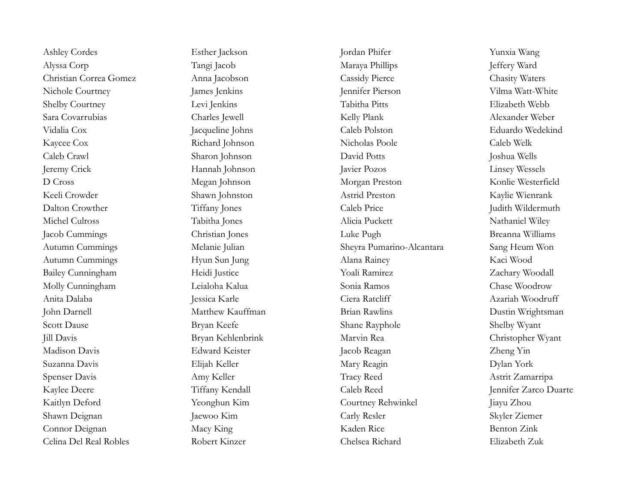Ashley Cordes Esther Jackson Jordan Phifer Yunxia Wang Alyssa Corp Tangi Jacob Tangi Jacob Maraya Phillips Jeffery Ward Christian Correa Gomez Anna Jacobson Cassidy Pierce Chasity Waters Nichole Courtney James Jenkins James Jennifer Pierson Vilma Watt-White Shelby Courtney Levi Jenkins Tabitha Pitts Elizabeth Webb Sara Covarrubias Charles Jewell Kelly Plank Alexander Weber Vidalia Cox Jacqueline Johns Caleb Polston Eduardo Wedekind Kaycee Cox Richard Johnson Nicholas Poole Caleb Welk Caleb Crawl Sharon Johnson David Potts Joshua Wells Jeremy Crick Hannah Johnson Javier Pozos Linsey Wessels D Cross Megan Johnson Morgan Preston Konlie Westerfield Keeli Crowder Shawn Johnston Astrid Preston Kaylie Wienrank Dalton Crowther Tiffany Jones Caleb Price Judith Wildermuth Michel Culross Tabitha Jones Alicia Puckett Nathaniel Wiley Jacob Cummings Christian Jones Luke Pugh Breanna Williams Autumn Cummings Melanie Julian Sheyra Pumarino-Alcantara Sang Heum Won Autumn Cummings Hyun Sun Jung Alana Rainey Kaci Wood Bailey Cunningham Heidi Justice Yoali Ramirez Zachary Woodall Molly Cunningham Leialoha Kalua Sonia Ramos Chase Woodrow Anita Dalaba Jessica Karle Ciera Ratcliff Azariah Woodruff John Darnell Matthew Kauffman Brian Rawlins Dustin Wrightsman Scott Dause Shane Bryan Keefe Shane Rayphole Shelby Wyant Jill Davis Bryan Kehlenbrink Marvin Rea Christopher Wyant Madison Davis Edward Keister Jacob Reagan Zheng Yin Suzanna Davis Elijah Keller Mary Reagin Dylan York Spenser Davis Amy Keller Tracy Reed Astrit Zamarripa Kaylee Deere Tiffany Kendall Caleb Reed Jennifer Zarco Duarte Kaitlyn Deford Yeonghun Kim Courtney Rehwinkel Jiayu Zhou Shawn Deignan Jaewoo Kim Carly Resler Skyler Ziemer Connor Deignan Macy King Kaden Rice Benton Zink Celina Del Real Robles Robert Kinzer Chelsea Richard Elizabeth Zuk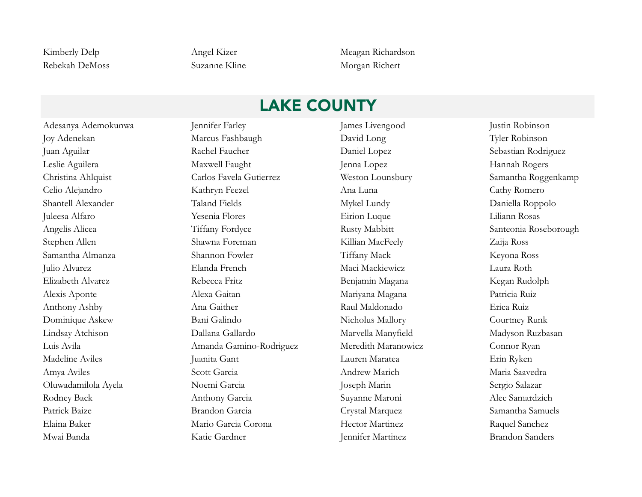Rebekah DeMoss Suzanne Kline Morgan Richert

Kimberly Delp Angel Kizer Meagan Richardson

## LAKE COUNTY

Adesanya Ademokunwa Jennifer Farley James Livengood Justin Robinson Joy Adenekan Marcus Fashbaugh David Long Tyler Robinson Juan Aguilar Rachel Faucher Daniel Lopez Sebastian Rodriguez Leslie Aguilera Maxwell Faught Jenna Lopez Hannah Rogers Christina Ahlquist Carlos Favela Gutierrez Weston Lounsbury Samantha Roggenkamp Celio Alejandro Kathryn Feezel Ana Luna Cathy Romero Shantell Alexander Taland Fields Mykel Lundy Daniella Roppolo Juleesa Alfaro Yesenia Flores Eirion Luque Liliann Rosas Angelis Alicea Tiffany Fordyce Rusty Mabbitt Santeonia Roseborough Stephen Allen Shawna Foreman Killian MacFeely Zaija Ross Samantha Almanza Shannon Fowler Tiffany Mack Keyona Ross Julio Alvarez Elanda French Maci Mackiewicz Laura Roth Elizabeth Alvarez Rebecca Fritz Benjamin Magana Kegan Rudolph Alexis Aponte Alexa Gaitan Mariyana Magana Patricia Ruiz Anthony Ashby Ana Gaither Raul Maldonado Erica Ruiz Dominique Askew Bani Galindo Nicholus Mallory Courtney Runk Lindsay Atchison Dallana Gallardo Marvella Manyfield Madyson Ruzbasan Luis Avila Amanda Gamino-Rodriguez Meredith Maranowicz Connor Ryan Madeline Aviles Juanita Gant Lauren Maratea Erin Ryken Amya Aviles Scott Garcia Andrew Marich Maria Saavedra Oluwadamilola Ayela Noemi Garcia Joseph Marin Sergio Salazar Rodney Back Anthony Garcia Suyanne Maroni Alec Samardzich Patrick Baize **Brandon Garcia** Crystal Marquez Samantha Samuels Elaina Baker Mario Garcia Corona Hector Martinez Raquel Sanchez Mwai Banda Katie Gardner Jennifer Martinez Brandon Sanders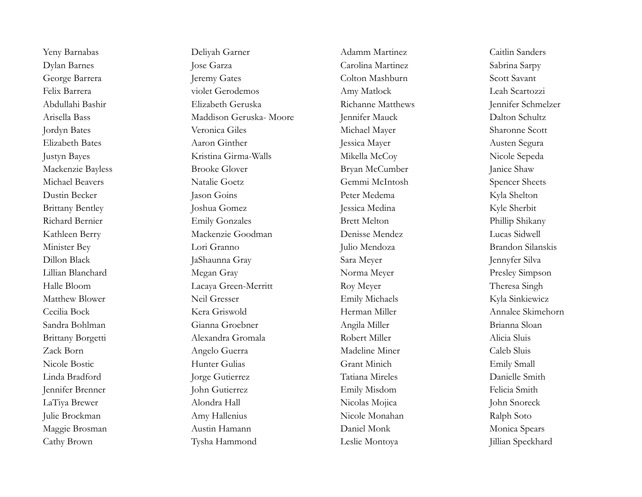Yeny Barnabas Deliyah Garner Adamm Martinez Caitlin Sanders Dylan Barnes Jose Garza Carolina Martinez Sabrina Sarpy George Barrera Jeremy Gates Colton Mashburn Scott Savant Felix Barrera violet Gerodemos Amy Matlock Leah Scartozzi Abdullahi Bashir Elizabeth Geruska Richanne Matthews Jennifer Schmelzer Arisella Bass Maddison Geruska- Moore Jennifer Mauck Dalton Schultz Jordyn Bates Veronica Giles Michael Mayer Sharonne Scott Elizabeth Bates Aaron Ginther Jessica Mayer Austen Segura Justyn Bayes Kristina Girma-Walls Mikella McCoy Nicole Sepeda Mackenzie Bayless Brooke Glover Bryan McCumber Janice Shaw Michael Beavers Natalie Goetz Gemmi McIntosh Spencer Sheets Dustin Becker Jason Goins Peter Medema Kyla Shelton Brittany Bentley Joshua Gomez Jessica Medina Kyle Sherbit Richard Bernier **Emily Gonzales** Brett Melton **Brett Melton** Phillip Shikany Kathleen Berry Mackenzie Goodman Denisse Mendez Lucas Sidwell Minister Bey Lori Granno Julio Mendoza Brandon Silanskis Dillon Black JaShaunna Gray Sara Meyer Jennyfer Silva Lillian Blanchard Megan Gray Norma Meyer Presley Simpson Halle Bloom Lacaya Green-Merritt Roy Meyer Theresa Singh Matthew Blower **Neil Gresser** Neil Gresser Emily Michaels Kyla Sinkiewicz Cecilia Bock Kera Griswold Herman Miller Annalee Skimehorn Sandra Bohlman Gianna Groebner Angila Miller Brianna Sloan Brittany Borgetti Alexandra Gromala Robert Miller Alicia Sluis Zack Born Angelo Guerra Madeline Miner Caleb Sluis Nicole Bostic Hunter Gulias Grant Minich Emily Small Linda Bradford Jorge Gutierrez Tatiana Mireles Danielle Smith Jennifer Brenner John Gutierrez Emily Misdom Felicia Smith LaTiya Brewer Alondra Hall Nicolas Mojica John Snoreck Julie Brockman Amy Hallenius Nicole Monahan Ralph Soto Maggie Brosman Monica Spears Austin Hamann Daniel Monk Daniel Monk Monica Spears Cathy Brown Tysha Hammond Leslie Montoya Jillian Speckhard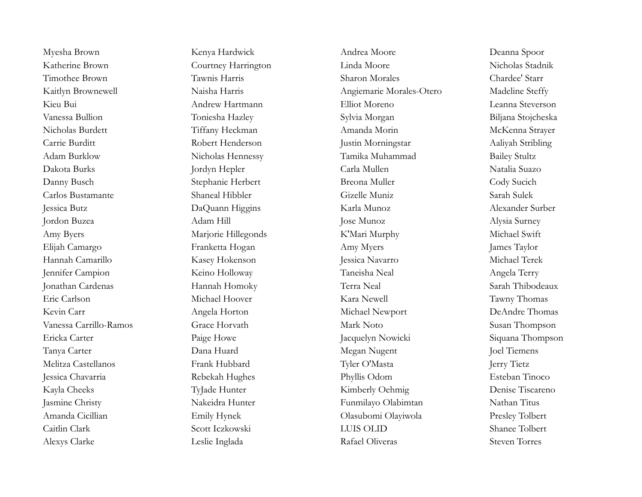Katherine Brown Courtney Harrington Linda Moore Nicholas Stadnik Kaitlyn Brownewell Naisha Harris Angiemarie Morales-Otero Madeline Steffy Kieu Bui Andrew Hartmann Elliot Moreno Leanna Steverson Vanessa Bullion Toniesha Hazley Sylvia Morgan Biljana Stojcheska Nicholas Burdett Tiffany Heckman Amanda Morin McKenna Strayer Carrie Burditt Robert Henderson Justin Morningstar Aaliyah Stribling Adam Burklow Nicholas Hennessy Tamika Muhammad Bailey Stultz Danny Busch Stephanie Herbert Breona Muller Cody Sucich Carlos Bustamante Shaneal Hibbler Gizelle Muniz Sarah Sulek Jessica Butz DaQuann Higgins Karla Munoz Alexander Surber Amy Byers **Marjorie Hillegonds** K'Mari Murphy Michael Swift Elijah Camargo Franketta Hogan Amy Myers James Taylor Hannah Camarillo Kasey Hokenson Jessica Navarro Michael Terek Jennifer Campion Keino Holloway Taneisha Neal Angela Terry Jonathan Cardenas Hannah Homoky Terra Neal Sarah Thibodeaux Kevin Carr **Angela Horton** Michael Newport DeAndre Thomas Vanessa Carrillo-Ramos Grace Horvath Mark Noto Susan Thompson Ericka Carter **Paige Howe** Paige Howe Jacquelyn Nowicki Siquana Thompson Tanya Carter Dana Huard Megan Nugent Joel Tiemens Melitza Castellanos Frank Hubbard Tyler O'Masta Jerry Tietz Jessica Chavarria Rebekah Hughes Phyllis Odom Esteban Tinoco Kayla Cheeks TyJade Hunter Kimberly Oehmig Denise Tiscareno Jasmine Christy Nakeidra Hunter Funmilayo Olabimtan Nathan Titus Amanda Cicillian Emily Hynek Olasubomi Olayiwola Presley Tolbert Alexys Clarke Leslie Inglada Rafael Oliveras Steven Torres

Myesha Brown Kenya Hardwick Andrea Moore Deanna Spoor Timothee Brown Tawnis Harris Sharon Morales Chardee' Starr Dakota Burks Jordyn Hepler Carla Mullen Natalia Suazo Jordon Buzea Adam Hill Jose Munoz Alysia Surney Eric Carlson Michael Hoover Kara Newell Tawny Thomas Caitlin Clark Scott Iczkowski LUIS OLID Shanee Tolbert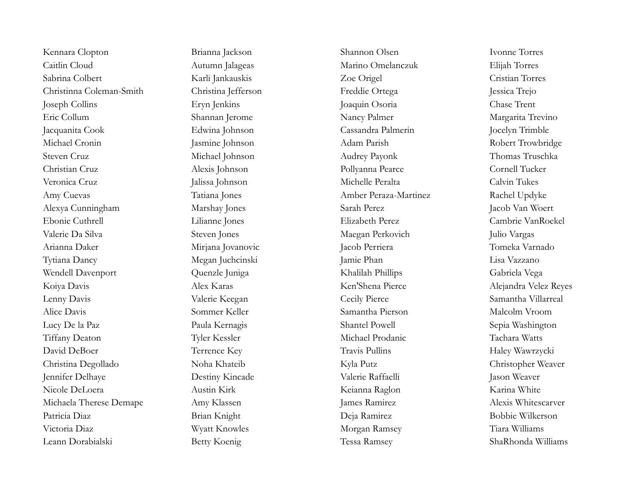Kennara Clopton Brianna Jackson Shannon Olsen Ivonne Torres Caitlin Cloud Autumn Jalageas Marino Omelanczuk Elijah Torres Sabrina Colbert Karli Jankauskis Zoe Origel Cristian Torres Christinna Coleman-Smith Christina Jefferson Freddie Ortega Jessica Trejo Joseph Collins Eryn Jenkins Joaquin Osoria Chase Trent Eric Collum Shannan Jerome Nancy Palmer Margarita Trevino Jacquanita Cook Edwina Johnson Cassandra Palmerin Jocelyn Trimble Michael Cronin Jasmine Johnson Jasmine Johnson Adam Parish Robert Trowbridge Steven Cruz Michael Johnson Audrey Payonk Thomas Truschka Christian Cruz Alexis Johnson Pollyanna Pearce Cornell Tucker Veronica Cruz Jalissa Johnson Michelle Peralta Calvin Tukes Amy Cuevas Tatiana Jones Amber Peraza-Martinez Rachel Updyke Alexya Cunningham Marshay Jones Sarah Perez Jacob Van Woert Ebonie Cuthrell Lilianne Jones Elizabeth Perez Cambrie VanRoekel Valerie Da Silva Steven Jones Maegan Perkovich Julio Vargas Arianna Daker Mirjana Jovanovic Jacob Perriera Tomeka Varnado Tytiana Dancy Megan Juchcinski Jamie Phan Lisa Vazzano Wendell Davenport Quenzle Juniga Khalilah Phillips Gabriela Vega Koiya Davis Alex Karas Alex Karas Ken'Shena Pierce Alejandra Velez Reyes Lenny Davis Valerie Keegan Cecily Pierce Samantha Villarreal Alice Davis Sommer Keller Samantha Pierson Malcolm Vroom Lucy De la Paz Paula Kernagis Paula Kernagis Shantel Powell Sepia Washington Tiffany Deaton Tyler Kessler Michael Prodanic Tachara Watts David DeBoer Terrence Key Travis Pullins Haley Wawrzycki Christina Degollado Noha Khateib Kyla Putz Christopher Weaver Jennifer Delhaye Destiny Kincade Valerie Raffaelli Jason Weaver Nicole DeLoera Austin Kirk Keianna Raglon Karina White Michaela Therese Demape Amy Klassen James Ramirez Alexis Whitescarver Patricia Diaz Brian Knight Deja Ramirez Bobbie Wilkerson Victoria Diaz Wyatt Knowles Morgan Ramsey Tiara Williams Leann Dorabialski Betty Koenig Tessa Ramsey ShaRhonda Williams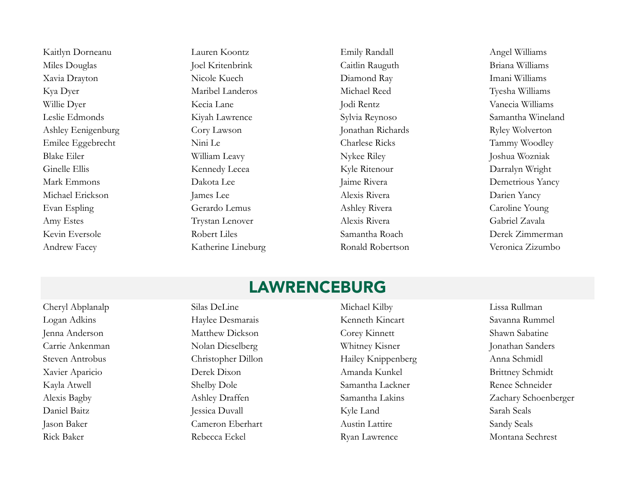Kaitlyn Dorneanu Lauren Koontz Emily Randall Angel Williams Miles Douglas Joel Kritenbrink Caitlin Rauguth Briana Williams Xavia Drayton Nicole Kuech Diamond Ray Imani Williams Kya Dyer Maribel Landeros Michael Reed Tyesha Williams Willie Dyer Kecia Lane Jodi Rentz Vanecia Williams Leslie Edmonds Kiyah Lawrence Sylvia Reynoso Samantha Wineland Ashley Eenigenburg Cory Lawson Jonathan Richards Ryley Wolverton Emilee Eggebrecht Nini Le Charlese Ricks Tammy Woodley Blake Eiler **William Leavy** Nykee Riley Nykee Riley Joshua Wozniak Ginelle Ellis Kennedy Lecea Kyle Ritenour Darralyn Wright Mark Emmons **Dakota Lee** Jaime Rivera **Demetrious Yancy** Michael Erickson James Lee Alexis Rivera Darien Yancy Evan Espling Gerardo Lemus Ashley Rivera Caroline Young Amy Estes Trystan Lenover Alexis Rivera Gabriel Zavala Kevin Eversole Robert Liles Samantha Roach Derek Zimmerman Andrew Facey Katherine Lineburg Ronald Robertson Veronica Zizumbo

### LAWRENCEBURG

Rick Baker Rebecca Eckel Ryan Lawrence Montana Sechrest

Cheryl Abplanalp Silas DeLine Michael Kilby Lissa Rullman Logan Adkins **Haylee Desmarais** Kenneth Kincart Savanna Rummel Jenna Anderson Matthew Dickson Corey Kinnett Shawn Sabatine Carrie Ankenman Nolan Dieselberg Whitney Kisner Jonathan Sanders Steven Antrobus Christopher Dillon Hailey Knippenberg Anna Schmidl Xavier Aparicio Derek Dixon Amanda Kunkel Brittney Schmidt Kayla Atwell Shelby Dole Samantha Lackner Renee Schneider Daniel Baitz Jessica Duvall Kyle Land Sarah Seals Jason Baker Cameron Eberhart Austin Lattire Sandy Seals

Alexis Bagby Ashley Draffen Samantha Lakins Zachary Schoenberger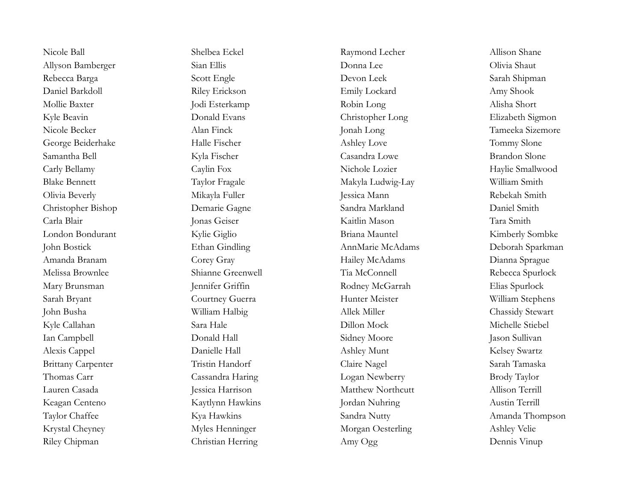Allyson Bamberger Sian Ellis Sian Ellis Donna Lee Olivia Shaut Rebecca Barga Scott Engle Devon Leek Sarah Shipman Daniel Barkdoll **Riley Erickson** Emily Lockard Amy Shook Mollie Baxter **Mollie Baxter** Jodi Esterkamp Robin Long Robin Long Alisha Short Kyle Beavin **Elizabeth Sigmon** Donald Evans Christopher Long Elizabeth Sigmon Nicole Becker Alan Finck Jonah Long Tameeka Sizemore George Beiderhake Halle Fischer Ashley Love Tommy Slone Samantha Bell Kyla Fischer Casandra Lowe Brandon Slone Carly Bellamy Caylin Fox Caylin Fox Nichole Lozier Haylie Smallwood Blake Bennett Taylor Fragale Taylor Fragale Makyla Ludwig-Lay William Smith Olivia Beverly Mikayla Fuller Jessica Mann Rebekah Smith Christopher Bishop Demarie Gagne Sandra Markland Daniel Smith Carla Blair Jonas Geiser Kaitlin Mason Tara Smith London Bondurant Kylie Giglio Briana Mauntel Kimberly Sombke John Bostick Ethan Gindling AnnMarie McAdams Deborah Sparkman Amanda Branam Corey Gray Hailey McAdams Dianna Sprague Melissa Brownlee Shianne Greenwell Tia McConnell Rebecca Spurlock Mary Brunsman Jennifer Griffin Rodney McGarrah Elias Spurlock Sarah Bryant Courtney Guerra Hunter Meister William Stephens John Busha William Halbig Allek Miller Chassidy Stewart Kyle Callahan Sara Hale Dillon Mock Michelle Stiebel Ian Campbell Donald Hall Sidney Moore Jason Sullivan Alexis Cappel Danielle Hall Ashley Munt Kelsey Swartz Brittany Carpenter Tristin Handorf Claire Nagel Sarah Tamaska Thomas Carr Cassandra Haring Logan Newberry Brody Taylor Lauren Casada Jessica Harrison Matthew Northcutt Allison Terrill Keagan Centeno Kaytlynn Hawkins Jordan Nuhring Austin Terrill Taylor Chaffee Kya Hawkins Kya Hawkins Sandra Nutty Amanda Thompson Krystal Cheyney Myles Henninger Morgan Oesterling Ashley Velie Riley Chipman Christian Herring Amy Ogg Dennis Vinup

Nicole Ball Shelbea Eckel Raymond Lecher Allison Shane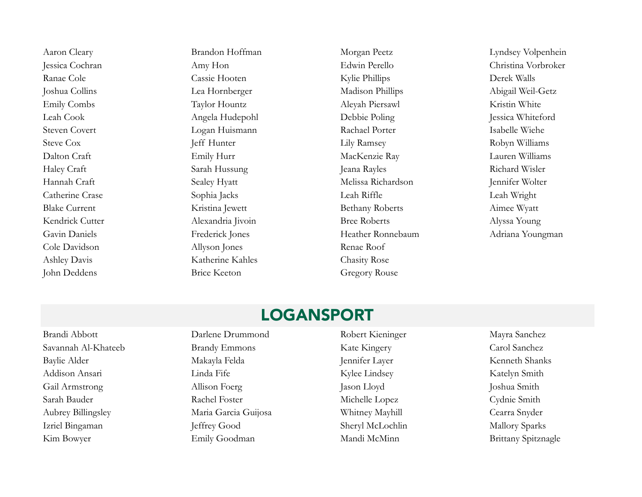Aaron Cleary **Brandon Hoffman** Morgan Peetz Lyndsey Volpenhein Ranae Cole Cassie Hooten Kylie Phillips Derek Walls Joshua Collins Lea Hornberger Madison Phillips Abigail Weil-Getz Emily Combs Taylor Hountz Aleyah Piersawl Kristin White Leah Cook Angela Hudepohl Debbie Poling Jessica Whiteford Steven Covert Logan Huismann Rachael Porter Isabelle Wiehe Steve Cox Jeff Hunter Lily Ramsey Robyn Williams Dalton Craft Emily Hurr MacKenzie Ray Lauren Williams Haley Craft Sarah Hussung Jeana Rayles Richard Wisler Hannah Craft Sealey Hyatt Melissa Richardson Jennifer Wolter Catherine Crase Sophia Jacks Leah Riffle Leah Wright Blake Current Kristina Jewett Bethany Roberts Aimee Wyatt Kendrick Cutter **Alexandria Iivoin** Bree Roberts Alyssa Young Gavin Daniels Frederick Jones Heather Ronnebaum Adriana Youngman Cole Davidson Allyson Jones Renae Roof Ashley Davis **Katherine Kahles** Chasity Rose John Deddens Brice Keeton Gregory Rouse

Jessica Cochran Amy Hon Edwin Perello Christina Vorbroker

### LOGANSPORT

Brandi Abbott Darlene Drummond Robert Kieninger Mayra Sanchez Savannah Al-Khateeb Brandy Emmons Kate Kingery Carol Sanchez Baylie Alder Makayla Felda Jennifer Layer Kenneth Shanks Addison Ansari Linda Fife Kylee Lindsey Katelyn Smith Gail Armstrong Allison Foerg Jason Lloyd Joshua Smith Sarah Bauder Rachel Foster Michelle Lopez Cydnie Smith Aubrey Billingsley Maria Garcia Guijosa Whitney Mayhill Cearra Snyder Izriel Bingaman Jeffrey Good Jeffrey Good Sheryl McLochlin Mallory Sparks Kim Bowyer Emily Goodman Mandi McMinn Brittany Spitznagle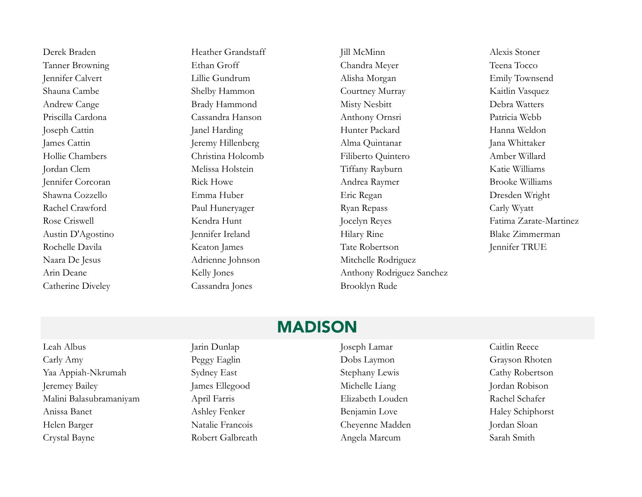Naara De Jesus Adrienne Johnson Mitchelle Rodriguez Catherine Diveley Cassandra Jones Brooklyn Rude

Derek Braden Heather Grandstaff Jill McMinn Alexis Stoner Tanner Browning Ethan Groff Chandra Meyer Teena Tocco Jennifer Calvert Lillie Gundrum Alisha Morgan Emily Townsend Shauna Cambe Shelby Hammon Courtney Murray Kaitlin Vasquez Andrew Cange Brady Hammond Misty Nesbitt Debra Watters Priscilla Cardona Cassandra Hanson Anthony Ornsri Patricia Webb Joseph Cattin Janel Harding Hunter Packard Hanna Weldon James Cattin Jeremy Hillenberg Alma Quintanar Jana Whittaker Hollie Chambers Christina Holcomb Filiberto Quintero Amber Willard Jordan Clem Melissa Holstein Tiffany Rayburn Katie Williams Jennifer Corcoran Rick Howe Andrea Raymer Brooke Williams Shawna Cozzello Emma Huber Eric Regan Dresden Wright Rachel Crawford Paul Huneryager Ryan Repass Carly Wyatt Austin D'Agostino Jennifer Ireland Hilary Rine Blake Zimmerman Rochelle Davila Keaton James Tate Robertson Jennifer TRUE Arin Deane Kelly Jones Anthony Rodriguez Sanchez

Rose Criswell Kendra Hunt Jocelyn Reyes Fatima Zarate-Martinez

#### MADISON

Leah Albus Jarin Dunlap Joseph Lamar Caitlin Reece Carly Amy Peggy Eaglin Dobs Laymon Grayson Rhoten Yaa Appiah-Nkrumah Sydney East Stephany Lewis Cathy Robertson Jeremey Bailey James Ellegood Michelle Liang Jordan Robison Malini Balasubramaniyam April Farris Elizabeth Louden Rachel Schafer Anissa Banet Ashley Fenker Benjamin Love Haley Schiphorst Helen Barger Natalie Francois Cheyenne Madden Jordan Sloan Crystal Bayne **Robert Galbreath** Angela Marcum Sarah Smith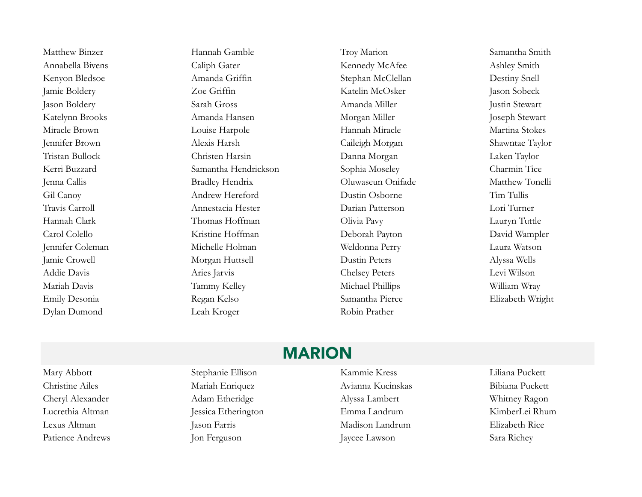Dylan Dumond Leah Kroger Robin Prather

Matthew Binzer Hannah Gamble Troy Marion Samantha Smith Annabella Bivens Caliph Gater Caliph Gater Kennedy McAfee Ashley Smith Kenyon Bledsoe Amanda Griffin Stephan McClellan Destiny Snell Jamie Boldery Zoe Griffin Katelin McOsker Jason Sobeck Jason Boldery Sarah Gross Amanda Miller Justin Stewart Katelynn Brooks Amanda Hansen Morgan Miller Joseph Stewart Miracle Brown **Louise Harpole** Hannah Miracle Martina Stokes Jennifer Brown Alexis Harsh Caileigh Morgan Shawntae Taylor Tristan Bullock Christen Harsin Danna Morgan Laken Taylor Kerri Buzzard Samantha Hendrickson Sophia Moseley Charmin Tice Jenna Callis Bradley Hendrix Oluwaseun Onifade Matthew Tonelli Gil Canoy Andrew Hereford Dustin Osborne Tim Tullis Travis Carroll Annestacia Hester Darian Patterson Lori Turner Hannah Clark Thomas Hoffman Olivia Pavy Lauryn Tuttle Carol Colello Kristine Hoffman Deborah Payton David Wampler Jennifer Coleman Michelle Holman Weldonna Perry Laura Watson Jamie Crowell Morgan Huttsell Dustin Peters Alyssa Wells Addie Davis Aries Jarvis Chelsey Peters Levi Wilson Mariah Davis Tammy Kelley Tammy Kelley Michael Phillips William Wray Emily Desonia Regan Kelso Samantha Pierce Elizabeth Wright

### MARION

Mary Abbott Stephanie Ellison Kammie Kress Liliana Puckett

Christine Ailes Mariah Enriquez Mariah Enriquez Avianna Kucinskas Bibiana Puckett Cheryl Alexander Adam Etheridge Alyssa Lambert Whitney Ragon Lucrethia Altman Jessica Etherington Emma Landrum KimberLei Rhum Lexus Altman Jason Farris Madison Landrum Elizabeth Rice Patience Andrews Jon Ferguson Jaycee Lawson Sara Richey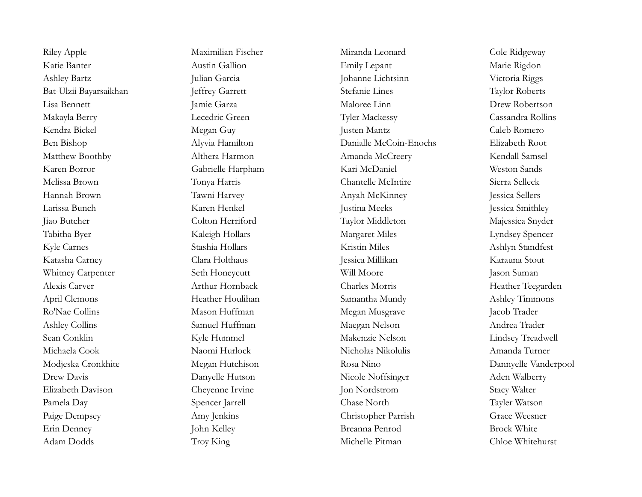Katie Banter Austin Gallion Emily Lepant Marie Rigdon Ashley Bartz Julian Garcia Johanne Lichtsinn Victoria Riggs Bat-Ulzii Bayarsaikhan Jeffrey Garrett Stefanie Lines Taylor Roberts Lisa Bennett Jamie Garza Maloree Linn Drew Robertson Makayla Berry Lecedric Green Tyler Mackessy Cassandra Rollins Kendra Bickel Megan Guy Justen Mantz Caleb Romero Ben Bishop Alyvia Hamilton Danialle McCoin-Enochs Elizabeth Root Matthew Boothby Althera Harmon Amanda McCreery Kendall Samsel Karen Borror Gabrielle Harpham Kari McDaniel Weston Sands Melissa Brown Tonya Harris Chantelle McIntire Sierra Selleck Hannah Brown Tawni Harvey Anyah McKinney Jessica Sellers Larissa Bunch Karen Henkel Justina Meeks Jessica Smithley Jiao Butcher Colton Herriford Taylor Middleton Majessica Snyder Tabitha Byer Kaleigh Hollars Margaret Miles Lyndsey Spencer Kyle Carnes Stashia Hollars Kristin Miles Ashlyn Standfest Katasha Carney Clara Holthaus Jessica Millikan Karauna Stout Whitney Carpenter Seth Honeycutt Will Moore and Jason Suman Alexis Carver **Arthur Hornback** Charles Morris **Charles Morris** Heather Teegarden April Clemons **Heather Houlihan** Samantha Mundy Ashley Timmons Ro'Nae Collins Mason Huffman Megan Musgrave Jacob Trader Ashley Collins Samuel Huffman Maegan Nelson Andrea Trader Sean Conklin Kyle Hummel Makenzie Nelson Lindsey Treadwell Michaela Cook Naomi Hurlock Nicholas Nikolulis Amanda Turner Modjeska Cronkhite Megan Hutchison Rosa Nino Dannyelle Vanderpool Drew Davis Danyelle Hutson Nicole Noffsinger Aden Walberry Elizabeth Davison Cheyenne Irvine Jon Nordstrom Stacy Walter Pamela Day Spencer Jarrell Chase North Tayler Watson Paige Dempsey Amy Jenkins Christopher Parrish Grace Weesner Erin Denney John Kelley Breanna Penrod Brock White

Riley Apple Maximilian Fischer Miranda Leonard Cole Ridgeway Adam Dodds Troy King Michelle Pitman Chloe Whitehurst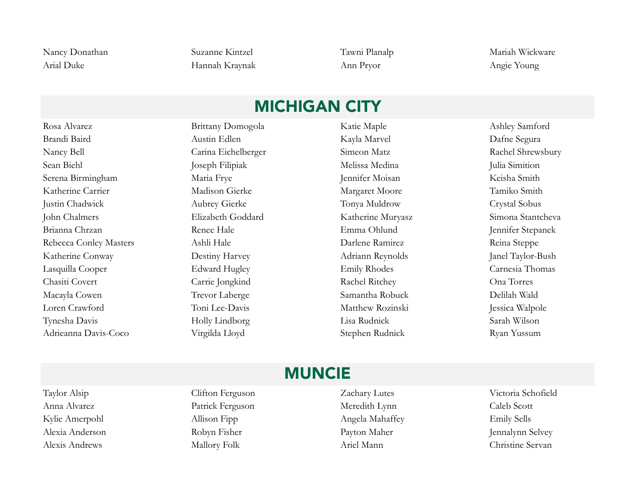Arial Duke Hannah Kraynak Ann Pryor Angie Young

Nancy Donathan Suzanne Kintzel Tawni Planalp Mariah Wickware

# MICHIGAN CITY

Rosa Alvarez Brittany Domogola Katie Maple Ashley Samford Brandi Baird Austin Edlen Kayla Marvel Dafne Segura Nancy Bell Carina Eichelberger Simeon Matz Rachel Shrewsbury Sean Biehl Joseph Filipiak Melissa Medina Julia Simition Serena Birmingham Maria Frye Jennifer Moisan Keisha Smith Katherine Carrier **Madison Gierke** Margaret Moore Tamiko Smith Justin Chadwick Aubrey Gierke Tonya Muldrow Crystal Sobus John Chalmers Elizabeth Goddard Katherine Muryasz Simona Stantcheva Brianna Chrzan Renee Hale Emma Ohlund Jennifer Stepanek Rebecca Conley Masters Ashli Hale Darlene Ramirez Reina Steppe Katherine Conway Destiny Harvey Adriann Reynolds Janel Taylor-Bush Lasquilla Cooper Edward Hugley Emily Rhodes Carnesia Thomas Chasiti Covert Carrie Jongkind Rachel Ritchey Ona Torres Macayla Cowen Trevor Laberge Samantha Robuck Delilah Wald Loren Crawford Toni Lee-Davis Matthew Rozinski Jessica Walpole Tynesha Davis Holly Lindborg Lisa Rudnick Sarah Wilson Adrieanna Davis-Coco Virgilda Lloyd Stephen Rudnick Ryan Yussum

### MUNCIE

Taylor Alsip Clifton Ferguson Zachary Lutes Victoria Schofield Alexis Andrews Mallory Folk Ariel Mann Christine Servan

Anna Alvarez Patrick Ferguson Meredith Lynn Caleb Scott Kylie Amerpohl Allison Fipp Angela Mahaffey Emily Sells Alexia Anderson Robyn Fisher Payton Maher Jennalynn Selvey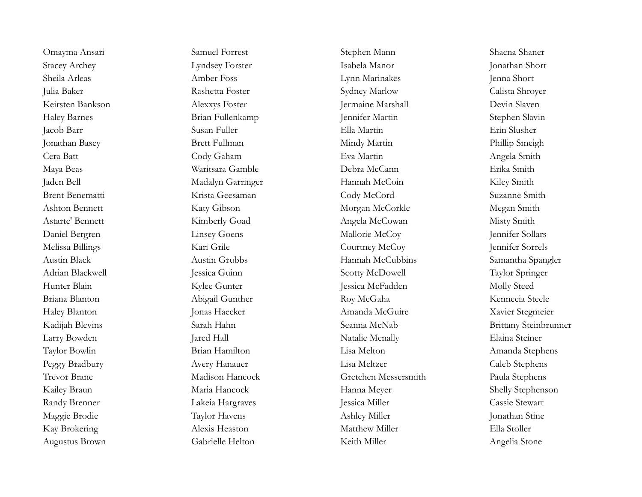Stacey Archey Lyndsey Forster Isabela Manor Jonathan Short Sheila Arleas Amber Foss Lynn Marinakes Jenna Short Julia Baker Rashetta Foster Sydney Marlow Calista Shroyer Keirsten Bankson aus Alexxys Foster Alexis Foster Jermaine Marshall Devin Slaven Haley Barnes Brian Fullenkamp Jennifer Martin Stephen Slavin Jacob Barr Susan Fuller Ella Martin Erin Slusher Jonathan Basey Brett Fullman Mindy Martin Phillip Smeigh Cera Batt Cody Gaham Eva Martin Angela Smith Maya Beas Waritsara Gamble Debra McCann Erika Smith Jaden Bell Madalyn Garringer Hannah McCoin Kiley Smith Brent Benematti Krista Geesaman Cody McCord Suzanne Smith Ashton Bennett Katy Gibson Morgan McCorkle Megan Smith Astarte' Bennett Kimberly Goad Angela McCowan Misty Smith Daniel Bergren Linsey Goens Mallorie McCoy Jennifer Sollars Melissa Billings Kari Grile Courtney McCoy Jennifer Sorrels Austin Black Austin Grubbs Hannah McCubbins Samantha Spangler Adrian Blackwell **Jessica Guinn** Jessica Guinn Scotty McDowell Taylor Springer Hunter Blain Molly Steed Kylee Gunter Steed Jessica McFadden Molly Steed Briana Blanton **Briana Blanton** Abigail Gunther Roy McGaha Kennecia Steele Haley Blanton Jonas Haecker Amanda McGuire Xavier Stegmeier Kadijah Blevins Sarah Hahn Seanna McNab Brittany Steinbrunner Larry Bowden Jared Hall Natalie Mcnally Elaina Steiner Taylor Bowlin Brian Hamilton Lisa Melton Amanda Stephens Peggy Bradbury **Avery Hanauer** Lisa Meltzer Caleb Stephens Trevor Brane Madison Hancock Gretchen Messersmith Paula Stephens Kailey Braun Maria Hancock Hanna Meyer Shelly Stephenson Randy Brenner Lakeia Hargraves Jessica Miller Cassie Stewart Maggie Brodie Taylor Havens Ashley Miller Jonathan Stine Kay Brokering Alexis Heaston Matthew Miller Ella Stoller

Omayma Ansari Samuel Forrest Samuel Forrest Stephen Mann Shaena Shaena Shaena Shaena Shaena Shaena Shaena Shaena Augustus Brown Gabrielle Helton Keith Miller Angelia Stone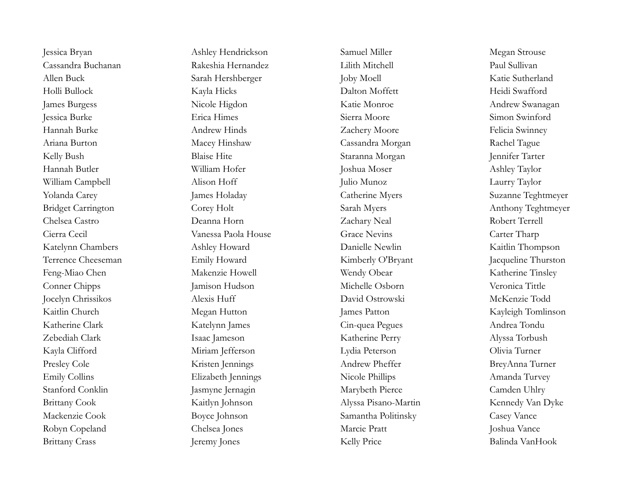James Burgess Nicole Higdon Katie Monroe Andrew Swanagan Hannah Burke Andrew Hinds Andrew Hinds Zachery Moore Felicia Swinney Kelly Bush Blaise Hite Staranna Morgan Jennifer Tarter William Campbell Alison Hoff Julio Munoz Laurry Taylor Yolanda Carey James Holaday Catherine Myers Suzanne Teghtmeyer Bridget Carrington Corey Holt Sarah Myers Anthony Teghtmeyer Feng-Miao Chen Makenzie Howell Wendy Obear Katherine Tinsley Conner Chipps Jamison Hudson Michelle Osborn Veronica Tittle Jocelyn Chrissikos Alexis Huff David Ostrowski McKenzie Todd Presley Cole Kristen Jennings Andrew Pheffer BreyAnna Turner Mackenzie Cook Boyce Johnson Samantha Politinsky Casey Vance Robyn Copeland Chelsea Jones Marcie Pratt Joshua Vance Brittany Crass Jeremy Jones Kelly Price Balinda VanHook

Jessica Bryan Megan Strouse Ashley Hendrickson Samuel Miller Megan Strouse Cassandra Buchanan Rakeshia Hernandez Lilith Mitchell Paul Sullivan Allen Buck Sarah Hershberger Joby Moell Katie Sutherland Holli Bullock Kayla Hicks Dalton Moffett Heidi Swafford Jessica Burke Erica Himes Sierra Moore Simon Swinford Ariana Burton Macey Hinshaw Cassandra Morgan Rachel Tague Hannah Butler William Hofer Joshua Moser Ashley Taylor Chelsea Castro Deanna Horn Zachary Neal Robert Terrell Cierra Cecil Vanessa Paola House Grace Nevins Carter Tharp Katelynn Chambers **Ashley Howard** Danielle Newlin Kaitlin Thompson Terrence Cheeseman Emily Howard Kimberly O'Bryant Jacqueline Thurston Kaitlin Church Megan Hutton James Patton Kayleigh Tomlinson Katherine Clark Katelynn James Cin-quea Pegues Andrea Tondu Zebediah Clark Isaac Jameson Katherine Perry Alyssa Torbush Kayla Clifford Miriam Jefferson Lydia Peterson Olivia Turner Emily Collins Elizabeth Jennings Nicole Phillips Amanda Turvey Stanford Conklin Jasmyne Jernagin Marybeth Pierce Camden Uhlry Brittany Cook Kaitlyn Johnson Kaitlyn Johnson Alyssa Pisano-Martin Kennedy Van Dyke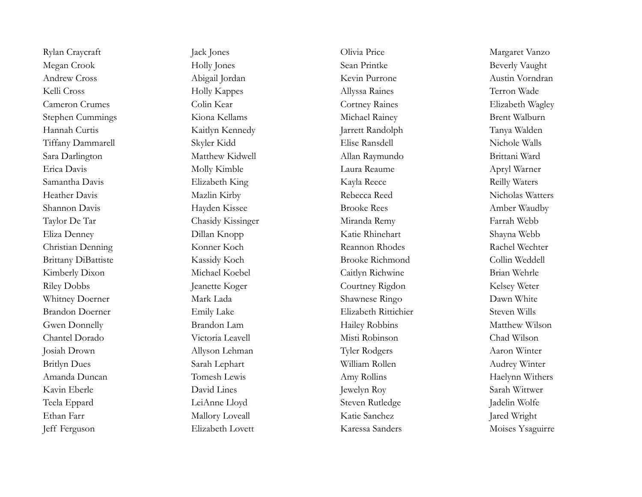Megan Crook Holly Jones Sean Printke Beverly Vaught Andrew Cross Abigail Jordan Kevin Purrone Austin Vorndran Kelli Cross Terron Wade Holly Kappes Allyssa Raines Terron Wade Cameron Crumes Colin Kear Cortney Raines Elizabeth Wagley Stephen Cummings Kiona Kellams Michael Rainey Brent Walburn Hannah Curtis Kaitlyn Kennedy Jarrett Randolph Tanya Walden Tiffany Dammarell Skyler Kidd Elise Ransdell Nichole Walls Sara Darlington Matthew Kidwell Allan Raymundo Brittani Ward Erica Davis Molly Kimble Laura Reaume Apryl Warner Samantha Davis Elizabeth King Kayla Reece Reilly Waters Heather Davis Mazlin Kirby Rebecca Reed Nicholas Watters Shannon Davis **Shannon Davis** Hayden Kissee Brooke Rees Amber Waudby Taylor De Tar Chasidy Kissinger Miranda Remy Farrah Webb Eliza Denney Dillan Knopp Katie Rhinehart Shayna Webb Christian Denning Konner Koch Reannon Rhodes Rachel Wechter Brittany DiBattiste Kassidy Koch Brooke Richmond Collin Weddell Kimberly Dixon Michael Koebel Caitlyn Richwine Brian Wehrle Riley Dobbs Jeanette Koger Courtney Rigdon Kelsey Weter Whitney Doerner Mark Lada Shawnese Ringo Dawn White Brandon Doerner Emily Lake Elizabeth Rittichier Steven Wills Gwen Donnelly **Brandon Lam** Hailey Robbins Matthew Wilson Chantel Dorado Victoria Leavell Misti Robinson Chad Wilson Josiah Drown Allyson Lehman Tyler Rodgers Aaron Winter Britlyn Dues Sarah Lephart William Rollen Audrey Winter Amanda Duncan Tomesh Lewis Amy Rollins Amy Rollins Haelynn Withers Kavin Eberle David Lines Jewelyn Roy Sarah Wittwer Teela Eppard LeiAnne Lloyd Steven Rutledge Jadelin Wolfe Ethan Farr Mallory Loveall Katie Sanchez Jared Wright Jeff Ferguson Elizabeth Lovett Karessa Sanders Moises Ysaguirre

Rylan Craycraft Jack Jones Jack Sones Olivia Price Margaret Vanzo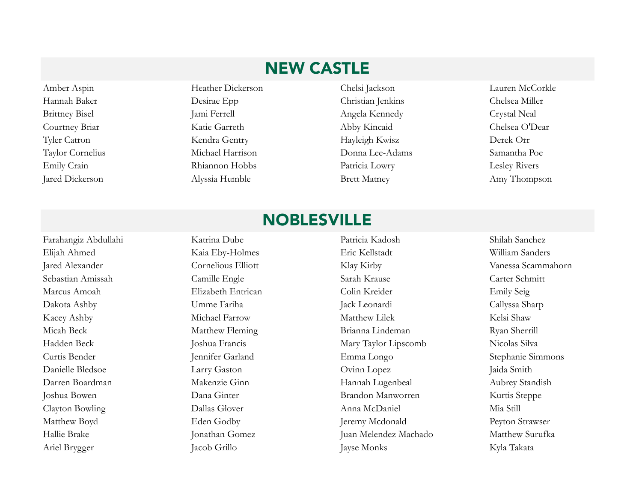# NEW CASTLE

Amber Aspin Heather Dickerson Chelsi Jackson Lauren McCorkle Hannah Baker Desirae Epp Christian Jenkins Chelsea Miller Brittney Bisel Jami Ferrell Jami Ferrell Angela Kennedy Crystal Neal Courtney Briar Katie Garreth Abby Kincaid Chelsea O'Dear Tyler Catron Kendra Gentry Hayleigh Kwisz Derek Orr Taylor Cornelius Michael Harrison Donna Lee-Adams Samantha Poe Emily Crain Rhiannon Hobbs Patricia Lowry Lesley Rivers Jared Dickerson Alyssia Humble Brett Matney Amy Thompson

# NOBLESVILLE

Ariel Brygger Jacob Grillo Jayse Monks Kyla Takata

Farahangiz Abdullahi Katrina Dube Patricia Kadosh Shilah Sanchez Elijah Ahmed Kaia Eby-Holmes Eric Kellstadt William Sanders Jared Alexander Cornelious Elliott Klay Kirby Vanessa Scammahorn Sebastian Amissah Camille Engle Sarah Krause Carter Schmitt Marcus Amoah Elizabeth Entrican Colin Kreider Emily Seig Dakota Ashby Umme Fariha Jack Leonardi Callyssa Sharp Kacey Ashby Michael Farrow Matthew Lilek Kelsi Shaw Micah Beck Matthew Fleming Brianna Lindeman Ryan Sherrill Hadden Beck Joshua Francis Mary Taylor Lipscomb Nicolas Silva Curtis Bender Jennifer Garland Emma Longo Stephanie Simmons Danielle Bledsoe Larry Gaston Ovinn Lopez Jaida Smith Darren Boardman Makenzie Ginn Hannah Lugenbeal Aubrey Standish Joshua Bowen Dana Ginter Brandon Manworren Kurtis Steppe Clayton Bowling Dallas Glover Anna McDaniel Mia Still Matthew Boyd Eden Godby Eden Godby Jeremy Mcdonald Peyton Strawser Hallie Brake Jonathan Gomez Juan Melendez Machado Matthew Surufka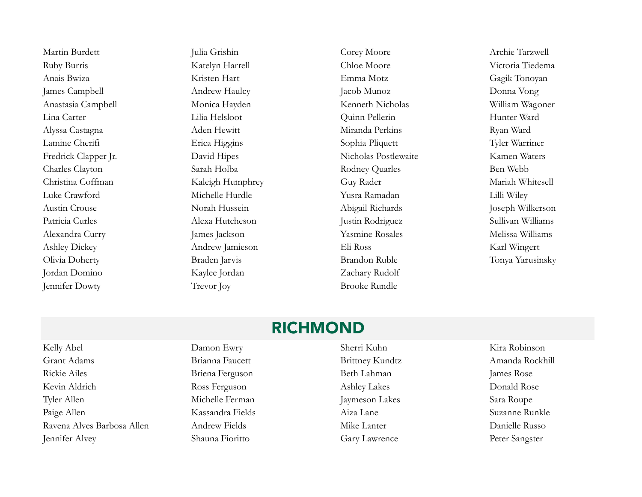Martin Burdett Julia Grishin Corey Moore Archie Tarzwell Ruby Burris Katelyn Harrell Chloe Moore Victoria Tiedema Anais Bwiza Kristen Hart Emma Motz Gagik Tonoyan James Campbell Andrew Haulcy Jacob Munoz Donna Vong Anastasia Campbell Monica Hayden Kenneth Nicholas William Wagoner Lina Carter Lilia Helsloot Quinn Pellerin Hunter Ward Alyssa Castagna Aden Hewitt Miranda Perkins Ryan Ward Lamine Cherifi Erica Higgins Sophia Pliquett Tyler Warriner Fredrick Clapper Jr. David Hipes Nicholas Postlewaite Kamen Waters Charles Clayton Sarah Holba Rodney Quarles Ben Webb Christina Coffman Kaleigh Humphrey Guy Rader Mariah Whitesell Luke Crawford Michelle Hurdle Yusra Ramadan Lilli Wiley Austin Crouse Norah Hussein Abigail Richards Joseph Wilkerson Patricia Curles Alexa Hutcheson Justin Rodriguez Sullivan Williams Alexandra Curry James Jackson James Jackson Yasmine Rosales Melissa Williams Ashley Dickey Andrew Jamieson Eli Ross Karl Wingert Olivia Doherty Braden Jarvis Brandon Ruble Tonya Yarusinsky Jordan Domino Kaylee Jordan Zachary Rudolf Jennifer Dowty Trevor Joy Brooke Rundle

#### RICHMOND

Kelly Abel Damon Ewry Sherri Kuhn Kira Robinson Grant Adams Brianna Faucett Brittney Kundtz Amanda Rockhill Rickie Ailes Briena Ferguson Beth Lahman James Rose Kevin Aldrich **Ross Ferguson** Ross Ferguson Ashley Lakes Donald Rose Tyler Allen Sara Roupe Paige Allen Kassandra Fields Aiza Lane Suzanne Runkle Ravena Alves Barbosa Allen Andrew Fields Mike Lanter Mike Lanter Danielle Russo Jennifer Alvey Shauna Fioritto Gary Lawrence Peter Sangster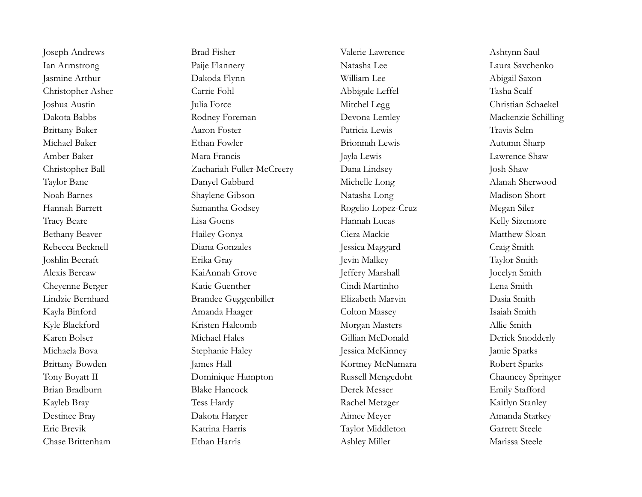Joseph Andrews Brad Fisher Valerie Lawrence Ashtynn Saul Ian Armstrong Paije Flannery Natasha Lee Laura Savchenko Jasmine Arthur Dakoda Flynn William Lee Abigail Saxon Christopher Asher Carrie Fohl Abbigale Leffel Tasha Scalf Joshua Austin Julia Force Mitchel Legg Christian Schaekel Dakota Babbs Rodney Foreman Devona Lemley Mackenzie Schilling Brittany Baker Aaron Foster Patricia Lewis Travis Selm Michael Baker Ethan Fowler Brionnah Lewis Autumn Sharp Amber Baker Mara Francis Jayla Lewis Lawrence Shaw Christopher Ball Zachariah Fuller-McCreery Dana Lindsey Josh Shaw Taylor Bane Danyel Gabbard Michelle Long Alanah Sherwood Noah Barnes Shaylene Gibson Natasha Long Madison Short Hannah Barrett Samantha Godsey Rogelio Lopez-Cruz Megan Siler Tracy Beare Lisa Goens Hannah Lucas Kelly Sizemore Bethany Beaver **Hailey Gonya** Ciera Mackie Matthew Sloan Rebecca Becknell Diana Gonzales Jessica Maggard Craig Smith Joshlin Becraft Erika Gray Jevin Malkey Taylor Smith Alexis Bercaw KaiAnnah Grove Jeffery Marshall Jocelyn Smith Cheyenne Berger Katie Guenther Cindi Martinho Lena Smith Lindzie Bernhard Brandee Guggenbiller Elizabeth Marvin Dasia Smith Kayla Binford Amanda Haager Colton Massey Isaiah Smith Kyle Blackford Kristen Halcomb Morgan Masters Allie Smith Karen Bolser **Michael Hales** Gillian McDonald Derick Snodderly Michaela Bova Stephanie Haley Jessica McKinney Jamie Sparks Brittany Bowden James Hall James Hall Kortney McNamara Robert Sparks Tony Boyatt II Dominique Hampton Russell Mengedoht Chauncey Springer Brian Bradburn Blake Hancock Derek Messer Emily Stafford Kayleb Bray **Tess Hardy Tess Hardy Rachel Metzger** Kaitlyn Stanley Destinee Bray Dakota Harger Aimee Meyer Amanda Starkey Eric Brevik Katrina Harris Taylor Middleton Garrett Steele Chase Brittenham Ethan Harris Ashley Miller Marissa Steele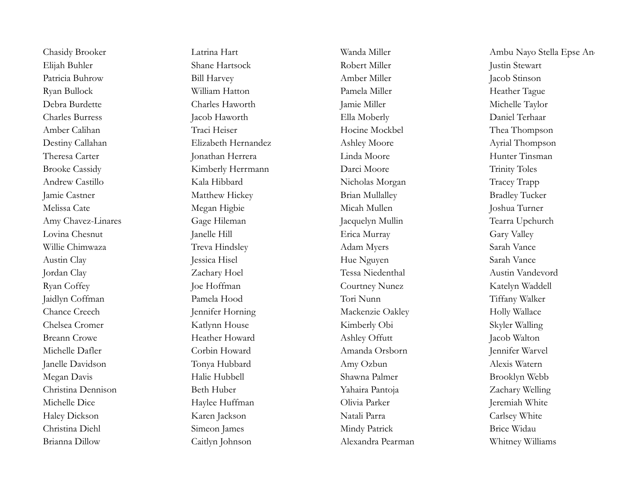Brianna Dillow Caitlyn Johnson Alexandra Pearman Whitney Williams

Chasidy Brooker Latrina Hart Wanda Miller Ambu Nayo Stella Epse Anchang Elijah Buhler Shane Hartsock Robert Miller Justin Stewart Patricia Buhrow Bill Harvey Amber Miller Jacob Stinson Ryan Bullock William Hatton Pamela Miller Heather Tague Debra Burdette Charles Haworth Jamie Miller Michelle Taylor Charles Burress Jacob Haworth Ella Moberly Daniel Terhaar Amber Calihan Traci Heiser Traci Heiser Hocine Mockbel Thea Thompson Destiny Callahan Elizabeth Hernandez Ashley Moore Ayrial Thompson Theresa Carter Jonathan Herrera Linda Moore Hunter Tinsman Brooke Cassidy Kimberly Herrmann Darci Moore Trinity Toles Andrew Castillo Kala Hibbard Nicholas Morgan Tracey Trapp Jamie Castner Matthew Hickey Brian Mullalley Bradley Tucker Melissa Cate Megan Higbie Micah Mullen Joshua Turner Amy Chavez-Linares Gage Hileman Jacquelyn Mullin Tearra Upchurch Lovina Chesnut Janelle Hill Erica Murray Gary Valley Willie Chimwaza Treva Hindsley Adam Myers Sarah Vance Austin Clay Jessica Hisel Hue Nguyen Sarah Vance Jordan Clay Zachary Hoel Tessa Niedenthal Austin Vandevord Ryan Coffey Toe Hoffman Joe Hoffman Courtney Nunez Katelyn Waddell Jaidlyn Coffman Pamela Hood Tori Nunn Tiffany Walker Chance Creech Jennifer Horning Mackenzie Oakley Holly Wallace Chelsea Cromer Katlynn House Kimberly Obi Skyler Walling Breann Crowe Heather Howard Ashley Offutt Jacob Walton Michelle Dafler Corbin Howard Amanda Orsborn Jennifer Warvel Janelle Davidson Tonya Hubbard Amy Ozbun Alexis Watern Megan Davis Halie Hubbell Shawna Palmer Brooklyn Webb Christina Dennison Beth Huber Yahaira Pantoja Zachary Welling Michelle Dice **Haylee Huffman** Olivia Parker **Olivia Parker** Jeremiah White Haley Dickson Karen Jackson Natali Parra Carlsey White Christina Diehl Simeon James Mindy Patrick Brice Widau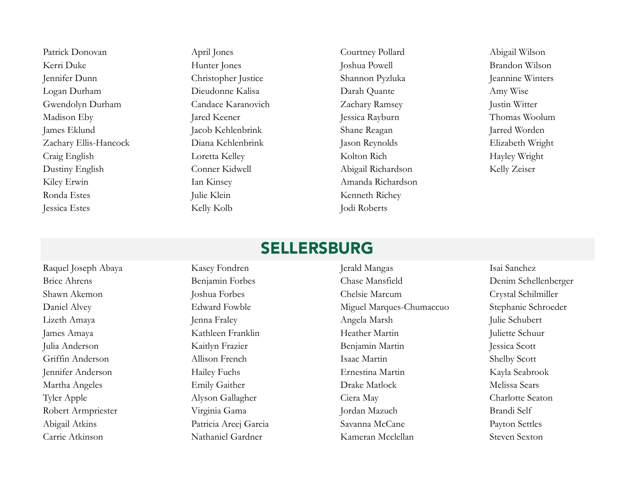Patrick Donovan April Jones Courtney Pollard Abigail Wilson Kerri Duke Hunter Jones Joshua Powell Brandon Wilson Jennifer Dunn Christopher Justice Shannon Pyzluka Jeannine Winters Logan Durham Dieudonne Kalisa Darah Quante Amy Wise Gwendolyn Durham Candace Karanovich Zachary Ramsey Justin Witter Madison Eby Jared Keener Jessica Rayburn Jessica Rayburn Thomas Woolum James Eklund Jacob Kehlenbrink Shane Reagan Jarred Worden Zachary Ellis-Hancock Diana Kehlenbrink Jason Reynolds Elizabeth Wright Craig English Loretta Kelley Kolton Rich Hayley Wright Dustiny English Conner Kidwell Abigail Richardson Kelly Zeiser Kiley Erwin Ian Kinsey Amanda Richardson Ronda Estes Julie Klein Kenneth Richey Jessica Estes Kelly Kolb Jodi Roberts

### **SELLERSBURG**

Raquel Joseph Abaya Kasey Fondren Jerald Mangas Isai Sanchez

Brice Ahrens Benjamin Forbes Chase Mansfield Denim Schellenberger Shawn Akemon Joshua Forbes Chelsie Marcum Crystal Schilmiller Daniel Alvey Edward Fowble Miguel Marques-Chumaccuo Stephanie Schroeder Lizeth Amaya Jenna Fraley Angela Marsh Julie Schubert James Amaya Kathleen Franklin Heather Martin Juliette Schuur Julia Anderson Kaitlyn Frazier Benjamin Martin Jessica Scott Griffin Anderson Allison French Isaac Martin Shelby Scott Jennifer Anderson Hailey Fuchs Ernestina Martin Kayla Seabrook Martha Angeles Emily Gaither Drake Matlock Melissa Sears Tyler Apple Alyson Gallagher Ciera May Charlotte Seaton Robert Armpriester Virginia Gama Jordan Mazuch Brandi Self Abigail Atkins Patricia Areej Garcia Savanna McCane Payton Settles Carrie Atkinson Nathaniel Gardner Kameran Mcclellan Steven Sexton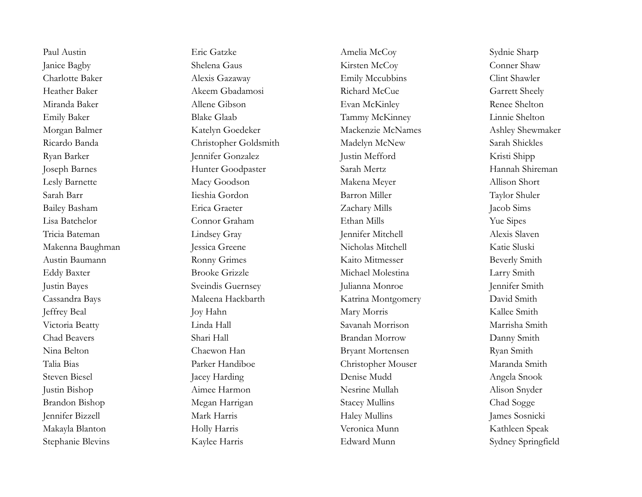Paul Austin Eric Gatzke Amelia McCoy Sydnie Sharp Janice Bagby Shelena Gaus Kirsten McCoy Conner Shaw Charlotte Baker Alexis Gazaway Alexis Gazaway Emily Mccubbins Clint Shawler Heather Baker Akeem Gbadamosi Richard McCue Garrett Sheely Miranda Baker Allene Gibson Evan McKinley Renee Shelton Emily Baker Blake Glaab Tammy McKinney Linnie Shelton Morgan Balmer Katelyn Goedeker Mackenzie McNames Ashley Shewmaker Ricardo Banda Christopher Goldsmith Madelyn McNew Sarah Shickles Ryan Barker Jennifer Gonzalez Justin Mefford Kristi Shipp Joseph Barnes Hunter Goodpaster Sarah Mertz Hannah Shireman Lesly Barnette Macy Goodson Makena Meyer Allison Short Sarah Barr Iieshia Gordon Barron Miller Taylor Shuler Bailey Basham Erica Graeter Zachary Mills Jacob Sims Lisa Batchelor Connor Graham Ethan Mills Yue Sipes Tricia Bateman Lindsey Gray Jennifer Mitchell Alexis Slaven Makenna Baughman Jessica Greene Nicholas Mitchell Katie Sluski Austin Baumann **Ronny Grimes** Ronny Grimes Kaito Mitmesser Beverly Smith Eddy Baxter Brooke Grizzle Michael Molestina Larry Smith Justin Bayes Sveindis Guernsey Julianna Monroe Jennifer Smith Cassandra Bays Maleena Hackbarth Katrina Montgomery David Smith Joy Hahn Mary Morris Mary Morris Kallee Smith (Kallee Smith Victoria Beatty Linda Hall Savanah Morrison Marrisha Smith Chad Beavers Shari Hall Brandan Morrow Danny Smith Nina Belton Chaewon Han Bryant Mortensen Ryan Smith Talia Bias Parker Handiboe Christopher Mouser Maranda Smith Steven Biesel Jacey Harding Denise Mudd Angela Snook Justin Bishop Aimee Harmon Nesrine Mullah Alison Snyder Brandon Bishop Megan Harrigan Stacey Mullins Chad Sogge Jennifer Bizzell Mark Harris Haley Mullins James Sosnicki Makayla Blanton Holly Harris Veronica Munn Kathleen Speak

Stephanie Blevins Kaylee Harris Edward Munn Sydney Springfield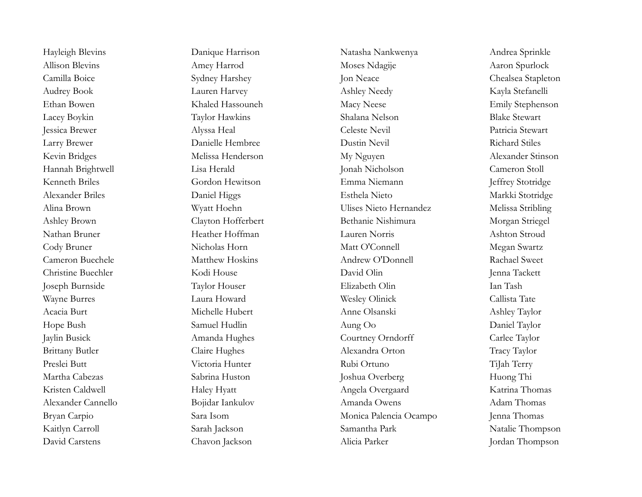Hayleigh Blevins **Danique Harrison** Natasha Nankwenya Andrea Sprinkle Allison Blevins Amey Harrod Moses Ndagije Aaron Spurlock Camilla Boice Sydney Harshey Jon Neace Chealsea Stapleton Audrey Book Lauren Harvey Ashley Needy Kayla Stefanelli Ethan Bowen Khaled Hassouneh Macy Neese Emily Stephenson Lacey Boykin Taylor Hawkins Shalana Nelson Blake Stewart Jessica Brewer Alyssa Heal Celeste Nevil Patricia Stewart Larry Brewer **Danielle Hembree** Dustin Nevil Richard Stiles Kevin Bridges Melissa Henderson My Nguyen Alexander Stinson Hannah Brightwell Lisa Herald Jonah Nicholson Cameron Stoll Kenneth Briles Gordon Hewitson Emma Niemann Jeffrey Stotridge Alexander Briles Daniel Higgs Esthela Nieto Markki Stotridge Alina Brown Wyatt Hoehn Ulises Nieto Hernandez Melissa Stribling Ashley Brown Clayton Hofferbert Bethanie Nishimura Morgan Striegel Nathan Bruner Heather Hoffman Lauren Norris Ashton Stroud Cody Bruner Nicholas Horn Matt O'Connell Megan Swartz Cameron Buechele Matthew Hoskins Andrew O'Donnell Rachael Sweet Christine Buechler Kodi House David Olin Jenna Tackett Joseph Burnside Taylor Houser Elizabeth Olin Ian Tash Wayne Burres Laura Howard Wesley Olinick Callista Tate Acacia Burt Michelle Hubert Anne Olsanski Ashley Taylor Hope Bush Samuel Hudlin Aung Oo Daniel Taylor Jaylin Busick Amanda Hughes Courtney Orndorff Carlee Taylor Brittany Butler Claire Hughes Alexandra Orton Tracy Taylor Preslei Butt Victoria Hunter Rubi Ortuno TiJah Terry Martha Cabezas Sabrina Huston Joshua Overberg Huong Thi Kristen Caldwell **Haley Hyatt** Haley Hyatt Angela Overgaard Katrina Thomas Alexander Cannello Bojidar Iankulov Amanda Owens Adam Thomas Bryan Carpio Sara Isom Monica Palencia Ocampo Jenna Thomas Kaitlyn Carroll Sarah Jackson Sarah Jackson Samantha Park Natalie Thompson David Carstens Chavon Jackson Alicia Parker Jordan Thompson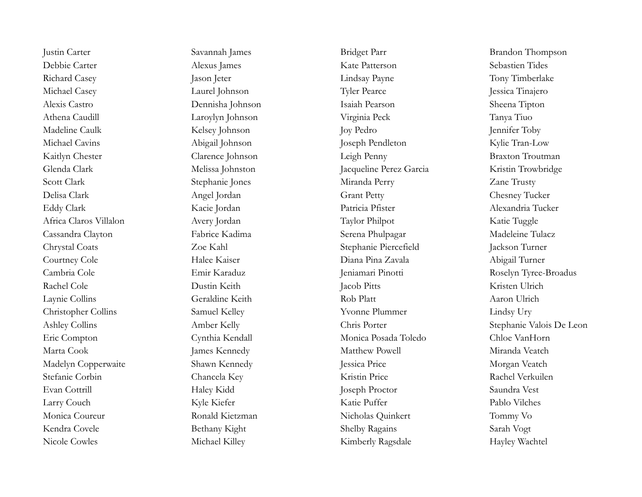Richard Casey Jason Jeter Jason Jeter Lindsay Payne Tony Timberlake Michael Casey **Laurel Johnson** Tyler Pearce Jessica Tinajero Kaitlyn Chester Clarence Johnson Leigh Penny Braxton Troutman Cassandra Clayton Fabrice Kadima Serena Phulpagar Madeleine Tulacz Chrystal Coats Zoe Kahl Stephanie Piercefield Jackson Turner Christopher Collins Samuel Kelley Yvonne Plummer Lindsy Ury Eric Compton Cynthia Kendall Monica Posada Toledo Chloe VanHorn Madelyn Copperwaite Shawn Kennedy Jessica Price Morgan Veatch

Justin Carter Savannah James Bridget Parr Brandon Thompson Debbie Carter Alexus James Kate Patterson Sebastien Tides Alexis Castro Dennisha Johnson Isaiah Pearson Sheena Tipton Athena Caudill Laroylyn Johnson Virginia Peck Tanya Tiuo Madeline Caulk Kelsey Johnson Joy Pedro Jennifer Toby Michael Cavins Abigail Johnson Joseph Pendleton Kylie Tran-Low Glenda Clark Melissa Johnston Jacqueline Perez Garcia Kristin Trowbridge Scott Clark Stephanie Jones Miranda Perry Zane Trusty Delisa Clark Angel Jordan Grant Petty Chesney Tucker Eddy Clark Kacie Jordan Patricia Pfister Alexandria Tucker Africa Claros Villalon Avery Jordan Taylor Philpot Katie Tuggle Courtney Cole Halee Kaiser Diana Pina Zavala Abigail Turner Rachel Cole Dustin Keith Jacob Pitts Kristen Ulrich Laynie Collins Geraldine Keith Rob Platt Aaron Ulrich Marta Cook James Kennedy James Kennedy Matthew Powell Miranda Veatch Stefanie Corbin Chancela Key Kristin Price Rachel Verkuilen Evan Cottrill Haley Kidd Joseph Proctor Saundra Vest Larry Couch Kyle Kiefer Katie Puffer Pablo Vilches Monica Coureur **Ronald Kietzman** Nicholas Quinkert Tommy Vo Kendra Covele Shelby Ragains Sarah Vogt Nicole Cowles Michael Killey Michael Killey Kimberly Ragsdale Hayley Wachtel

Cambria Cole Emir Karaduz Jeniamari Pinotti Roselyn Tyree-Broadus Ashley Collins **Amber Kelly** Chris Porter Stephanie Valois De Leon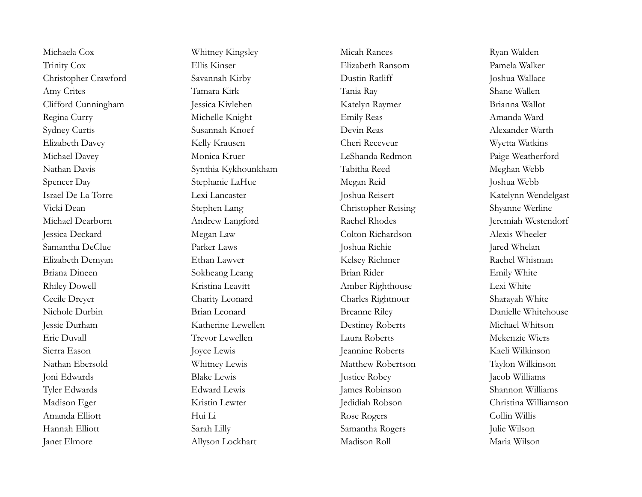Michaela Cox Whitney Kingsley Micah Rances Ryan Walden Trinity Cox Ellis Kinser Elizabeth Ransom Pamela Walker Christopher Crawford Savannah Kirby Dustin Ratliff Joshua Wallace Amy Crites Tamara Kirk Tania Ray Shane Wallen Clifford Cunningham Jessica Kivlehen Katelyn Raymer Brianna Wallot Regina Curry Michelle Knight Emily Reas Amanda Ward Sydney Curtis Susannah Knoef Devin Reas Alexander Warth Elizabeth Davey Kelly Krausen Cheri Receveur Cheri Neceveur Wyetta Watkins Michael Davey Monica Kruer LeShanda Redmon Paige Weatherford Nathan Davis Synthia Kykhounkham Tabitha Reed Meghan Webb Spencer Day Stephanie LaHue Megan Reid Joshua Webb Israel De La Torre Lexi Lancaster Joshua Reisert Katelynn Wendelgast Vicki Dean Stephen Lang Christopher Reising Shyanne Werline Michael Dearborn Andrew Langford Rachel Rhodes Jeremiah Westendorf Jessica Deckard Megan Law Colton Richardson Alexis Wheeler Samantha DeClue Parker Laws Joshua Richie Jared Whelan Elizabeth Demyan Ethan Lawver Kelsey Richmer Kelsey Richmer Rachel Whisman Briana Dineen Sokheang Leang Brian Rider Emily White Rhiley Dowell **Kristina Leavitt** Amber Righthouse Lexi White Cecile Dreyer Charity Leonard Charles Rightnour Sharayah White Nichole Durbin Brian Leonard Breanne Riley Danielle Whitehouse Jessie Durham Katherine Lewellen Destiney Roberts Michael Whitson Eric Duvall Trevor Lewellen Laura Roberts Mekenzie Wiers Sierra Eason Joyce Lewis Jeannine Roberts Kaeli Wilkinson Nathan Ebersold Whitney Lewis Matthew Robertson Taylon Wilkinson Joni Edwards Blake Lewis Justice Robey Jacob Williams Tyler Edwards Edward Lewis James Robinson Shannon Williams Madison Eger Kristin Lewter Jedidiah Robson Christina Williamson Amanda Elliott Hui Li Rose Rogers Collin Willis Hannah Elliott Sarah Lilly Samantha Rogers Julie Wilson Janet Elmore Allyson Lockhart Madison Roll Maria Wilson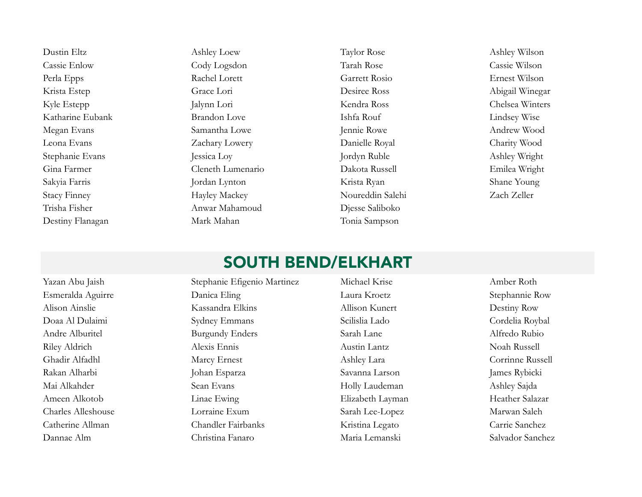Dustin Eltz Ashley Loew Taylor Rose Ashley Wilson Cassie Enlow Cody Logsdon Tarah Rose Cassie Wilson Perla Epps Rachel Lorett Garrett Rosio Ernest Wilson Krista Estep Grace Lori Desiree Ross Abigail Winegar Kyle Estepp Jalynn Lori Kendra Ross Chelsea Winters Katharine Eubank Brandon Love Ishfa Rouf Lindsey Wise Megan Evans Samantha Lowe Jennie Rowe Andrew Wood Leona Evans Zachary Lowery Danielle Royal Charity Wood Stephanie Evans Jessica Loy Jordyn Ruble Ashley Wright Gina Farmer Cleneth Lumenario Dakota Russell Emilea Wright Sakyia Farris Jordan Lynton Krista Ryan Shane Young Stacy Finney Hayley Mackey Hayley Mackey Noureddin Salehi Zach Zeller Trisha Fisher Anwar Mahamoud Djesse Saliboko Destiny Flanagan Mark Mahan Tonia Sampson

# SOUTH BEND/ELKHART

Yazan Abu Jaish Stephanie Efigenio Martinez Michael Krise Amber Roth Esmeralda Aguirre Danica Eling Laura Kroetz Stephannie Row Alison Ainslie Kassandra Elkins Allison Kunert Destiny Row Doaa Al Dulaimi Sydney Emmans Scilislia Lado Cordelia Roybal Andre Alburitel Burgundy Enders Sarah Lane Alfredo Rubio Riley Aldrich Alexis Ennis Austin Lantz Noah Russell Ghadir Alfadhl Marcy Ernest Ashley Lara Corrinne Russell Ashley Lara Corrinne Russell Rakan Alharbi Johan Esparza Savanna Larson James Rybicki Mai Alkahder Sean Evans Holly Laudeman Ashley Sajda Ameen Alkotob Linae Ewing Elizabeth Layman Heather Salazar Charles Alleshouse Lorraine Exum Sarah Lee-Lopez Marwan Saleh Catherine Allman Chandler Fairbanks Kristina Legato Carrie Sanchez Dannae Alm Christina Fanaro Maria Lemanski Salvador Sanchez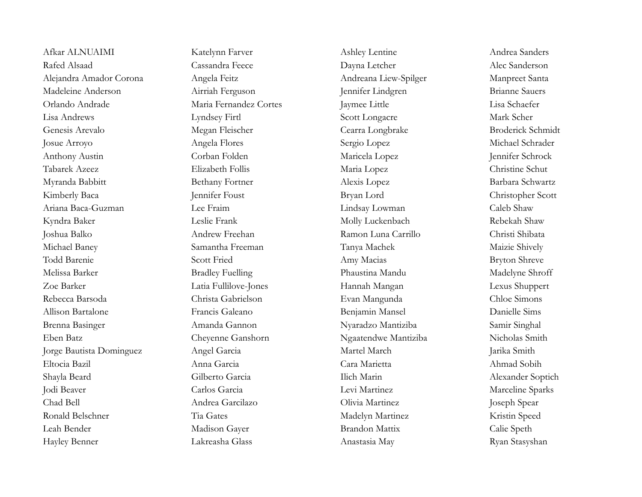Afkar ALNUAIMI Katelynn Farver Ashley Lentine Ashley Lentine Andrea Sanders Rafed Alsaad Cassandra Feece Dayna Letcher Alec Sanderson Alejandra Amador Corona Angela Feitz Andreana Liew-Spilger Manpreet Santa Madeleine Anderson Airriah Ferguson Jennifer Lindgren Brianne Sauers Orlando Andrade Maria Fernandez Cortes Jaymee Little Lisa Schaefer Lisa Andrews Lyndsey Firtl Scott Longacre Mark Scher Genesis Arevalo Megan Fleischer Cearra Longbrake Broderick Schmidt Josue Arroyo Angela Flores Sergio Lopez Michael Schrader Anthony Austin Corban Folden Maricela Lopez Jennifer Schrock Tabarek Azeez Elizabeth Follis Maria Lopez Christine Schut Myranda Babbitt **Bethany Fortner** Alexis Lopez Barbara Schwartz Kimberly Baca Jennifer Foust Bryan Lord Christopher Scott Ariana Baca-Guzman Lee Fraim Lindsay Lowman Caleb Shaw Kyndra Baker Leslie Frank Leslie Frank Molly Luckenbach Rebekah Shaw Joshua Balko Andrew Freehan Ramon Luna Carrillo Christi Shibata Michael Baney Samantha Freeman Tanya Machek Maizie Shively Todd Barenie Scott Fried Amy Macias Bryton Shreve Melissa Barker Bradley Fuelling Phaustina Mandu Madelyne Shroff Zoe Barker Latia Fullilove-Jones Hannah Mangan Lexus Shuppert Rebecca Barsoda Christa Gabrielson Evan Mangunda Chloe Simons Allison Bartalone Francis Galeano Benjamin Mansel Danielle Sims Brenna Basinger Amanda Gannon Nyaradzo Mantiziba Samir Singhal Eben Batz Cheyenne Ganshorn Ngaatendwe Mantiziba Nicholas Smith Jorge Bautista Dominguez Angel Garcia Martel March Jarika Smith Eltocia Bazil Anna Garcia Cara Marietta Ahmad Sobih Shayla Beard Gilberto Garcia Ilich Marin Alexander Soptich Jodi Beaver Carlos Garcia Levi Martinez Marceline Sparks Chad Bell Andrea Garcilazo Olivia Martinez Joseph Spear Ronald Belschner Tia Gates Tia Gates Madelyn Martinez Kristin Speed Leah Bender Madison Gayer Brandon Mattix Calie Speth Hayley Benner Lakreasha Glass Anastasia May Ryan Stasyshan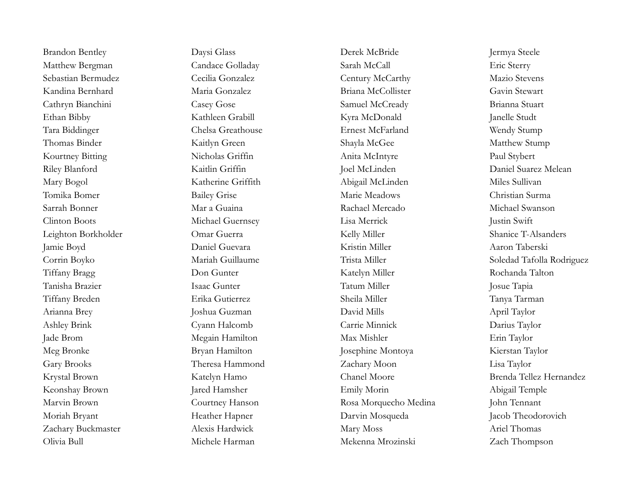Brandon Bentley Daysi Glass Derek McBride Jermya Steele Matthew Bergman Candace Golladay Sarah McCall Eric Sterry Sebastian Bermudez Cecilia Gonzalez Century McCarthy Mazio Stevens Kandina Bernhard Maria Gonzalez Briana McCollister Gavin Stewart Cathryn Bianchini Casey Gose Samuel McCready Brianna Stuart Ethan Bibby Kathleen Grabill Kyra McDonald Janelle Studt Tara Biddinger Chelsa Greathouse Ernest McFarland Wendy Stump Thomas Binder Kaitlyn Green Shayla McGee Matthew Stump Kourtney Bitting Nicholas Griffin Anita McIntyre Paul Stybert Mary Bogol Katherine Griffith Abigail McLinden Miles Sullivan Tomika Bomer Bailey Grise Marie Meadows Christian Surma Sarrah Bonner Mar a Guaina Rachael Mercado Michael Swanson Clinton Boots Michael Guernsey Lisa Merrick Justin Swift Leighton Borkholder Omar Guerra Kelly Miller Shanice T-Alsanders Jamie Boyd Daniel Guevara Kristin Miller Aaron Taberski Tiffany Bragg Don Gunter Katelyn Miller Rochanda Talton Tanisha Brazier Isaac Gunter Tatum Miller Josue Tapia Tiffany Breden Erika Gutierrez Sheila Miller Tanya Tarman Arianna Brey Joshua Guzman David Mills April Taylor Ashley Brink Cyann Halcomb Carrie Minnick Darius Taylor Jade Brom Megain Hamilton Max Mishler Erin Taylor Meg Bronke Bryan Hamilton Josephine Montoya Kierstan Taylor Gary Brooks Theresa Hammond Zachary Moon Lisa Taylor Keonshay Brown Jared Hamsher Emily Morin Abigail Temple Marvin Brown Courtney Hanson Rosa Morquecho Medina John Tennant Moriah Bryant **Heather Hapner** Parvin Mosqueda Jacob Theodorovich Zachary Buckmaster **Alexis Hardwick** Mary Moss Mary Moss Ariel Thomas Olivia Bull Michele Harman Mekenna Mrozinski Zach Thompson

Riley Blanford Kaitlin Griffin Joel McLinden Daniel Suarez Melean Corrin Boyko Mariah Guillaume Trista Miller Soledad Tafolla Rodriguez Krystal Brown Katelyn Hamo Chanel Moore Brenda Tellez Hernandez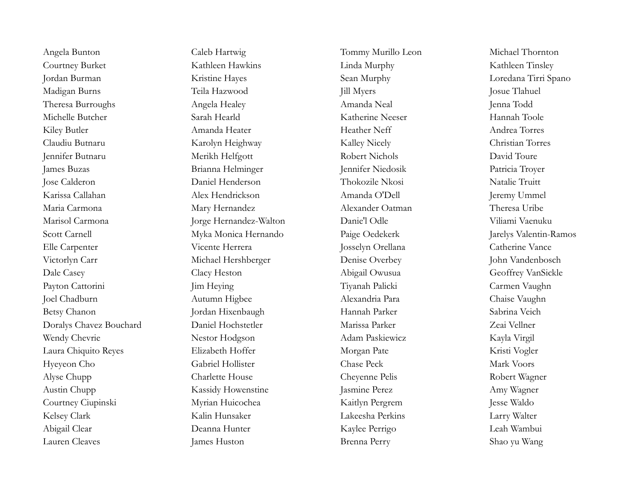Courtney Burket Kathleen Hawkins Linda Murphy Kathleen Tinsley Jordan Burman Kristine Hayes Sean Murphy Loredana Tirri Spano Madigan Burns Teila Hazwood Jill Myers Josue Tlahuel Theresa Burroughs Angela Healey Amanda Neal Amanda Neal Jenna Todd Michelle Butcher Sarah Hearld Katherine Neeser Hannah Toole Kiley Butler **Amanda Heater** Amanda Heater **Heather Neff** Andrea Torres Claudiu Butnaru Karolyn Heighway Kalley Nicely Christian Torres Jennifer Butnaru Merikh Helfgott Robert Nichols David Toure James Buzas Brianna Helminger Jennifer Niedosik Patricia Troyer Jose Calderon Daniel Henderson Thokozile Nkosi Natalie Truitt Karissa Callahan Alex Hendrickson Amanda O'Dell Jeremy Ummel Maria Carmona Mary Hernandez Alexander Oatman Theresa Uribe Marisol Carmona Jorge Hernandez-Walton Danie'l Odle Viliami Vaenuku Scott Carnell Myka Monica Hernando Paige Oedekerk Jarelys Valentin-Ramos Elle Carpenter Vicente Herrera Josselyn Orellana Catherine Vance Victorlyn Carr Michael Hershberger Denise Overbey John Vandenbosch Dale Casey Clacy Heston Abigail Owusua Geoffrey VanSickle Payton Cattorini Jim Heying Tiyanah Palicki Carmen Vaughn Joel Chadburn Autumn Higbee Alexandria Para Chaise Vaughn Betsy Chanon Jordan Hixenbaugh Hannah Parker Sabrina Veich Doralys Chavez Bouchard Daniel Hochstetler Marissa Parker Zeai Vellner Wendy Chevrie Nestor Hodgson Mestor Hodgson Adam Paskiewicz Kayla Virgil Laura Chiquito Reyes Elizabeth Hoffer Morgan Pate Kristi Vogler Hyeyeon Cho Gabriel Hollister Chase Peck Mark Voors Alyse Chupp Charlette House Cheyenne Pelis Robert Wagner Austin Chupp Kassidy Howenstine Jasmine Perez Amy Wagner Courtney Ciupinski Myrian Huicochea Kaitlyn Pergrem Jesse Waldo Kelsey Clark Kalin Hunsaker Lakeesha Perkins Larry Walter Abigail Clear Deanna Hunter Kaylee Perrigo Leah Wambui Lauren Cleaves James Huston Brenna Perry Shao yu Wang

Angela Bunton Caleb Hartwig Caleb Hartwig Tommy Murillo Leon Michael Thornton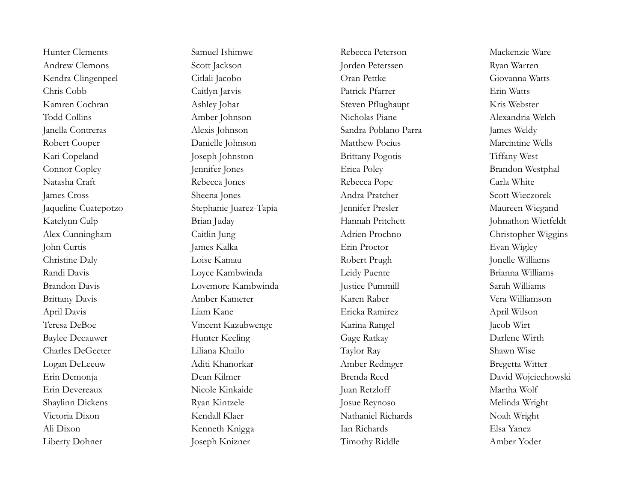Liberty Dohner Joseph Knizner Timothy Riddle Amber Yoder

Hunter Clements **Samuel Ishimwe** Samuel Ishimwe Rebecca Peterson Mackenzie Ware Andrew Clemons Scott Jackson Jorden Peterssen Ryan Warren Kendra Clingenpeel Citlali Jacobo Oran Pettke Giovanna Watts Chris Cobb Caitlyn Jarvis Patrick Pfarrer Erin Watts Kamren Cochran Ashley Johar Steven Pflughaupt Kris Webster Todd Collins Amber Johnson Nicholas Piane Alexandria Welch Janella Contreras Alexis Johnson Sandra Poblano Parra James Weldy Robert Cooper Danielle Johnson Matthew Pocius Marcintine Wells Kari Copeland Joseph Johnston Brittany Pogotis Tiffany West Connor Copley Jennifer Jones Erica Poley Brandon Westphal Natasha Craft Rebecca Jones Rebecca Pope Carla White James Cross Sheena Jones Andra Pratcher Scott Wieczorek Jaqueline Cuatepotzo Stephanie Juarez-Tapia Jennifer Presler Maureen Wiegand Katelynn Culp Brian Juday Brian Juday Hannah Pritchett Johnathon Wietfeldt Alex Cunningham Caitlin Jung Adrien Prochno Christopher Wiggins John Curtis James Kalka Erin Proctor Evan Wigley Christine Daly **Loise Kamau** Loise Kamau Robert Prugh Jonelle Williams Randi Davis Loyce Kambwinda Leidy Puente Brianna Williams Brandon Davis Lovemore Kambwinda Justice Pummill Sarah Williams Brittany Davis Amber Kamerer Karen Raber Vera Williamson April Davis Liam Kane Ericka Ramirez April Wilson Teresa DeBoe Vincent Kazubwenge Karina Rangel Jacob Wirt Baylee Decauwer **Hunter Keeling** Gage Ratkay Darlene Wirth Charles DeGeeter Liliana Khailo Taylor Ray Shawn Wise Logan DeLeeuw Aditi Khanorkar Amber Redinger Bregetta Witter Erin Demonja Dean Kilmer Brenda Reed David Wojciechowski Erin Devereaux Nicole Kinkaide Juan Retzloff Martha Wolf Shaylinn Dickens Ryan Kintzele Josue Reynoso Melinda Wright Victoria Dixon Kendall Klaer Nathaniel Richards Noah Wright Ali Dixon Kenneth Knigga Ian Richards Elsa Yanez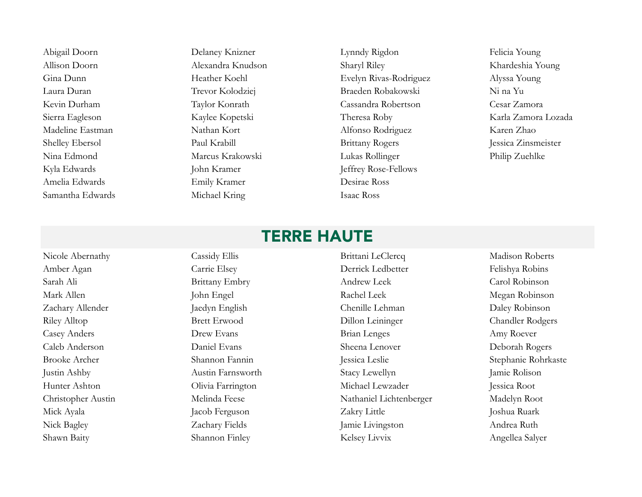Abigail Doorn Delaney Knizner Lynndy Rigdon Felicia Young Kyla Edwards John Kramer Jeffrey Rose-Fellows Amelia Edwards Emily Kramer Desirae Ross Samantha Edwards Michael Kring Isaac Ross

Allison Doorn Alexandra Knudson Sharyl Riley Khardeshia Young Gina Dunn Heather Koehl Evelyn Rivas-Rodriguez Alyssa Young Laura Duran Trevor Kolodziej Braeden Robakowski Ni na Yu Kevin Durham Taylor Konrath Cassandra Robertson Cesar Zamora Sierra Eagleson Kaylee Kopetski Theresa Roby Karla Zamora Lozada Madeline Eastman Nathan Kort Alfonso Rodriguez Karen Zhao Shelley Ebersol Paul Krabill Paul Krabill Brittany Rogers Jessica Zinsmeister Nina Edmond Marcus Krakowski Lukas Rollinger Philip Zuehlke

# TERRE HAUTE

Shawn Baity Shannon Finley Shannon Finley Kelsey Livvix Angellea Salyer

Nicole Abernathy Cassidy Ellis Cassidy Ellis Brittani LeClercq Madison Roberts Amber Agan Carrie Elsey Derrick Ledbetter Felishya Robins Sarah Ali Brittany Embry Andrew Leek Carol Robinson Mark Allen John Engel Rachel Leek Megan Robinson Zachary Allender Jaedyn English Chenille Lehman Daley Robinson Riley Alltop Brett Erwood Dillon Leininger Chandler Rodgers Casey Anders Drew Evans Brian Lenges Amy Roever Caleb Anderson Daniel Evans Sheena Lenover Deborah Rogers Brooke Archer Shannon Fannin Jessica Leslie Stephanie Rohrkaste Justin Ashby Austin Farnsworth Stacy Lewellyn Jamie Rolison Hunter Ashton Olivia Farrington Michael Lewzader Jessica Root Christopher Austin Melinda Feese Nathaniel Lichtenberger Madelyn Root Mick Ayala Jacob Ferguson Jacob Ferguson Zakry Little Joshua Ruark Nick Bagley **Zachary Fields** Jamie Livingston Andrea Ruth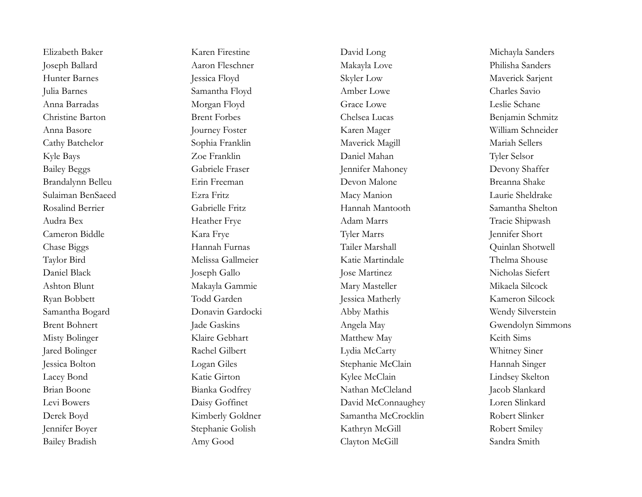Elizabeth Baker Karen Firestine David Long Michayla Sanders Joseph Ballard Aaron Fleschner Makayla Love Philisha Sanders Hunter Barnes Jessica Floyd Skyler Low Maverick Sarjent Julia Barnes Samantha Floyd Amber Lowe Charles Savio Anna Barradas Morgan Floyd Grace Lowe Leslie Schane Christine Barton **Brent Forbes** Brent Forbes Chelsea Lucas Benjamin Schmitz Anna Basore Journey Foster Karen Mager William Schneider Cathy Batchelor Sophia Franklin Maverick Magill Mariah Sellers Kyle Bays Zoe Franklin Daniel Mahan Tyler Selsor Bailey Beggs Gabriele Fraser Jennifer Mahoney Devony Shaffer Brandalynn Belleu Erin Freeman Devon Malone Breanna Shake Sulaiman BenSaeed Ezra Fritz Macy Manion Laurie Sheldrake Rosalind Berrier Gabrielle Fritz Hannah Mantooth Samantha Shelton Audra Bex Heather Frye Adam Marrs Tracie Shipwash Cameron Biddle Kara Frye Tyler Marrs Jennifer Short Chase Biggs Hannah Furnas Tailer Marshall Quinlan Shotwell Taylor Bird Melissa Gallmeier Katie Martindale Thelma Shouse Daniel Black Joseph Gallo Jose Martinez Nicholas Siefert Ashton Blunt Makayla Gammie Mary Masteller Mikaela Silcock Ryan Bobbett Todd Garden Jessica Matherly Kameron Silcock Samantha Bogard Donavin Gardocki Abby Mathis Wendy Silverstein Misty Bolinger Klaire Gebhart Matthew May Keith Sims Jared Bolinger Rachel Gilbert Lydia McCarty Whitney Siner Jessica Bolton Logan Giles Communication Stephanie McClain Hannah Singer Lacey Bond Katie Girton Kylee McClain Lindsey Skelton Brian Boone Bianka Godfrey Nathan McCleland Jacob Slankard Levi Bowers Daisy Goffinet David McConnaughey Loren Slinkard Derek Boyd Kimberly Goldner Samantha McCrocklin Robert Slinker Jennifer Boyer Stephanie Golish Kathryn McGill Robert Smiley

Bailey Bradish Amy Good Clayton McGill Sandra Smith

Brent Bohnert Jade Gaskins Jade Gaskins Angela May Gwendolyn Simmons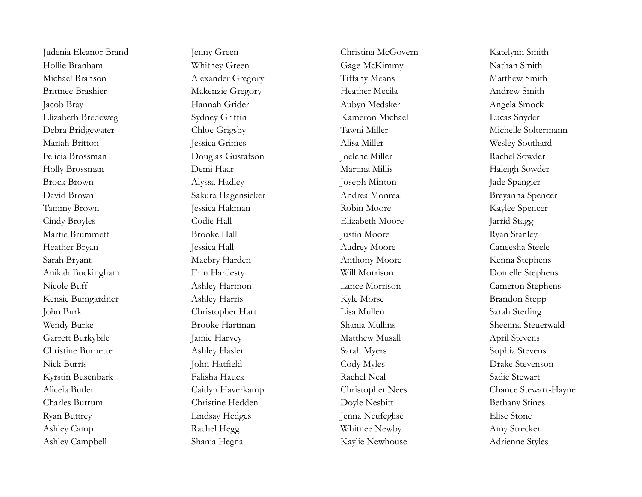Hollie Branham Whitney Green Gage McKimmy Nathan Smith Michael Branson Matthew Smith Alexander Gregory Tiffany Means Matthew Smith Brittnee Brashier Makenzie Gregory Heather Mecila Andrew Smith Jacob Bray Hannah Grider Aubyn Medsker Angela Smock Elizabeth Bredeweg Sydney Griffin Kameron Michael Lucas Snyder Debra Bridgewater Chloe Grigsby Tawni Miller Michelle Soltermann Mariah Britton Jessica Grimes Alisa Miller Alisa Miller Wesley Southard Felicia Brossman **Douglas Gustafson** Joelene Miller **Nightson** Rachel Sowder Holly Brossman **Demi Haar** Demi Haar Martina Millis Martina Millis Haleigh Sowder Brock Brown Alyssa Hadley Joseph Minton Jade Spangler David Brown Sakura Hagensieker Andrea Monreal Breyanna Spencer Tammy Brown Jessica Hakman Robin Moore Kaylee Spencer Cindy Broyles Codie Hall Elizabeth Moore Jarrid Stagg Martie Brummett Brooke Hall Justin Moore Ryan Stanley Heather Bryan Jessica Hall Jessica Hall Audrey Moore Caneesha Steele Sarah Bryant Maebry Harden Anthony Moore Kenna Stephens Anikah Buckingham Erin Hardesty Will Morrison Donielle Stephens Nicole Buff **Ashley Harmon** Lance Morrison Cameron Stephens Kensie Bumgardner Ashley Harris Kyle Morse Brandon Stepp John Burk Christopher Hart Lisa Mullen Sarah Sterling Wendy Burke Brooke Hartman Shania Mullins Sheenna Steuerwald Garrett Burkybile Jamie Harvey Matthew Musall April Stevens Christine Burnette Ashley Hasler Sarah Myers Sophia Stevens Nick Burris John Hatfield Cody Myles Drake Stevenson Kyrstin Busenbark Falisha Hauck Rachel Neal Sadie Stewart Charles Butrum Christine Hedden Doyle Nesbitt Bethany Stines Ryan Buttrey Lindsay Hedges Jenna Neufeglise Elise Stone Ashley Camp Rachel Hegg Rachel Hegg Whitnee Newby Amy Strecker Ashley Campbell Shania Hegna Kaylie Newhouse Adrienne Styles

Judenia Eleanor Brand Jenny Green Christina McGovern Katelynn Smith

Aliceia Butler Caitlyn Haverkamp Christopher Nees Chance Stewart-Hayne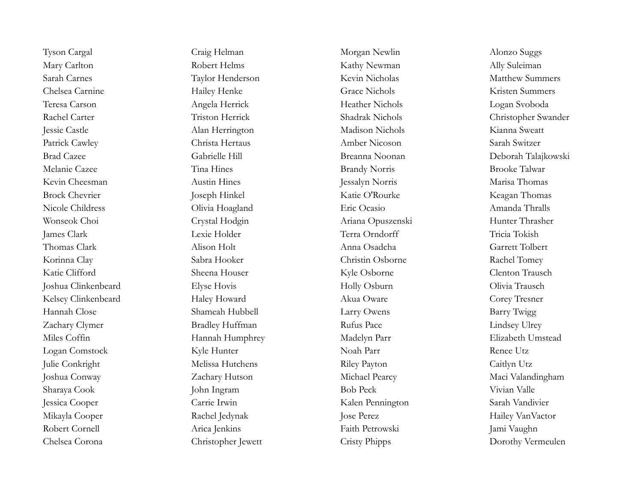Tyson Cargal Craig Helman Morgan Newlin Morgan Newlin Alonzo Suggs Mary Carlton **Robert Helms** Robert Helms Kathy Newman Ally Suleiman Sarah Carnes **Taylor Henderson** Kevin Nicholas Matthew Summers Chelsea Carnine **Hailey Henke** Grace Nichols **Grace Nichols** Kristen Summers Teresa Carson Angela Herrick Heather Nichols Logan Svoboda Jessie Castle Alan Herrington Madison Nichols Kianna Sweatt Patrick Cawley Christa Hertaus Christa Hertaus Amber Nicoson Sarah Switzer Melanie Cazee Tina Hines Brandy Norris Brooke Talwar Kevin Cheesman Austin Hines Austin Hines Jessalyn Norris Marisa Thomas Brock Chevrier Joseph Hinkel Katie O'Rourke Keagan Thomas Nicole Childress Olivia Hoagland Eric Ocasio Amanda Thralls Wonseok Choi Crystal Hodgin Ariana Opuszenski Hunter Thrasher James Clark Lexie Holder Terra Orndorff Tricia Tokish Thomas Clark Alison Holt Anna Osadcha Garrett Tolbert Korinna Clay Sabra Hooker Christin Osborne Rachel Tomey Katie Clifford Sheena Houser Kyle Osborne Clenton Trausch Joshua Clinkenbeard Elyse Hovis Holly Osburn Holly Osburn Olivia Trausch Kelsey Clinkenbeard Haley Howard Akua Oware Corey Tresner Hannah Close Shameah Hubbell Larry Owens Barry Twigg Zachary Clymer Bradley Huffman Rufus Pace Lindsey Ulrey Miles Coffin **Hannah Humphrey** Madelyn Parr Elizabeth Umstead Logan Comstock Kyle Hunter Noah Parr Renee Utz Julie Conkright Melissa Hutchens Riley Payton Caitlyn Utz Joshua Conway Zachary Hutson Michael Pearcy Maci Valandingham Sharaya Cook John Ingram Bob Peck Vivian Valle Jessica Cooper Carrie Irwin Kalen Pennington Sarah Vandivier Mikayla Cooper Rachel Jedynak Jose Perez Hailey VanVactor Robert Cornell Arica Jenkins Faith Petrowski Jami Vaughn

Rachel Carter Triston Herrick Shadrak Nichols Christopher Swander Brad Cazee Gabrielle Hill Breanna Noonan Deborah Talajkowski Chelsea Corona Christopher Jewett Cristy Phipps Dorothy Vermeulen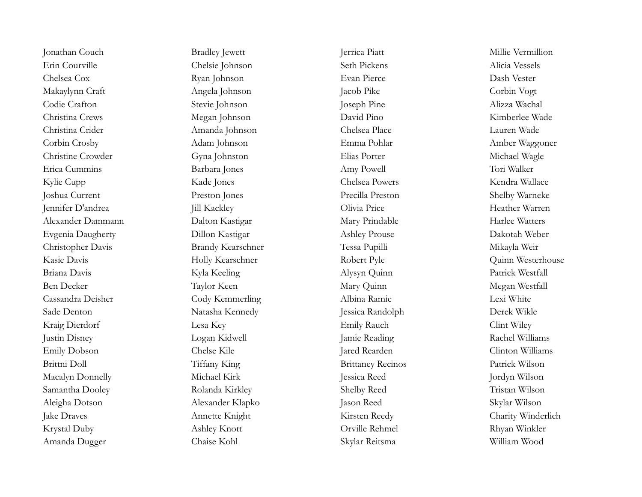Erin Courville Chelsie Johnson Seth Pickens Alicia Vessels Chelsea Cox Ryan Johnson Evan Pierce Dash Vester Makaylynn Craft Corbin Vogt Angela Johnson Jacob Pike Corbin Vogt Codie Crafton Stevie Johnson Joseph Pine Alizza Wachal Christina Crews Megan Johnson David Pino Kimberlee Wade Christina Crider Amanda Johnson Chelsea Place Lauren Wade Corbin Crosby Adam Johnson Emma Pohlar Amber Waggoner Christine Crowder Gyna Johnston Elias Porter Michael Wagle Erica Cummins Barbara Jones Amy Powell Tori Walker Kylie Cupp Kade Jones Chelsea Powers Kendra Wallace Joshua Current Preston Jones Precilla Preston Shelby Warneke Jennifer D'andrea Jill Kackley Olivia Price Heather Warren Alexander Dammann Dalton Kastigar Mary Prindable Harlee Watters Evgenia Daugherty Dillon Kastigar Ashley Prouse Dakotah Weber Christopher Davis Brandy Kearschner Tessa Pupilli Mikayla Weir Kasie Davis Holly Kearschner Robert Pyle Robert Pyle Quinn Westerhouse Briana Davis Kyla Keeling Alysyn Quinn Patrick Westfall Ben Decker Taylor Keen Mary Quinn Megan Westfall Cassandra Deisher Cody Kemmerling Albina Ramic Lexi White Sade Denton Natasha Kennedy Jessica Randolph Derek Wikle Kraig Dierdorf Lesa Key Emily Rauch Clint Wiley Justin Disney Logan Kidwell Jamie Reading Rachel Williams Emily Dobson Chelse Kile Jared Rearden Clinton Williams Brittni Doll Tiffany King Brittaney Recinos Patrick Wilson Macalyn Donnelly Michael Kirk Jessica Reed Jordyn Wilson Samantha Dooley Rolanda Kirkley Shelby Reed Tristan Wilson Aleigha Dotson Alexander Klapko Jason Reed Skylar Wilson Jake Draves Annette Knight Kirsten Reedy Charity Winderlich Krystal Duby Ashley Knott Orville Rehmel Rhyan Winkler Amanda Dugger Chaise Kohl Skylar Reitsma William Wood

Jonathan Couch Bradley Jewett Jerrica Piatt Millie Vermillion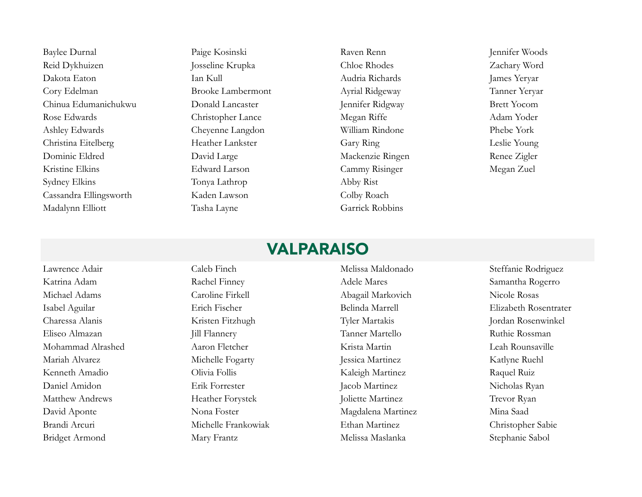Reid Dykhuizen Josseline Krupka Chloe Rhodes Zachary Word Dakota Eaton Ian Kull Audria Richards James Yeryar Cory Edelman Brooke Lambermont Ayrial Ridgeway Tanner Yeryar Chinua Edumanichukwu Donald Lancaster Jennifer Ridgway Brett Yocom Rose Edwards Christopher Lance Megan Riffe Adam Yoder Ashley Edwards Cheyenne Langdon William Rindone Phebe York Christina Eitelberg Heather Lankster Gary Ring Leslie Young Dominic Eldred David Large David Large Mackenzie Ringen Renee Zigler Kristine Elkins Edward Larson Cammy Risinger Megan Zuel Sydney Elkins Tonya Lathrop Abby Rist Cassandra Ellingsworth Kaden Lawson Colby Roach Madalynn Elliott Tasha Layne Garrick Robbins

Baylee Durnal Paige Kosinski Raven Renn Jennifer Woods

#### VALPARAISO

Lawrence Adair Caleb Finch Melissa Maldonado Steffanie Rodriguez

Bridget Armond Mary Frantz Melissa Maslanka Stephanie Sabol

Katrina Adam Rachel Finney Adele Mares Samantha Rogerro Michael Adams Caroline Firkell Abagail Markovich Nicole Rosas Charessa Alanis Kristen Fitzhugh Tyler Martakis Jordan Rosenwinkel Eliseo Almazan Jill Flannery Tanner Martello Ruthie Rossman Mohammad Alrashed Aaron Fletcher Krista Martin Leah Rounsaville Mariah Alvarez Michelle Fogarty Jessica Martinez Katlyne Ruehl Kenneth Amadio Clivia Follis Clivia Follis Kaleigh Martinez Raquel Ruiz Daniel Amidon Erik Forrester Jacob Martinez Nicholas Ryan Matthew Andrews Heather Forystek Joliette Martinez Trevor Ryan David Aponte Nona Foster Magdalena Martinez Mina Saad Brandi Arcuri Michelle Frankowiak Ethan Martinez Christopher Sabie

Isabel Aguilar Erich Fischer Belinda Marrell Elizabeth Rosentrater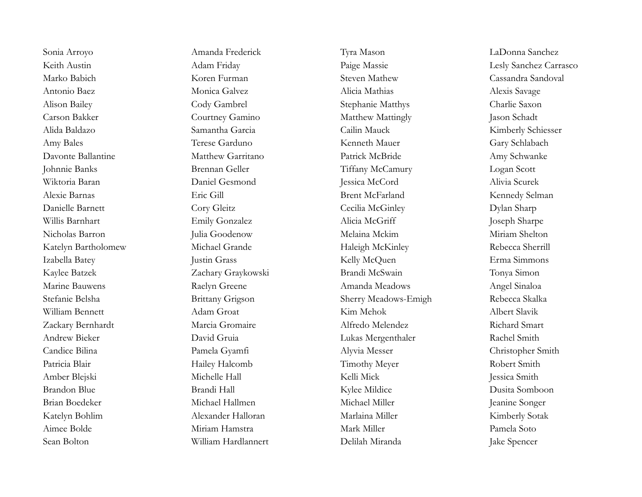Sean Bolton William Hardlannert Delilah Miranda Jake Spencer

Keith Austin Adam Friday Paige Massie Lesly Sanchez Carrasco Marko Babich Koren Furman Steven Mathew Cassandra Sandoval Antonio Baez Monica Galvez Alicia Mathias Alexis Savage Alison Bailey Cody Gambrel Stephanie Matthys Charlie Saxon Carson Bakker Courtney Gamino Matthew Mattingly Jason Schadt Alida Baldazo Samantha Garcia Cailin Mauck Kimberly Schiesser Amy Bales **Terese Garduno Terese Garduno Kenneth Mauer** Gary Schlabach Davonte Ballantine Matthew Garritano Patrick McBride Amy Schwanke Johnnie Banks Brennan Geller Tiffany McCamury Logan Scott Wiktoria Baran Daniel Gesmond Jessica McCord Alivia Scurek Alexie Barnas Eric Gill Brent McFarland Kennedy Selman Danielle Barnett Cory Gleitz Cecilia McGinley Dylan Sharp Willis Barnhart Emily Gonzalez Alicia McGriff Joseph Sharpe Nicholas Barron Julia Goodenow Melaina Mckim Miriam Shelton Katelyn Bartholomew Michael Grande Haleigh McKinley Rebecca Sherrill Izabella Batey Justin Grass Justin Grass Kelly McQuen Erma Simmons Kaylee Batzek Zachary Graykowski Brandi McSwain Tonya Simon Marine Bauwens **Raelyn Greene** Amanda Meadows Angel Sinaloa Stefanie Belsha **Brittany Grigson** Sherry Meadows-Emigh Rebecca Skalka William Bennett Adam Groat Kim Mehok Albert Slavik Zackary Bernhardt Marcia Gromaire Alfredo Melendez Richard Smart Andrew Bieker David Gruia Lukas Mergenthaler Rachel Smith Candice Bilina Pamela Gyamfi Alyvia Messer Christopher Smith Patricia Blair **Hailey Halcomb** Timothy Meyer Robert Smith Amber Blejski Michelle Hall Kelli Mick Jessica Smith Brandon Blue Brandi Hall Kylee Mildice Dusita Somboon Brian Boedeker Michael Hallmen Michael Miller Jeanine Songer Katelyn Bohlim Alexander Halloran Marlaina Miller Kimberly Sotak Aimee Bolde Miriam Hamstra Mark Miller Pamela Soto

Sonia Arroyo Amanda Frederick Tyra Mason LaDonna Sanchez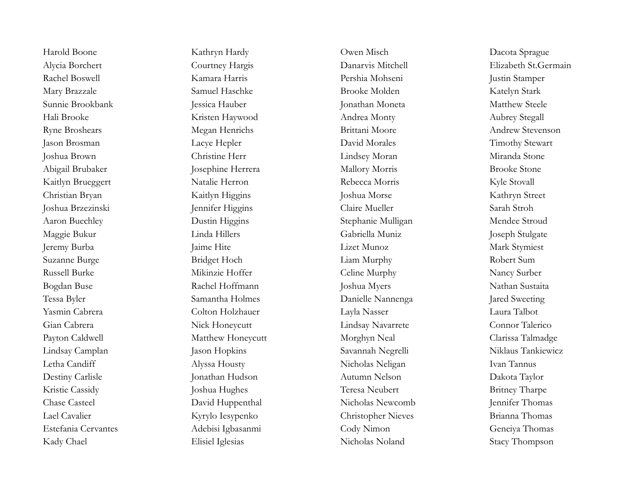Kady Chael Elisiel Iglesias Nicholas Noland Stacy Thompson

Harold Boone Kathryn Hardy Owen Misch Dacota Sprague Alycia Borchert Courtney Hargis Danarvis Mitchell Elizabeth St.Germain Rachel Boswell Kamara Harris Pershia Mohseni Justin Stamper Mary Brazzale Samuel Haschke Brooke Molden Katelyn Stark Sunnie Brookbank Jessica Hauber Jonathan Moneta Matthew Steele Hali Brooke Kristen Haywood Andrea Monty Aubrey Stegall Ryne Broshears Megan Henrichs Brittani Moore Andrew Stevenson Jason Brosman Lacye Hepler David Morales Timothy Stewart Joshua Brown Christine Herr Lindsey Moran Miranda Stone Abigail Brubaker Tosephine Herrera Mallory Morris Brooke Stone Kaitlyn Brueggert Natalie Herron Rebecca Morris Kyle Stovall Christian Bryan Kaitlyn Higgins Joshua Morse Kathryn Street Joshua Brzezinski Jennifer Higgins Claire Mueller Sarah Stroh Aaron Buechley Dustin Higgins Stephanie Mulligan Mendee Stroud Maggie Bukur Linda Hillers Gabriella Muniz Joseph Stulgate Jeremy Burba Jaime Hite Lizet Munoz Mark Stymiest Suzanne Burge Bridget Hoch Liam Murphy Robert Sum Russell Burke Mikinzie Hoffer Celine Murphy Nancy Surber Bogdan Buse **Rachel Hoffmann** Joshua Myers Nathan Sustaita Tessa Byler Samantha Holmes Danielle Nannenga Jared Sweeting Yasmin Cabrera Colton Holzhauer Layla Nasser Laura Talbot Gian Cabrera Nick Honeycutt Lindsay Navarrete Connor Talerico Payton Caldwell Matthew Honeycutt Morghyn Neal Clarissa Talmadge Lindsay Camplan Jason Hopkins Savannah Negrelli Niklaus Tankiewicz Letha Candiff Alyssa Housty Nicholas Neligan Ivan Tannus Destiny Carlisle Jonathan Hudson Autumn Nelson Dakota Taylor Kristie Cassidy Joshua Hughes Teresa Neubert Britney Tharpe Chase Casteel David Huppenthal Nicholas Newcomb Jennifer Thomas Lael Cavalier Kyrylo Iesypenko Christopher Nieves Brianna Thomas Estefania Cervantes Adebisi Igbasanmi Cody Nimon Geneiya Thomas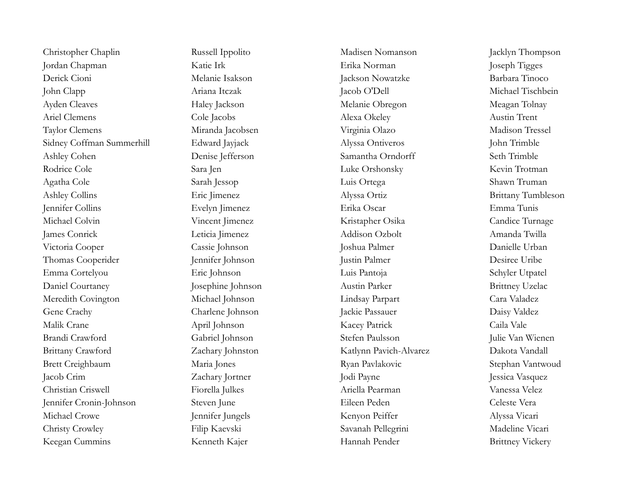Christopher Chaplin Russell Ippolito Nadisen Nomanson Jacklyn Thompson Jordan Chapman Katie Irk Erika Norman Joseph Tigges Derick Cioni Melanie Isakson Jackson Nowatzke Barbara Tinoco John Clapp Ariana Itczak Jacob O'Dell Michael Tischbein Ayden Cleaves Haley Jackson Haley Jackson Melanie Obregon Meagan Tolnay Ariel Clemens Cole Jacobs Alexa Okeley Austin Trent Taylor Clemens Miranda Jacobsen Virginia Olazo Madison Tressel Sidney Coffman Summerhill Edward Jayjack Alyssa Ontiveros John Trimble Ashley Cohen Denise Jefferson Samantha Orndorff Seth Trimble Rodrice Cole Sara Jen Luke Orshonsky Kevin Trotman Agatha Cole Sarah Jessop Luis Ortega Shawn Truman Ashley Collins Eric Jimenez Alyssa Ortiz Alyssa Ortiz Brittany Tumbleson Jennifer Collins Evelyn Jimenez Erika Oscar Emma Tunis Michael Colvin Vincent Jimenez Kristapher Osika Candice Turnage James Conrick Leticia Jimenez Addison Ozbolt Amanda Twilla Victoria Cooper Cassie Johnson Joshua Palmer Danielle Urban Thomas Cooperider Jennifer Johnson Justin Palmer Desiree Uribe Emma Cortelyou Eric Johnson Luis Pantoja Schyler Utpatel Daniel Courtaney Josephine Johnson Austin Parker Brittney Uzelac Meredith Covington Michael Johnson Lindsay Parpart Cara Valadez Gene Crachy Charlene Johnson Jackie Passauer Daisy Valdez Malik Crane April Johnson Kacey Patrick Caila Vale Brandi Crawford Gabriel Johnson Stefen Paulsson Julie Van Wienen Brittany Crawford Zachary Johnston Katlynn Pavich-Alvarez Dakota Vandall Brett Creighbaum Maria Jones Ryan Pavlakovic Stephan Vantwoud Jacob Crim Zachary Jortner Jodi Payne Jessica Vasquez Christian Criswell Fiorella Julkes Ariella Pearman Vanessa Velez Jennifer Cronin-Johnson Steven June Eileen Peden Celeste Vera Michael Crowe **School School School School School School School School Peiffer** Alyssa Vicari Christy Crowley Filip Kaevski Savanah Pellegrini Madeline Vicari Keegan Cummins Kenneth Kajer Hannah Pender Brittney Vickery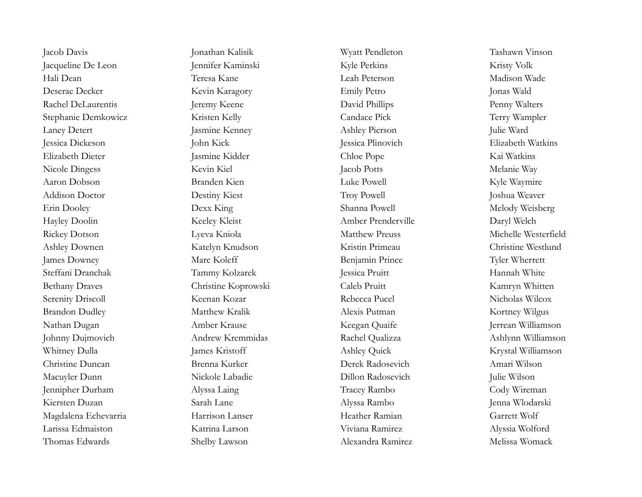Jacqueline De Leon Jennifer Kaminski Kyle Perkins Kyle Perkins Kristy Volk Hali Dean Teresa Kane Leah Peterson Madison Wade Deserae Decker Kevin Karagory Emily Petro Jonas Wald Rachel DeLaurentis Jeremy Keene David Phillips Penny Walters Stephanie Demkowicz Kristen Kelly Candace Pick Terry Wampler Laney Detert Jasmine Kenney Ashley Pierson Julie Ward Jessica Dickeson John Kick Jessica Plinovich Elizabeth Watkins Elizabeth Dieter Jasmine Kidder Chloe Pope Kai Watkins Nicole Dingess Kevin Kiel Jacob Potts Melanie Way Aaron Dobson Branden Kien Luke Powell Kyle Waymire Addison Doctor Destiny Kiest Troy Powell Joshua Weaver Erin Dooley Dexx King Shanna Powell Melody Weisberg Hayley Doolin Keeley Kleist Amber Prenderville Daryl Welch Rickey Dotson Lyeva Kniola Matthew Preuss Michelle Westerfield Ashley Downen Katelyn Knudson Kristin Primeau Christine Westlund James Downey Marc Koleff Benjamin Prince Tyler Wherrett Steffani Dranchak Tammy Kolzarek Jessica Pruitt Hannah White Bethany Draves Christine Koprowski Caleb Pruitt Kamryn Whitten Serenity Driscoll Keenan Kozar Rebecca Pucel Nicholas Wilcox Brandon Dudley **Matthew Kralik** Alexis Putman Matthew Wilgus Nathan Dugan Amber Krause Keegan Quaife Jerrean Williamson Johnny Dujmovich Andrew Kremmidas Rachel Qualizza Ashlynn Williamson Whitney Dulla James Kristoff Ashley Quick Krystal Williamson Christine Duncan Brenna Kurker Derek Radosevich Amari Wilson Macuyler Dunn Nickole Labadie Dillon Radosevich Julie Wilson Jennipher Durham Alyssa Laing Tracey Rambo Cody Wireman Kiersten Duzan Sarah Lane Alyssa Rambo Jenna Wlodarski Magdalena Echevarria Harrison Lanser Heather Ramian Garrett Wolf Larissa Edmaiston Katrina Larson Viviana Ramirez Alyssia Wolford Thomas Edwards Shelby Lawson Alexandra Ramirez Melissa Womack

Jacob Davis Jonathan Kalisik Wyatt Pendleton Tashawn Vinson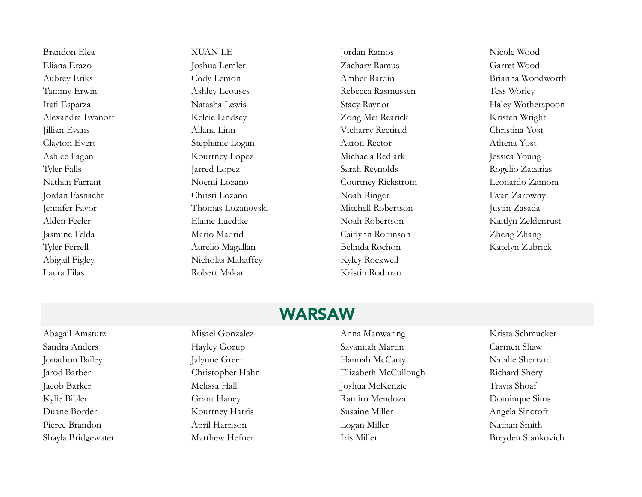Brandon Elea XUAN LE Jordan Ramos Nicole Wood Eliana Erazo Joshua Lemler Zachary Ramus Garret Wood Aubrey Eriks Cody Lemon Amber Rardin Brianna Woodworth Tammy Erwin Ashley Leouses Rebecca Rasmussen Tess Worley Itati Esparza Natasha Lewis Stacy Raynor Haley Wotherspoon Alexandra Evanoff Kelcie Lindsey Zong Mei Rearick Kristen Wright Jillian Evans Allana Linn Vicharry Rectitud Christina Yost Clayton Evert Stephanie Logan Aaron Rector Athena Yost Ashlee Fagan Kourtney Lopez Michaela Redlark Jessica Young Tyler Falls **Sarah Reynolds** Rogelio Zacarias Jarred Lopez Sarah Reynolds Rogelio Zacarias Nathan Farrant Noemi Lozano Courtney Rickstrom Leonardo Zamora Jordan Fasnacht Christi Lozano Noah Ringer Evan Zarowny Jennifer Favor Thomas Lozanovski Mitchell Robertson Justin Zasada Alden Feeler Elaine Luedtke Noah Robertson Kaitlyn Zeldenrust Jasmine Felda Mario Madrid Caitlynn Robinson Zheng Zhang Tyler Ferrell Aurelio Magallan Belinda Rochon Katelyn Zubrick Abigail Figley Nicholas Mahaffey Kyley Rockwell Laura Filas Robert Makar Kristin Rodman

### WARSAW

Abagail Amstutz Misael Gonzalez Anna Manwaring Krista Schmucker Sandra Anders **Example Hayley Gorup** Savannah Martin Carmen Shaw Jonathon Bailey Jalynne Greer Hannah McCarty Natalie Sherrard Jarod Barber Christopher Hahn Elizabeth McCullough Richard Shery Jacob Barker Melissa Hall Joshua McKenzie Travis Shoaf Kylie Bibler Grant Haney Grant Haney Ramiro Mendoza Dominque Sims Duane Border Kourtney Harris Susaine Miller Angela Sincroft Pierce Brandon April Harrison Logan Miller Nathan Smith Shayla Bridgewater Matthew Hefner Iris Miller Iris Miller Breyden Stankovich